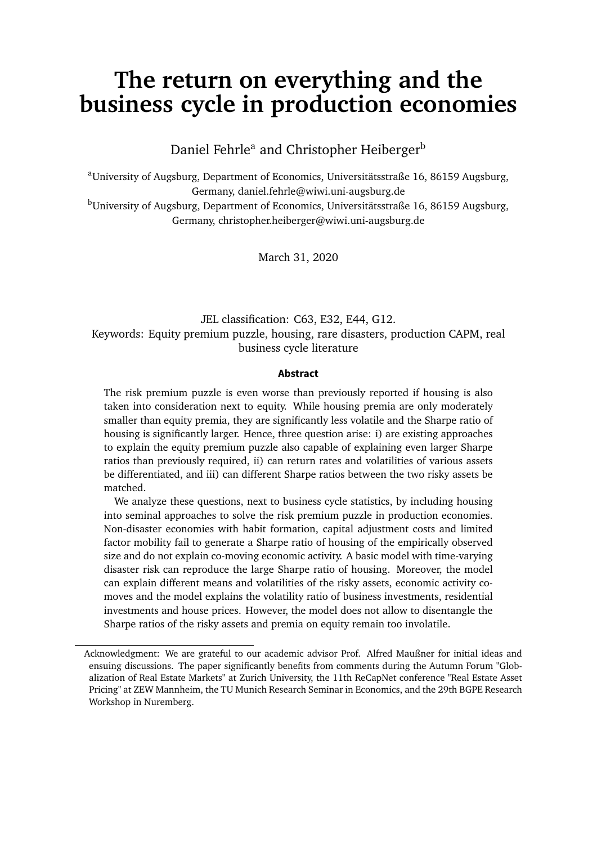# **The return on everything and the business cycle in production economies**

Daniel Fehrle<sup>a</sup> and Christopher Heiberger<sup>b</sup>

<sup>a</sup>University of Augsburg, Department of Economics, Universitätsstraße 16, 86159 Augsburg, Germany, daniel.fehrle@wiwi.uni-augsburg.de

<sup>b</sup>University of Augsburg, Department of Economics, Universitätsstraße 16, 86159 Augsburg, Germany, christopher.heiberger@wiwi.uni-augsburg.de

March 31, 2020

## JEL classification: C63, E32, E44, G12. Keywords: Equity premium puzzle, housing, rare disasters, production CAPM, real business cycle literature

#### **Abstract**

The risk premium puzzle is even worse than previously reported if housing is also taken into consideration next to equity. While housing premia are only moderately smaller than equity premia, they are significantly less volatile and the Sharpe ratio of housing is significantly larger. Hence, three question arise: i) are existing approaches to explain the equity premium puzzle also capable of explaining even larger Sharpe ratios than previously required, ii) can return rates and volatilities of various assets be differentiated, and iii) can different Sharpe ratios between the two risky assets be matched.

We analyze these questions, next to business cycle statistics, by including housing into seminal approaches to solve the risk premium puzzle in production economies. Non-disaster economies with habit formation, capital adjustment costs and limited factor mobility fail to generate a Sharpe ratio of housing of the empirically observed size and do not explain co-moving economic activity. A basic model with time-varying disaster risk can reproduce the large Sharpe ratio of housing. Moreover, the model can explain different means and volatilities of the risky assets, economic activity comoves and the model explains the volatility ratio of business investments, residential investments and house prices. However, the model does not allow to disentangle the Sharpe ratios of the risky assets and premia on equity remain too involatile.

Acknowledgment: We are grateful to our academic advisor Prof. Alfred Maußner for initial ideas and ensuing discussions. The paper significantly benefits from comments during the Autumn Forum "Globalization of Real Estate Markets" at Zurich University, the 11th ReCapNet conference "Real Estate Asset Pricing" at ZEW Mannheim, the TU Munich Research Seminar in Economics, and the 29th BGPE Research Workshop in Nuremberg.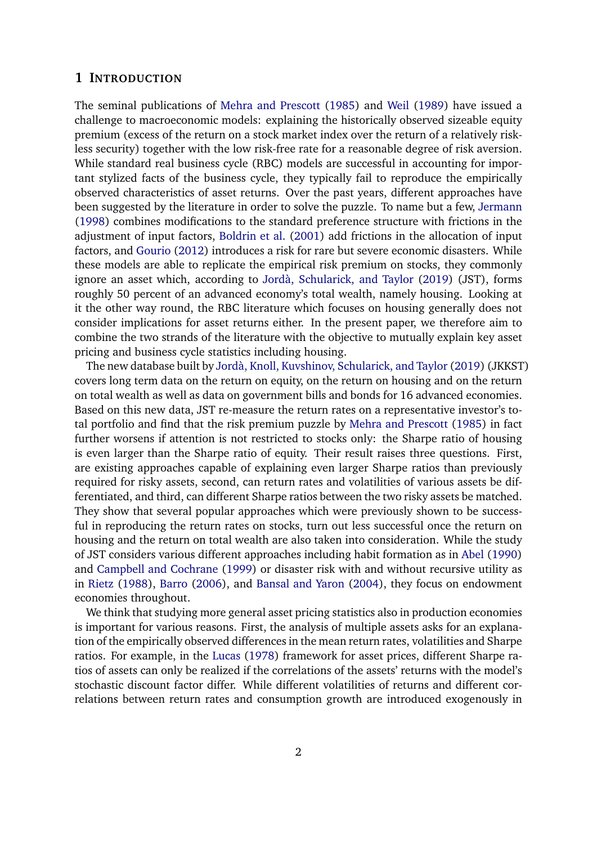#### **1 INTRODUCTION**

The seminal publications of [Mehra and Prescott](#page-36-0) [\(1985\)](#page-36-0) and [Weil](#page-36-1) [\(1989\)](#page-36-1) have issued a challenge to macroeconomic models: explaining the historically observed sizeable equity premium (excess of the return on a stock market index over the return of a relatively riskless security) together with the low risk-free rate for a reasonable degree of risk aversion. While standard real business cycle (RBC) models are successful in accounting for important stylized facts of the business cycle, they typically fail to reproduce the empirically observed characteristics of asset returns. Over the past years, different approaches have been suggested by the literature in order to solve the puzzle. To name but a few, [Jermann](#page-35-0) [\(1998\)](#page-35-0) combines modifications to the standard preference structure with frictions in the adjustment of input factors, [Boldrin et al.](#page-34-0) [\(2001\)](#page-34-0) add frictions in the allocation of input factors, and [Gourio](#page-35-1) [\(2012\)](#page-35-1) introduces a risk for rare but severe economic disasters. While these models are able to replicate the empirical risk premium on stocks, they commonly ignore an asset which, according to [Jordà, Schularick, and Taylor](#page-35-2) [\(2019\)](#page-35-2) (JST), forms roughly 50 percent of an advanced economy's total wealth, namely housing. Looking at it the other way round, the RBC literature which focuses on housing generally does not consider implications for asset returns either. In the present paper, we therefore aim to combine the two strands of the literature with the objective to mutually explain key asset pricing and business cycle statistics including housing.

The new database built by [Jordà, Knoll, Kuvshinov, Schularick, and Taylor](#page-35-3) [\(2019\)](#page-35-3) (JKKST) covers long term data on the return on equity, on the return on housing and on the return on total wealth as well as data on government bills and bonds for 16 advanced economies. Based on this new data, JST re-measure the return rates on a representative investor's total portfolio and find that the risk premium puzzle by [Mehra and Prescott](#page-36-0) [\(1985\)](#page-36-0) in fact further worsens if attention is not restricted to stocks only: the Sharpe ratio of housing is even larger than the Sharpe ratio of equity. Their result raises three questions. First, are existing approaches capable of explaining even larger Sharpe ratios than previously required for risky assets, second, can return rates and volatilities of various assets be differentiated, and third, can different Sharpe ratios between the two risky assets be matched. They show that several popular approaches which were previously shown to be successful in reproducing the return rates on stocks, turn out less successful once the return on housing and the return on total wealth are also taken into consideration. While the study of JST considers various different approaches including habit formation as in [Abel](#page-33-0) [\(1990\)](#page-33-0) and [Campbell and Cochrane](#page-34-1) [\(1999\)](#page-34-1) or disaster risk with and without recursive utility as in [Rietz](#page-36-2) [\(1988\)](#page-36-2), [Barro](#page-33-1) [\(2006\)](#page-33-1), and [Bansal and Yaron](#page-33-2) [\(2004\)](#page-33-2), they focus on endowment economies throughout.

We think that studying more general asset pricing statistics also in production economies is important for various reasons. First, the analysis of multiple assets asks for an explanation of the empirically observed differences in the mean return rates, volatilities and Sharpe ratios. For example, in the [Lucas](#page-36-3) [\(1978\)](#page-36-3) framework for asset prices, different Sharpe ratios of assets can only be realized if the correlations of the assets' returns with the model's stochastic discount factor differ. While different volatilities of returns and different correlations between return rates and consumption growth are introduced exogenously in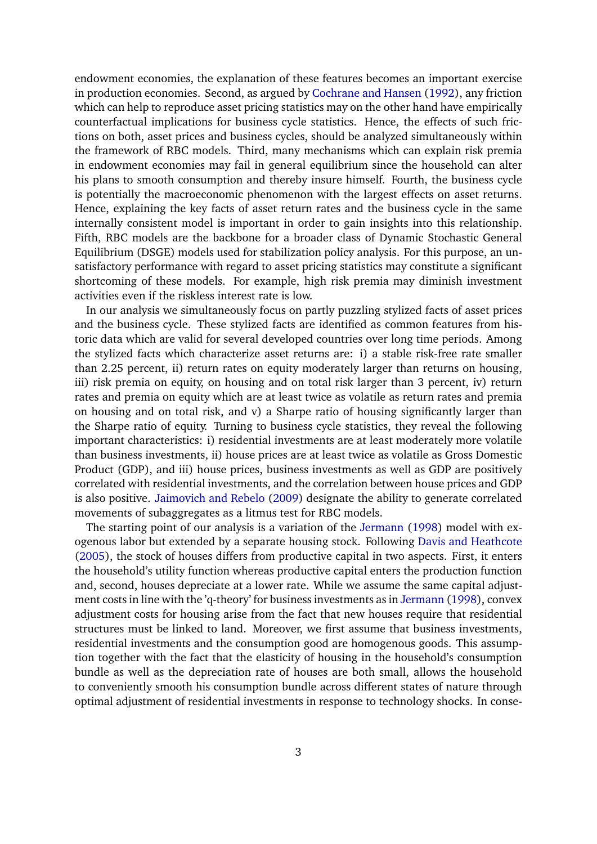endowment economies, the explanation of these features becomes an important exercise in production economies. Second, as argued by [Cochrane and Hansen](#page-34-2) [\(1992\)](#page-34-2), any friction which can help to reproduce asset pricing statistics may on the other hand have empirically counterfactual implications for business cycle statistics. Hence, the effects of such frictions on both, asset prices and business cycles, should be analyzed simultaneously within the framework of RBC models. Third, many mechanisms which can explain risk premia in endowment economies may fail in general equilibrium since the household can alter his plans to smooth consumption and thereby insure himself. Fourth, the business cycle is potentially the macroeconomic phenomenon with the largest effects on asset returns. Hence, explaining the key facts of asset return rates and the business cycle in the same internally consistent model is important in order to gain insights into this relationship. Fifth, RBC models are the backbone for a broader class of Dynamic Stochastic General Equilibrium (DSGE) models used for stabilization policy analysis. For this purpose, an unsatisfactory performance with regard to asset pricing statistics may constitute a significant shortcoming of these models. For example, high risk premia may diminish investment activities even if the riskless interest rate is low.

In our analysis we simultaneously focus on partly puzzling stylized facts of asset prices and the business cycle. These stylized facts are identified as common features from historic data which are valid for several developed countries over long time periods. Among the stylized facts which characterize asset returns are: i) a stable risk-free rate smaller than 2.25 percent, ii) return rates on equity moderately larger than returns on housing, iii) risk premia on equity, on housing and on total risk larger than 3 percent, iv) return rates and premia on equity which are at least twice as volatile as return rates and premia on housing and on total risk, and v) a Sharpe ratio of housing significantly larger than the Sharpe ratio of equity. Turning to business cycle statistics, they reveal the following important characteristics: i) residential investments are at least moderately more volatile than business investments, ii) house prices are at least twice as volatile as Gross Domestic Product (GDP), and iii) house prices, business investments as well as GDP are positively correlated with residential investments, and the correlation between house prices and GDP is also positive. [Jaimovich and Rebelo](#page-35-4) [\(2009\)](#page-35-4) designate the ability to generate correlated movements of subaggregates as a litmus test for RBC models.

The starting point of our analysis is a variation of the [Jermann](#page-35-0) [\(1998\)](#page-35-0) model with exogenous labor but extended by a separate housing stock. Following [Davis and Heathcote](#page-34-3) [\(2005\)](#page-34-3), the stock of houses differs from productive capital in two aspects. First, it enters the household's utility function whereas productive capital enters the production function and, second, houses depreciate at a lower rate. While we assume the same capital adjustment costs in line with the 'q-theory' for business investments as in [Jermann](#page-35-0) [\(1998\)](#page-35-0), convex adjustment costs for housing arise from the fact that new houses require that residential structures must be linked to land. Moreover, we first assume that business investments, residential investments and the consumption good are homogenous goods. This assumption together with the fact that the elasticity of housing in the household's consumption bundle as well as the depreciation rate of houses are both small, allows the household to conveniently smooth his consumption bundle across different states of nature through optimal adjustment of residential investments in response to technology shocks. In conse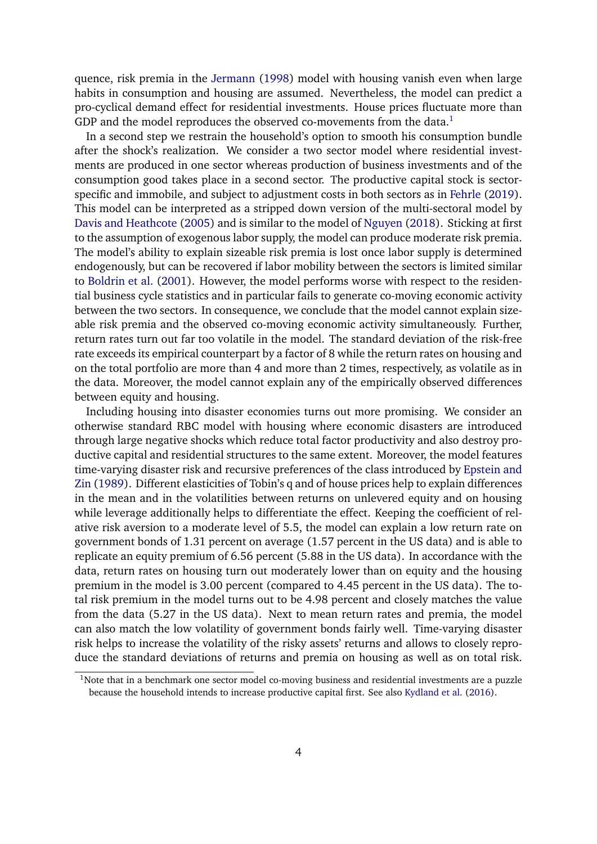quence, risk premia in the [Jermann](#page-35-0) [\(1998\)](#page-35-0) model with housing vanish even when large habits in consumption and housing are assumed. Nevertheless, the model can predict a pro-cyclical demand effect for residential investments. House prices fluctuate more than GDP and the model reproduces the observed co-movements from the data.<sup>[1](#page-3-0)</sup>

In a second step we restrain the household's option to smooth his consumption bundle after the shock's realization. We consider a two sector model where residential investments are produced in one sector whereas production of business investments and of the consumption good takes place in a second sector. The productive capital stock is sectorspecific and immobile, and subject to adjustment costs in both sectors as in [Fehrle](#page-34-4) [\(2019\)](#page-34-4). This model can be interpreted as a stripped down version of the multi-sectoral model by [Davis and Heathcote](#page-34-3) [\(2005\)](#page-34-3) and is similar to the model of [Nguyen](#page-36-4) [\(2018\)](#page-36-4). Sticking at first to the assumption of exogenous labor supply, the model can produce moderate risk premia. The model's ability to explain sizeable risk premia is lost once labor supply is determined endogenously, but can be recovered if labor mobility between the sectors is limited similar to [Boldrin et al.](#page-34-0) [\(2001\)](#page-34-0). However, the model performs worse with respect to the residential business cycle statistics and in particular fails to generate co-moving economic activity between the two sectors. In consequence, we conclude that the model cannot explain sizeable risk premia and the observed co-moving economic activity simultaneously. Further, return rates turn out far too volatile in the model. The standard deviation of the risk-free rate exceeds its empirical counterpart by a factor of 8 while the return rates on housing and on the total portfolio are more than 4 and more than 2 times, respectively, as volatile as in the data. Moreover, the model cannot explain any of the empirically observed differences between equity and housing.

Including housing into disaster economies turns out more promising. We consider an otherwise standard RBC model with housing where economic disasters are introduced through large negative shocks which reduce total factor productivity and also destroy productive capital and residential structures to the same extent. Moreover, the model features time-varying disaster risk and recursive preferences of the class introduced by [Epstein and](#page-34-5) [Zin](#page-34-5) [\(1989\)](#page-34-5). Different elasticities of Tobin's q and of house prices help to explain differences in the mean and in the volatilities between returns on unlevered equity and on housing while leverage additionally helps to differentiate the effect. Keeping the coefficient of relative risk aversion to a moderate level of 5.5, the model can explain a low return rate on government bonds of 1.31 percent on average (1.57 percent in the US data) and is able to replicate an equity premium of 6.56 percent (5.88 in the US data). In accordance with the data, return rates on housing turn out moderately lower than on equity and the housing premium in the model is 3.00 percent (compared to 4.45 percent in the US data). The total risk premium in the model turns out to be 4.98 percent and closely matches the value from the data (5.27 in the US data). Next to mean return rates and premia, the model can also match the low volatility of government bonds fairly well. Time-varying disaster risk helps to increase the volatility of the risky assets' returns and allows to closely reproduce the standard deviations of returns and premia on housing as well as on total risk.

<span id="page-3-0"></span><sup>&</sup>lt;sup>1</sup>Note that in a benchmark one sector model co-moving business and residential investments are a puzzle because the household intends to increase productive capital first. See also [Kydland et al.](#page-36-5) [\(2016\)](#page-36-5).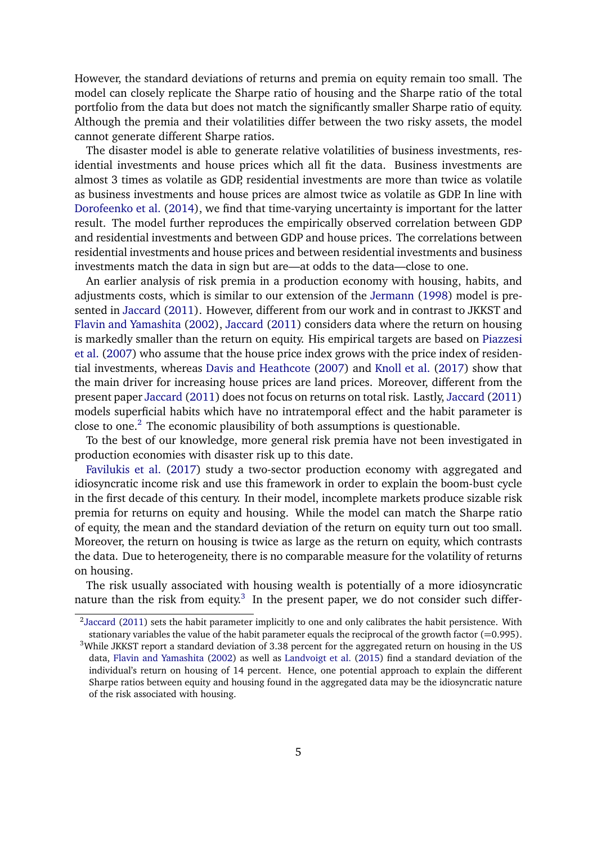However, the standard deviations of returns and premia on equity remain too small. The model can closely replicate the Sharpe ratio of housing and the Sharpe ratio of the total portfolio from the data but does not match the significantly smaller Sharpe ratio of equity. Although the premia and their volatilities differ between the two risky assets, the model cannot generate different Sharpe ratios.

The disaster model is able to generate relative volatilities of business investments, residential investments and house prices which all fit the data. Business investments are almost 3 times as volatile as GDP, residential investments are more than twice as volatile as business investments and house prices are almost twice as volatile as GDP. In line with [Dorofeenko et al.](#page-34-6) [\(2014\)](#page-34-6), we find that time-varying uncertainty is important for the latter result. The model further reproduces the empirically observed correlation between GDP and residential investments and between GDP and house prices. The correlations between residential investments and house prices and between residential investments and business investments match the data in sign but are—at odds to the data—close to one.

An earlier analysis of risk premia in a production economy with housing, habits, and adjustments costs, which is similar to our extension of the [Jermann](#page-35-0) [\(1998\)](#page-35-0) model is presented in [Jaccard](#page-35-5) [\(2011\)](#page-35-5). However, different from our work and in contrast to JKKST and [Flavin and Yamashita](#page-35-6) [\(2002\)](#page-35-6), [Jaccard](#page-35-5) [\(2011\)](#page-35-5) considers data where the return on housing is markedly smaller than the return on equity. His empirical targets are based on [Piazzesi](#page-36-6) [et al.](#page-36-6) [\(2007\)](#page-36-6) who assume that the house price index grows with the price index of residential investments, whereas [Davis and Heathcote](#page-34-7) [\(2007\)](#page-34-7) and [Knoll et al.](#page-36-7) [\(2017\)](#page-36-7) show that the main driver for increasing house prices are land prices. Moreover, different from the present paper [Jaccard](#page-35-5) [\(2011\)](#page-35-5) does not focus on returns on total risk. Lastly, [Jaccard](#page-35-5) [\(2011\)](#page-35-5) models superficial habits which have no intratemporal effect and the habit parameter is close to one.<sup>[2](#page-4-0)</sup> The economic plausibility of both assumptions is questionable.

To the best of our knowledge, more general risk premia have not been investigated in production economies with disaster risk up to this date.

[Favilukis et al.](#page-34-8) [\(2017\)](#page-34-8) study a two-sector production economy with aggregated and idiosyncratic income risk and use this framework in order to explain the boom-bust cycle in the first decade of this century. In their model, incomplete markets produce sizable risk premia for returns on equity and housing. While the model can match the Sharpe ratio of equity, the mean and the standard deviation of the return on equity turn out too small. Moreover, the return on housing is twice as large as the return on equity, which contrasts the data. Due to heterogeneity, there is no comparable measure for the volatility of returns on housing.

The risk usually associated with housing wealth is potentially of a more idiosyncratic nature than the risk from equity.<sup>[3](#page-4-1)</sup> In the present paper, we do not consider such differ-

<span id="page-4-0"></span> $^{2}$ [Jaccard](#page-35-5) [\(2011\)](#page-35-5) sets the habit parameter implicitly to one and only calibrates the habit persistence. With stationary variables the value of the habit parameter equals the reciprocal of the growth factor  $(=0.995)$ .

<span id="page-4-1"></span><sup>&</sup>lt;sup>3</sup>While JKKST report a standard deviation of 3.38 percent for the aggregated return on housing in the US data, [Flavin and Yamashita](#page-35-6) [\(2002\)](#page-35-6) as well as [Landvoigt et al.](#page-36-8) [\(2015\)](#page-36-8) find a standard deviation of the individual's return on housing of 14 percent. Hence, one potential approach to explain the different Sharpe ratios between equity and housing found in the aggregated data may be the idiosyncratic nature of the risk associated with housing.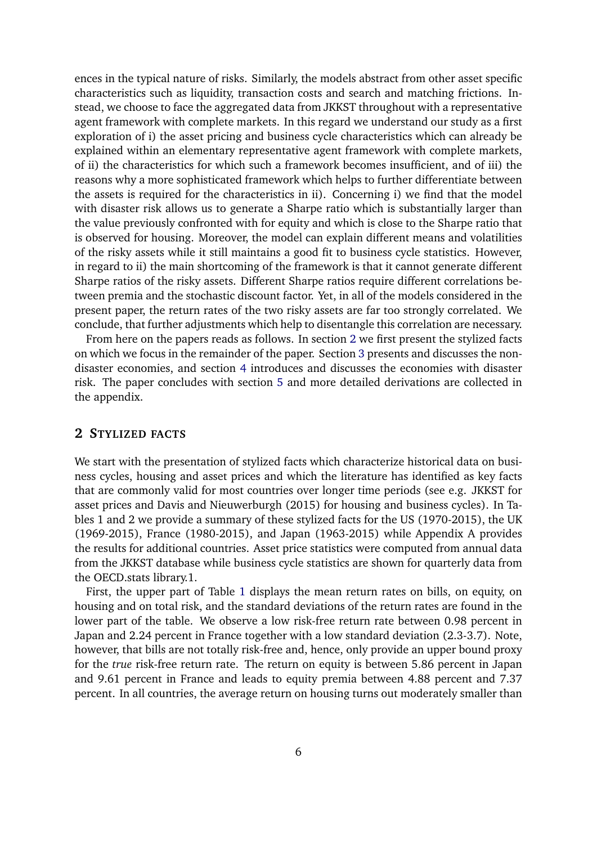ences in the typical nature of risks. Similarly, the models abstract from other asset specific characteristics such as liquidity, transaction costs and search and matching frictions. Instead, we choose to face the aggregated data from JKKST throughout with a representative agent framework with complete markets. In this regard we understand our study as a first exploration of i) the asset pricing and business cycle characteristics which can already be explained within an elementary representative agent framework with complete markets, of ii) the characteristics for which such a framework becomes insufficient, and of iii) the reasons why a more sophisticated framework which helps to further differentiate between the assets is required for the characteristics in ii). Concerning i) we find that the model with disaster risk allows us to generate a Sharpe ratio which is substantially larger than the value previously confronted with for equity and which is close to the Sharpe ratio that is observed for housing. Moreover, the model can explain different means and volatilities of the risky assets while it still maintains a good fit to business cycle statistics. However, in regard to ii) the main shortcoming of the framework is that it cannot generate different Sharpe ratios of the risky assets. Different Sharpe ratios require different correlations between premia and the stochastic discount factor. Yet, in all of the models considered in the present paper, the return rates of the two risky assets are far too strongly correlated. We conclude, that further adjustments which help to disentangle this correlation are necessary.

From here on the papers reads as follows. In section [2](#page-5-0) we first present the stylized facts on which we focus in the remainder of the paper. Section [3](#page-7-0) presents and discusses the nondisaster economies, and section [4](#page-18-0) introduces and discusses the economies with disaster risk. The paper concludes with section [5](#page-32-0) and more detailed derivations are collected in the appendix.

## <span id="page-5-0"></span>**2 STYLIZED FACTS**

We start with the presentation of stylized facts which characterize historical data on business cycles, housing and asset prices and which the literature has identified as key facts that are commonly valid for most countries over longer time periods (see e.g. JKKST for asset prices and Davis and Nieuwerburgh (2015) for housing and business cycles). In Tables 1 and 2 we provide a summary of these stylized facts for the US (1970-2015), the UK (1969-2015), France (1980-2015), and Japan (1963-2015) while Appendix A provides the results for additional countries. Asset price statistics were computed from annual data from the JKKST database while business cycle statistics are shown for quarterly data from the OECD.stats library.1.

First, the upper part of Table [1](#page-6-0) displays the mean return rates on bills, on equity, on housing and on total risk, and the standard deviations of the return rates are found in the lower part of the table. We observe a low risk-free return rate between 0.98 percent in Japan and 2.24 percent in France together with a low standard deviation (2.3-3.7). Note, however, that bills are not totally risk-free and, hence, only provide an upper bound proxy for the *true* risk-free return rate. The return on equity is between 5.86 percent in Japan and 9.61 percent in France and leads to equity premia between 4.88 percent and 7.37 percent. In all countries, the average return on housing turns out moderately smaller than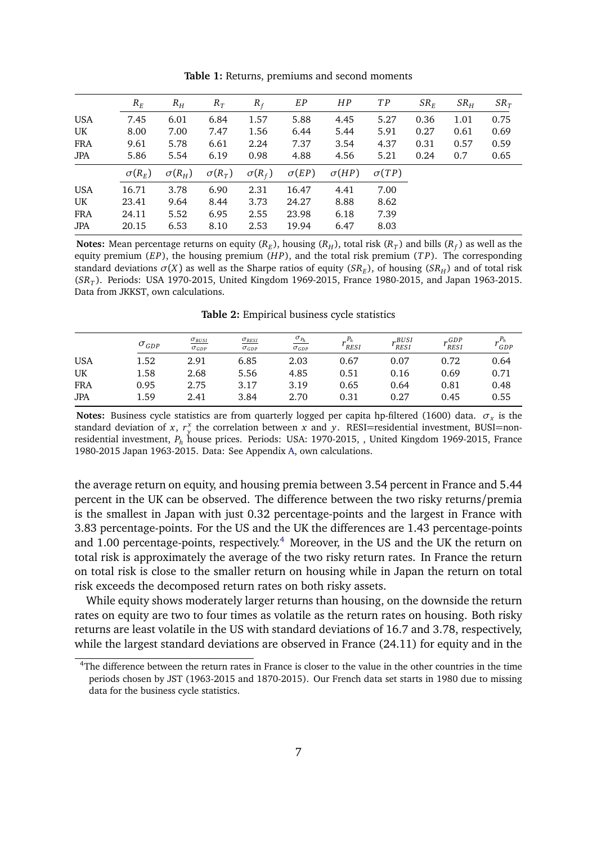<span id="page-6-0"></span>

|            | $R_F$         | $R_H$         | $R_T$         | $R_f$         | EP           | HP           | T P          | $SR_E$ | SR <sub>H</sub> | $SR_T$ |
|------------|---------------|---------------|---------------|---------------|--------------|--------------|--------------|--------|-----------------|--------|
| <b>USA</b> | 7.45          | 6.01          | 6.84          | 1.57          | 5.88         | 4.45         | 5.27         | 0.36   | 1.01            | 0.75   |
| UK         | 8.00          | 7.00          | 7.47          | 1.56          | 6.44         | 5.44         | 5.91         | 0.27   | 0.61            | 0.69   |
| FRA        | 9.61          | 5.78          | 6.61          | 2.24          | 7.37         | 3.54         | 4.37         | 0.31   | 0.57            | 0.59   |
| <b>JPA</b> | 5.86          | 5.54          | 6.19          | 0.98          | 4.88         | 4.56         | 5.21         | 0.24   | 0.7             | 0.65   |
|            | $\sigma(R_E)$ | $\sigma(R_H)$ | $\sigma(R_T)$ | $\sigma(R_f)$ | $\sigma(EP)$ | $\sigma(HP)$ | $\sigma(TP)$ |        |                 |        |
| <b>USA</b> | 16.71         | 3.78          | 6.90          | 2.31          | 16.47        | 4.41         | 7.00         |        |                 |        |
| UK         | 23.41         | 9.64          | 8.44          | 3.73          | 24.27        | 8.88         | 8.62         |        |                 |        |
| FRA        | 24.11         | 5.52          | 6.95          | 2.55          | 23.98        | 6.18         | 7.39         |        |                 |        |
| <b>JPA</b> | 20.15         | 6.53          | 8.10          | 2.53          | 19.94        | 6.47         | 8.03         |        |                 |        |

**Table 1:** Returns, premiums and second moments

**Notes:** Mean percentage returns on equity ( $R_E$ ), housing ( $R_H$ ), total risk ( $R_T$ ) and bills ( $R_f$ ) as well as the equity premium (*EP*), the housing premium (*H P*), and the total risk premium (*T P*). The corresponding standard deviations  $\sigma(X)$  as well as the Sharpe ratios of equity ( $SR_E$ ), of housing ( $SR_H$ ) and of total risk (*SR<sup>T</sup>* ). Periods: USA 1970-2015, United Kingdom 1969-2015, France 1980-2015, and Japan 1963-2015. Data from JKKST, own calculations.

**Table 2:** Empirical business cycle statistics

<span id="page-6-2"></span>

|            | $\sigma_{GDP}$ | $\sigma_{BUSI}$<br>$\sigma_{GDP}$ | $\sigma_{RESI}$<br>$\sigma_{GDP}$ | $\frac{\sigma_{P_h}}{\sigma_{GDP}}$ | RESI <sup></sup> | r <sup>BUSI</sup><br>RESI | $r_{RESI}^{GDP}$ | GDP  |
|------------|----------------|-----------------------------------|-----------------------------------|-------------------------------------|------------------|---------------------------|------------------|------|
| <b>USA</b> | 1.52           | 2.91                              | 6.85                              | 2.03                                | 0.67             | 0.07                      | 0.72             | 0.64 |
| UK         | 1.58           | 2.68                              | 5.56                              | 4.85                                | 0.51             | 0.16                      | 0.69             | 0.71 |
| <b>FRA</b> | 0.95           | 2.75                              | 3.17                              | 3.19                                | 0.65             | 0.64                      | 0.81             | 0.48 |
| <b>JPA</b> | 1.59           | 2.41                              | 3.84                              | 2.70                                | 0.31             | 0.27                      | 0.45             | 0.55 |

**Notes:** Business cycle statistics are from quarterly logged per capita hp-filtered (1600) data.  $\sigma_x$  is the standard deviation of *x*,  $r_y^x$  the correlation between *x* and *y*. RESI=residential investment, BUSI=nonresidential investment, *P<sup>h</sup>* house prices. Periods: USA: 1970-2015, , United Kingdom 1969-2015, France 1980-2015 Japan 1963-2015. Data: See Appendix [A,](#page-38-0) own calculations.

the average return on equity, and housing premia between 3.54 percent in France and 5.44 percent in the UK can be observed. The difference between the two risky returns/premia is the smallest in Japan with just 0.32 percentage-points and the largest in France with 3.83 percentage-points. For the US and the UK the differences are 1.43 percentage-points and 1.00 percentage-points, respectively.<sup>[4](#page-6-1)</sup> Moreover, in the US and the UK the return on total risk is approximately the average of the two risky return rates. In France the return on total risk is close to the smaller return on housing while in Japan the return on total risk exceeds the decomposed return rates on both risky assets.

While equity shows moderately larger returns than housing, on the downside the return rates on equity are two to four times as volatile as the return rates on housing. Both risky returns are least volatile in the US with standard deviations of 16.7 and 3.78, respectively, while the largest standard deviations are observed in France (24.11) for equity and in the

<span id="page-6-1"></span><sup>4</sup>The difference between the return rates in France is closer to the value in the other countries in the time periods chosen by JST (1963-2015 and 1870-2015). Our French data set starts in 1980 due to missing data for the business cycle statistics.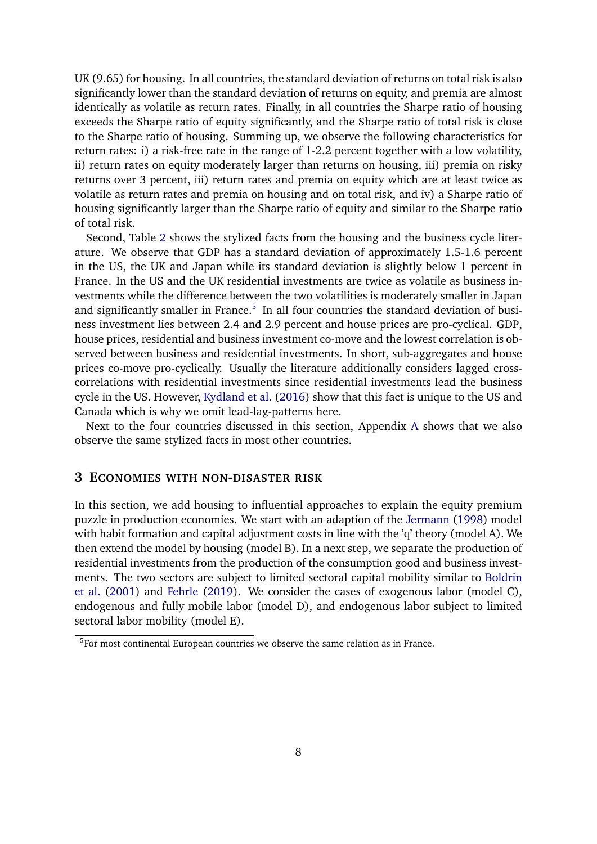UK (9.65) for housing. In all countries, the standard deviation of returns on total risk is also significantly lower than the standard deviation of returns on equity, and premia are almost identically as volatile as return rates. Finally, in all countries the Sharpe ratio of housing exceeds the Sharpe ratio of equity significantly, and the Sharpe ratio of total risk is close to the Sharpe ratio of housing. Summing up, we observe the following characteristics for return rates: i) a risk-free rate in the range of 1-2.2 percent together with a low volatility, ii) return rates on equity moderately larger than returns on housing, iii) premia on risky returns over 3 percent, iii) return rates and premia on equity which are at least twice as volatile as return rates and premia on housing and on total risk, and iv) a Sharpe ratio of housing significantly larger than the Sharpe ratio of equity and similar to the Sharpe ratio of total risk.

Second, Table [2](#page-6-2) shows the stylized facts from the housing and the business cycle literature. We observe that GDP has a standard deviation of approximately 1.5-1.6 percent in the US, the UK and Japan while its standard deviation is slightly below 1 percent in France. In the US and the UK residential investments are twice as volatile as business investments while the difference between the two volatilities is moderately smaller in Japan and significantly smaller in France. $<sup>5</sup>$  $<sup>5</sup>$  $<sup>5</sup>$  In all four countries the standard deviation of busi-</sup> ness investment lies between 2.4 and 2.9 percent and house prices are pro-cyclical. GDP, house prices, residential and business investment co-move and the lowest correlation is observed between business and residential investments. In short, sub-aggregates and house prices co-move pro-cyclically. Usually the literature additionally considers lagged crosscorrelations with residential investments since residential investments lead the business cycle in the US. However, [Kydland et al.](#page-36-5) [\(2016\)](#page-36-5) show that this fact is unique to the US and Canada which is why we omit lead-lag-patterns here.

Next to the four countries discussed in this section, Appendix [A](#page-38-0) shows that we also observe the same stylized facts in most other countries.

## <span id="page-7-0"></span>**3 ECONOMIES WITH NON-DISASTER RISK**

In this section, we add housing to influential approaches to explain the equity premium puzzle in production economies. We start with an adaption of the [Jermann](#page-35-0) [\(1998\)](#page-35-0) model with habit formation and capital adjustment costs in line with the 'q' theory (model A). We then extend the model by housing (model B). In a next step, we separate the production of residential investments from the production of the consumption good and business investments. The two sectors are subject to limited sectoral capital mobility similar to [Boldrin](#page-34-0) [et al.](#page-34-0) [\(2001\)](#page-34-0) and [Fehrle](#page-34-4) [\(2019\)](#page-34-4). We consider the cases of exogenous labor (model C), endogenous and fully mobile labor (model D), and endogenous labor subject to limited sectoral labor mobility (model E).

<span id="page-7-1"></span><sup>&</sup>lt;sup>5</sup>For most continental European countries we observe the same relation as in France.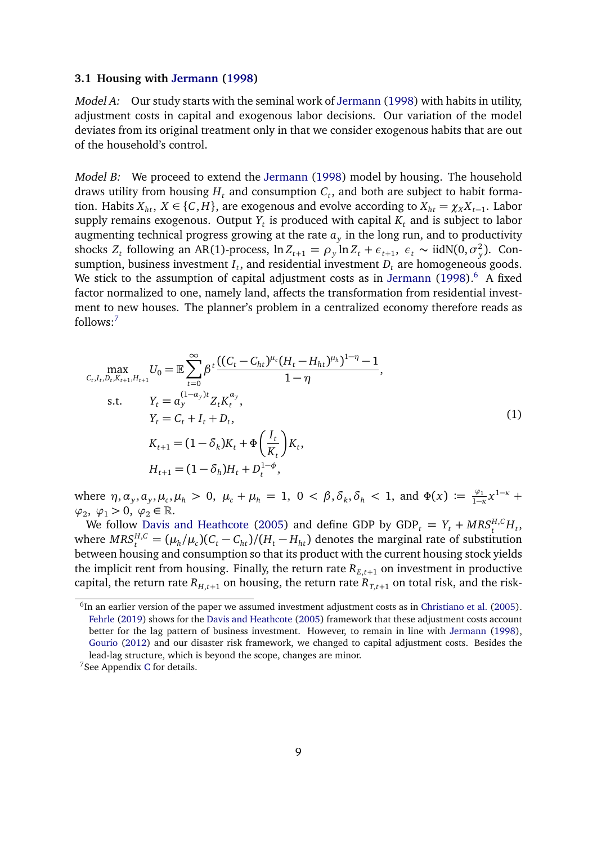#### **3.1 Housing with [Jermann](#page-35-0) [\(1998\)](#page-35-0)**

Model A: Our study starts with the seminal work of [Jermann](#page-35-0) [\(1998\)](#page-35-0) with habits in utility, adjustment costs in capital and exogenous labor decisions. Our variation of the model deviates from its original treatment only in that we consider exogenous habits that are out of the household's control.

Model B: We proceed to extend the [Jermann](#page-35-0) [\(1998\)](#page-35-0) model by housing. The household draws utility from housing  $H_t$  and consumption  $C_t$ , and both are subject to habit formation. Habits  $X_{ht}$ ,  $X \in \{C, H\}$ , are exogenous and evolve according to  $X_{ht} = \chi_X X_{t-1}$ . Labor supply remains exogenous. Output  $Y_t$  is produced with capital  $K_t$  and is subject to labor augmenting technical progress growing at the rate  $a_y$  in the long run, and to productivity shocks  $Z_t$  following an AR(1)-process,  $\ln Z_{t+1} = \rho_y \ln Z_t + \epsilon_{t+1}, \ \epsilon_t \sim \text{iidN}(0, \sigma_y^2)$ *y* ). Consumption, business investment  $I_t$ , and residential investment  $D_t$  are homogeneous goods. We stick to the assumption of capital adjustment costs as in [Jermann](#page-35-0)  $(1998)$ .<sup>[6](#page-8-0)</sup> A fixed factor normalized to one, namely land, affects the transformation from residential investment to new houses. The planner's problem in a centralized economy therefore reads as follows:[7](#page-8-1)

<span id="page-8-2"></span>
$$
\max_{C_t, I_t, D_t, K_{t+1}, H_{t+1}} U_0 = \mathbb{E} \sum_{t=0}^{\infty} \beta^t \frac{\left( (C_t - C_{ht})^{\mu_c} (H_t - H_{ht})^{\mu_h} \right)^{1-\eta} - 1}{1-\eta},
$$
\ns.t.  $Y_t = a_y^{(1-a_y)t} Z_t K_t^{\alpha_y},$   
\n $Y_t = C_t + I_t + D_t,$   
\n $K_{t+1} = (1 - \delta_k) K_t + \Phi \left( \frac{I_t}{K_t} \right) K_t,$   
\n $H_{t+1} = (1 - \delta_h) H_t + D_t^{1-\phi},$ \n(1)

where  $\eta, \alpha_y, a_y, \mu_c, \mu_h > 0$ ,  $\mu_c + \mu_h = 1$ ,  $0 < \beta, \delta_k, \delta_h < 1$ , and  $\Phi(x) := \frac{\varphi_1}{1-x}$  $\frac{\varphi_1}{1-\kappa}x^{1-\kappa}$  +  $\varphi_2, \varphi_1 > 0, \varphi_2 \in \mathbb{R}.$ 

We follow [Davis and Heathcote](#page-34-3) [\(2005\)](#page-34-3) and define GDP by  $GDP_t = Y_t + MRS_t^{H,C}H_t$ where  $MRS_t^{H,C} = (\mu_h/\mu_c)(C_t - C_{ht})/(H_t - H_{ht})$  denotes the marginal rate of substitution between housing and consumption so that its product with the current housing stock yields the implicit rent from housing. Finally, the return rate  $R_{E,t+1}$  on investment in productive capital, the return rate  $R_{H,t+1}$  on housing, the return rate  $R_{T,t+1}$  on total risk, and the risk-

<span id="page-8-0"></span> $<sup>6</sup>$ In an earlier version of the paper we assumed investment adjustment costs as in [Christiano et al.](#page-34-9) [\(2005\)](#page-34-9).</sup> [Fehrle](#page-34-4) [\(2019\)](#page-34-4) shows for the [Davis and Heathcote](#page-34-3) [\(2005\)](#page-34-3) framework that these adjustment costs account better for the lag pattern of business investment. However, to remain in line with [Jermann](#page-35-0) [\(1998\)](#page-35-0), [Gourio](#page-35-1) [\(2012\)](#page-35-1) and our disaster risk framework, we changed to capital adjustment costs. Besides the lead-lag structure, which is beyond the scope, changes are minor.

<span id="page-8-1"></span><sup>7</sup>See Appendix [C](#page-44-0) for details.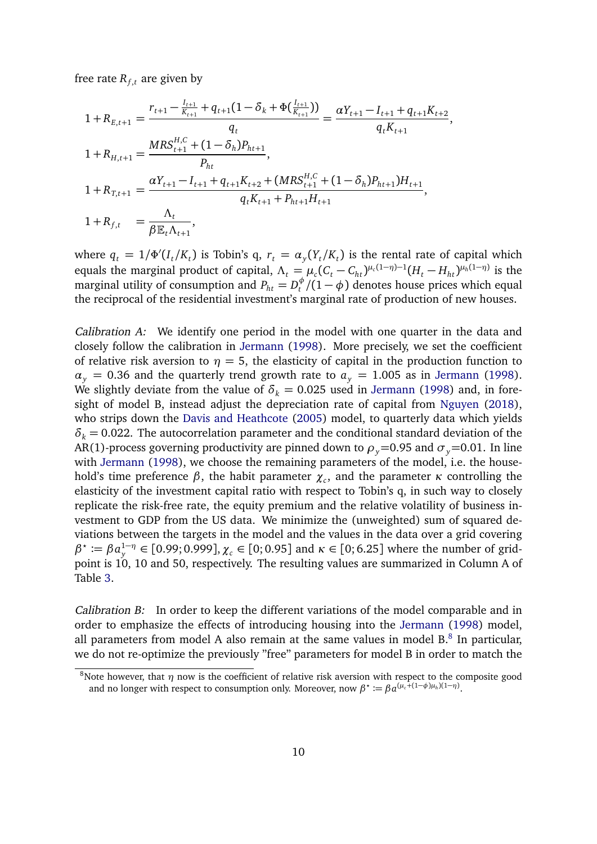free rate  $R_{f,t}$  are given by

$$
1 + R_{E,t+1} = \frac{r_{t+1} - \frac{I_{t+1}}{K_{t+1}} + q_{t+1}(1 - \delta_k + \Phi(\frac{I_{t+1}}{K_{t+1}}))}{q_t} = \frac{\alpha Y_{t+1} - I_{t+1} + q_{t+1} K_{t+2}}{q_t K_{t+1}},
$$
  
\n
$$
1 + R_{H,t+1} = \frac{MRS_{t+1}^{H,C} + (1 - \delta_h)P_{ht+1}}{P_{ht}},
$$
  
\n
$$
1 + R_{T,t+1} = \frac{\alpha Y_{t+1} - I_{t+1} + q_{t+1} K_{t+2} + (MRS_{t+1}^{H,C} + (1 - \delta_h)P_{ht+1})H_{t+1}}{q_t K_{t+1} + P_{ht+1} H_{t+1}},
$$
  
\n
$$
1 + R_{f,t} = \frac{\Lambda_t}{\beta E_t \Lambda_{t+1}},
$$

where  $q_t = 1/\Phi'(I_t/K_t)$  is Tobin's  $q, r_t = \alpha_y(Y_t/K_t)$  is the rental rate of capital which equals the marginal product of capital,  $\Lambda_t = \mu_c (C_t - C_{ht})^{\mu_c (1-\eta)-1} (H_t - H_{ht})^{\mu_h (1-\eta)}$  is the marginal utility of consumption and  $P_{ht} = D_t^{\phi}/(1-\phi)$  denotes house prices which equal the reciprocal of the residential investment's marginal rate of production of new houses.

Calibration A: We identify one period in the model with one quarter in the data and closely follow the calibration in [Jermann](#page-35-0) [\(1998\)](#page-35-0). More precisely, we set the coefficient of relative risk aversion to  $\eta = 5$ , the elasticity of capital in the production function to  $\alpha$ <sub>*y*</sub> = 0.36 and the quarterly trend growth rate to  $a$ <sub>*y*</sub> = 1.005 as in [Jermann](#page-35-0) [\(1998\)](#page-35-0). We slightly deviate from the value of  $\delta_k = 0.025$  used in [Jermann](#page-35-0) [\(1998\)](#page-35-0) and, in foresight of model B, instead adjust the depreciation rate of capital from [Nguyen](#page-36-4) [\(2018\)](#page-36-4), who strips down the [Davis and Heathcote](#page-34-3) [\(2005\)](#page-34-3) model, to quarterly data which yields  $\delta_k$  = 0.022. The autocorrelation parameter and the conditional standard deviation of the AR(1)-process governing productivity are pinned down to  $\rho_y$ =0.95 and  $\sigma_y$ =0.01. In line with [Jermann](#page-35-0) [\(1998\)](#page-35-0), we choose the remaining parameters of the model, i.e. the household's time preference *β*, the habit parameter *χ<sup>c</sup>* , and the parameter *κ* controlling the elasticity of the investment capital ratio with respect to Tobin's q, in such way to closely replicate the risk-free rate, the equity premium and the relative volatility of business investment to GDP from the US data. We minimize the (unweighted) sum of squared deviations between the targets in the model and the values in the data over a grid covering *β*<sup>★</sup> := *β* $a_y^{1-\eta}$  ∈ [0.99; 0.999], *χ<sub>c</sub>* ∈ [0; 0.95] and *κ* ∈ [0; 6.25] where the number of gridpoint is 10, 10 and 50, respectively. The resulting values are summarized in Column A of Table [3.](#page-10-0)

Calibration B: In order to keep the different variations of the model comparable and in order to emphasize the effects of introducing housing into the [Jermann](#page-35-0) [\(1998\)](#page-35-0) model, all parameters from model A also remain at the same values in model  $B$ .<sup>[8](#page-9-0)</sup> In particular, we do not re-optimize the previously "free" parameters for model B in order to match the

<span id="page-9-0"></span><sup>&</sup>lt;sup>8</sup>Note however, that  $\eta$  now is the coefficient of relative risk aversion with respect to the composite good and no longer with respect to consumption only. Moreover, now  $\beta^* := \beta a^{(\mu_c + (1-\phi)\mu_h)(1-\eta)}$ .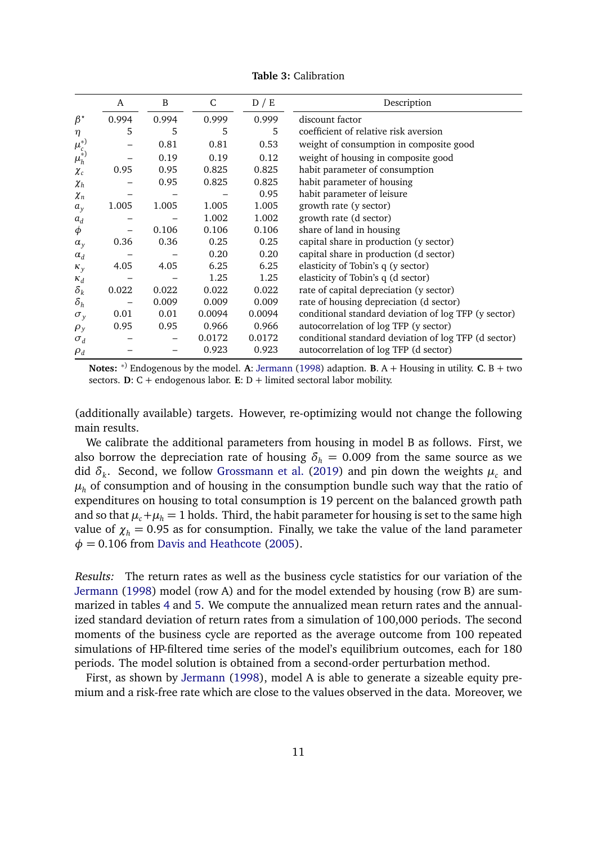<span id="page-10-0"></span>

|                 | A     | B     | C      | D / E  | Description                                          |
|-----------------|-------|-------|--------|--------|------------------------------------------------------|
| $\beta^{\star}$ | 0.994 | 0.994 | 0.999  | 0.999  | discount factor                                      |
| $\eta$          | 5     | 5     | 5      | 5      | coefficient of relative risk aversion                |
| $\mu_c^{*}$     |       | 0.81  | 0.81   | 0.53   | weight of consumption in composite good              |
| $\mu_h^{(*)}$   |       | 0.19  | 0.19   | 0.12   | weight of housing in composite good                  |
| $\chi_c$        | 0.95  | 0.95  | 0.825  | 0.825  | habit parameter of consumption                       |
| $\chi_{h}$      |       | 0.95  | 0.825  | 0.825  | habit parameter of housing                           |
| $\chi_n$        |       |       |        | 0.95   | habit parameter of leisure                           |
| $a_y$           | 1.005 | 1.005 | 1.005  | 1.005  | growth rate (y sector)                               |
| $a_d$           |       |       | 1.002  | 1.002  | growth rate (d sector)                               |
| φ               |       | 0.106 | 0.106  | 0.106  | share of land in housing                             |
| $\alpha_{y}$    | 0.36  | 0.36  | 0.25   | 0.25   | capital share in production (y sector)               |
| $\alpha_d$      |       |       | 0.20   | 0.20   | capital share in production (d sector)               |
| $\kappa_{y}$    | 4.05  | 4.05  | 6.25   | 6.25   | elasticity of Tobin's q (y sector)                   |
| $\kappa_d$      |       |       | 1.25   | 1.25   | elasticity of Tobin's q (d sector)                   |
| $\delta_k$      | 0.022 | 0.022 | 0.022  | 0.022  | rate of capital depreciation (y sector)              |
| $\delta_h$      |       | 0.009 | 0.009  | 0.009  | rate of housing depreciation (d sector)              |
| $\sigma_y$      | 0.01  | 0.01  | 0.0094 | 0.0094 | conditional standard deviation of log TFP (y sector) |
| $\rho_y$        | 0.95  | 0.95  | 0.966  | 0.966  | autocorrelation of log TFP (y sector)                |
| $\sigma_d$      |       |       | 0.0172 | 0.0172 | conditional standard deviation of log TFP (d sector) |
| $\rho_d$        |       |       | 0.923  | 0.923  | autocorrelation of log TFP (d sector)                |

**Table 3:** Calibration

**Notes:** <sup>∗</sup>) Endogenous by the model. **A**: [Jermann](#page-35-0) [\(1998\)](#page-35-0) adaption. **B**. A + Housing in utility. **C**. B + two sectors. **D**:  $C$  + endogenous labor. **E**:  $D$  + limited sectoral labor mobility.

(additionally available) targets. However, re-optimizing would not change the following main results.

We calibrate the additional parameters from housing in model B as follows. First, we also borrow the depreciation rate of housing  $\delta_h = 0.009$  from the same source as we did *δ<sup>k</sup>* . Second, we follow [Grossmann et al.](#page-35-7) [\(2019\)](#page-35-7) and pin down the weights *µ<sup>c</sup>* and  $\mu_h$  of consumption and of housing in the consumption bundle such way that the ratio of expenditures on housing to total consumption is 19 percent on the balanced growth path and so that  $\mu_c + \mu_h = 1$  holds. Third, the habit parameter for housing is set to the same high value of  $\chi_h$  = 0.95 as for consumption. Finally, we take the value of the land parameter  $\phi$  = 0.106 from [Davis and Heathcote](#page-34-3) [\(2005\)](#page-34-3).

Results: The return rates as well as the business cycle statistics for our variation of the [Jermann](#page-35-0) [\(1998\)](#page-35-0) model (row A) and for the model extended by housing (row B) are summarized in tables [4](#page-11-0) and [5.](#page-12-0) We compute the annualized mean return rates and the annualized standard deviation of return rates from a simulation of 100,000 periods. The second moments of the business cycle are reported as the average outcome from 100 repeated simulations of HP-filtered time series of the model's equilibrium outcomes, each for 180 periods. The model solution is obtained from a second-order perturbation method.

First, as shown by [Jermann](#page-35-0) [\(1998\)](#page-35-0), model A is able to generate a sizeable equity premium and a risk-free rate which are close to the values observed in the data. Moreover, we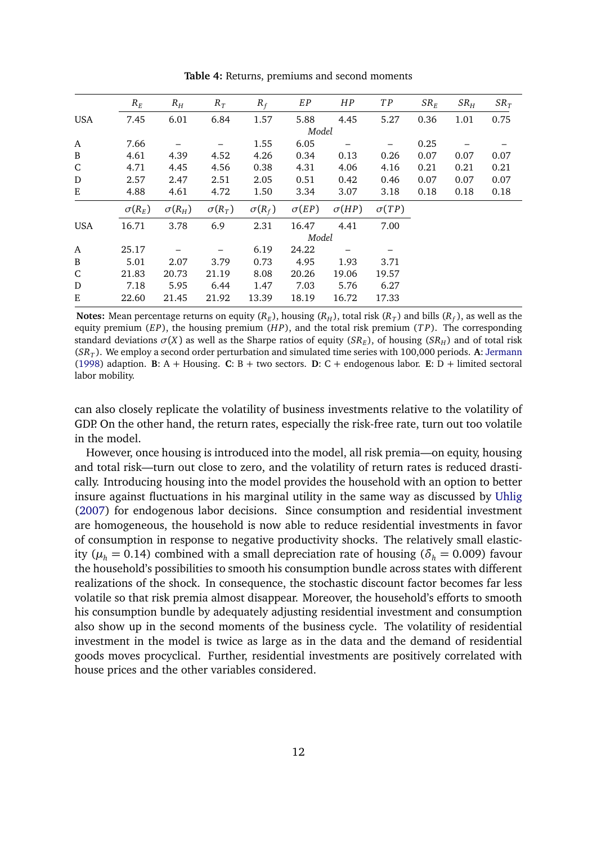<span id="page-11-0"></span>

|              | $R_E$         | $R_H$         | $R_T$         | $R_f$         | EP           | HP           | TP           | $SR_E$ | $SR_H$ | $SR_T$ |
|--------------|---------------|---------------|---------------|---------------|--------------|--------------|--------------|--------|--------|--------|
| <b>USA</b>   | 7.45          | 6.01          | 6.84          | 1.57          | 5.88         | 4.45         | 5.27         | 0.36   | 1.01   | 0.75   |
|              |               |               |               |               | Model        |              |              |        |        |        |
| $\mathbf{A}$ | 7.66          |               |               | 1.55          | 6.05         |              |              | 0.25   |        |        |
| B            | 4.61          | 4.39          | 4.52          | 4.26          | 0.34         | 0.13         | 0.26         | 0.07   | 0.07   | 0.07   |
| ${\rm C}$    | 4.71          | 4.45          | 4.56          | 0.38          | 4.31         | 4.06         | 4.16         | 0.21   | 0.21   | 0.21   |
| D            | 2.57          | 2.47          | 2.51          | 2.05          | 0.51         | 0.42         | 0.46         | 0.07   | 0.07   | 0.07   |
| E            | 4.88          | 4.61          | 4.72          | 1.50          | 3.34         | 3.07         | 3.18         | 0.18   | 0.18   | 0.18   |
|              | $\sigma(R_E)$ | $\sigma(R_H)$ | $\sigma(R_T)$ | $\sigma(R_f)$ | $\sigma(EP)$ | $\sigma(HP)$ | $\sigma(TP)$ |        |        |        |
| <b>USA</b>   | 16.71         | 3.78          | 6.9           | 2.31          | 16.47        | 4.41         | 7.00         |        |        |        |
|              |               |               |               |               | Model        |              |              |        |        |        |
| A            | 25.17         |               |               | 6.19          | 24.22        |              |              |        |        |        |
| B            | 5.01          | 2.07          | 3.79          | 0.73          | 4.95         | 1.93         | 3.71         |        |        |        |
| ${\bf C}$    | 21.83         | 20.73         | 21.19         | 8.08          | 20.26        | 19.06        | 19.57        |        |        |        |
| D            | 7.18          | 5.95          | 6.44          | 1.47          | 7.03         | 5.76         | 6.27         |        |        |        |
| Ε            | 22.60         | 21.45         | 21.92         | 13.39         | 18.19        | 16.72        | 17.33        |        |        |        |

**Table 4:** Returns, premiums and second moments

**Notes:** Mean percentage returns on equity ( $R_E$ ), housing ( $R_H$ ), total risk ( $R_T$ ) and bills ( $R_f$ ), as well as the equity premium (*EP*), the housing premium (*H P*), and the total risk premium (*T P*). The corresponding standard deviations  $\sigma(X)$  as well as the Sharpe ratios of equity ( $SR_E$ ), of housing ( $SR_H$ ) and of total risk (*SR<sup>T</sup>* ). We employ a second order perturbation and simulated time series with 100,000 periods. **A**: [Jermann](#page-35-0) [\(1998\)](#page-35-0) adaption. **B**: A + Housing. **C**: B + two sectors. **D**: C + endogenous labor. **E**: D + limited sectoral labor mobility.

can also closely replicate the volatility of business investments relative to the volatility of GDP. On the other hand, the return rates, especially the risk-free rate, turn out too volatile in the model.

However, once housing is introduced into the model, all risk premia—on equity, housing and total risk—turn out close to zero, and the volatility of return rates is reduced drastically. Introducing housing into the model provides the household with an option to better insure against fluctuations in his marginal utility in the same way as discussed by [Uhlig](#page-36-9) [\(2007\)](#page-36-9) for endogenous labor decisions. Since consumption and residential investment are homogeneous, the household is now able to reduce residential investments in favor of consumption in response to negative productivity shocks. The relatively small elasticity ( $\mu_h$  = 0.14) combined with a small depreciation rate of housing ( $\delta_h$  = 0.009) favour the household's possibilities to smooth his consumption bundle across states with different realizations of the shock. In consequence, the stochastic discount factor becomes far less volatile so that risk premia almost disappear. Moreover, the household's efforts to smooth his consumption bundle by adequately adjusting residential investment and consumption also show up in the second moments of the business cycle. The volatility of residential investment in the model is twice as large as in the data and the demand of residential goods moves procyclical. Further, residential investments are positively correlated with house prices and the other variables considered.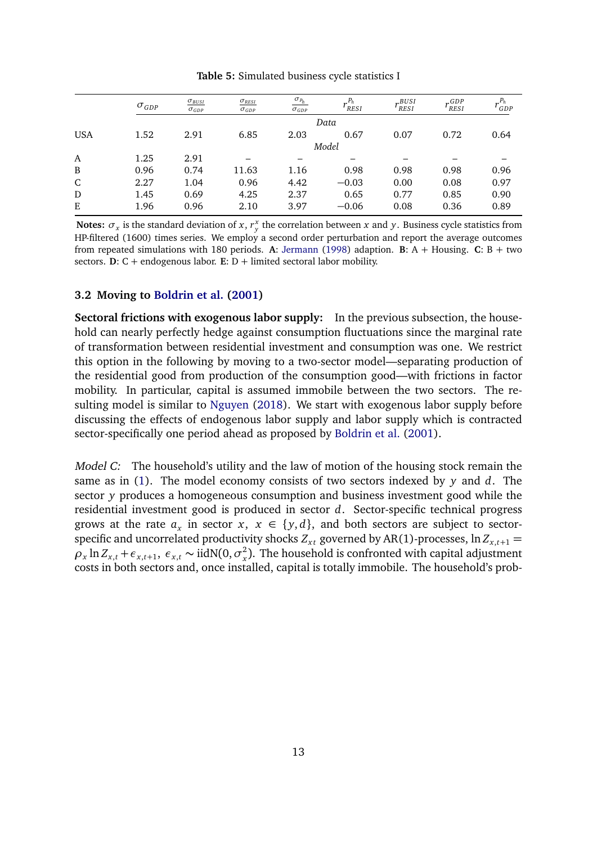<span id="page-12-0"></span>

|             | $\sigma_{GDP}$ | $\sigma_{BUSI}$<br>$\sigma_{GDP}$ | $\sigma_{RESI}$<br>$\sigma_{GDP}$ | $\sigma_{P_h}$<br>$\sigma_{GDP}$ | $P_h$<br>' RESI | BUSI<br><b>RESI</b> | $\cdot$ GDP<br><b>RESI</b> | $P_h$<br>GDP |
|-------------|----------------|-----------------------------------|-----------------------------------|----------------------------------|-----------------|---------------------|----------------------------|--------------|
|             |                |                                   |                                   |                                  | Data            |                     |                            |              |
| <b>USA</b>  | 1.52           | 2.91                              | 6.85                              | 2.03                             | 0.67            | 0.07                | 0.72                       | 0.64         |
|             |                |                                   |                                   |                                  | Model           |                     |                            |              |
| A           | 1.25           | 2.91                              |                                   |                                  |                 |                     |                            |              |
| B           | 0.96           | 0.74                              | 11.63                             | 1.16                             | 0.98            | 0.98                | 0.98                       | 0.96         |
| $\mathsf C$ | 2.27           | 1.04                              | 0.96                              | 4.42                             | $-0.03$         | 0.00                | 0.08                       | 0.97         |
| D           | 1.45           | 0.69                              | 4.25                              | 2.37                             | 0.65            | 0.77                | 0.85                       | 0.90         |
| Ε           | 1.96           | 0.96                              | 2.10                              | 3.97                             | $-0.06$         | 0.08                | 0.36                       | 0.89         |

**Notes:**  $\sigma_x$  is the standard deviation of *x*,  $r_y^x$  the correlation between *x* and *y*. Business cycle statistics from HP-filtered (1600) times series. We employ a second order perturbation and report the average outcomes from repeated simulations with 180 periods. A: [Jermann](#page-35-0) [\(1998\)](#page-35-0) adaption. **B**: A + Housing. **C**: B + two sectors. **D**:  $C$  + endogenous labor. **E**:  $D$  + limited sectoral labor mobility.

#### **3.2 Moving to [Boldrin et al.](#page-34-0) [\(2001\)](#page-34-0)**

**Sectoral frictions with exogenous labor supply:** In the previous subsection, the household can nearly perfectly hedge against consumption fluctuations since the marginal rate of transformation between residential investment and consumption was one. We restrict this option in the following by moving to a two-sector model—separating production of the residential good from production of the consumption good—with frictions in factor mobility. In particular, capital is assumed immobile between the two sectors. The resulting model is similar to [Nguyen](#page-36-4) [\(2018\)](#page-36-4). We start with exogenous labor supply before discussing the effects of endogenous labor supply and labor supply which is contracted sector-specifically one period ahead as proposed by [Boldrin et al.](#page-34-0) [\(2001\)](#page-34-0).

Model C: The household's utility and the law of motion of the housing stock remain the same as in [\(1\)](#page-8-2). The model economy consists of two sectors indexed by *y* and *d*. The sector *y* produces a homogeneous consumption and business investment good while the residential investment good is produced in sector *d*. Sector-specific technical progress grows at the rate  $a_x$  in sector  $x, x \in \{y, d\}$ , and both sectors are subject to sectorspecific and uncorrelated productivity shocks  $Z_{xt}$  governed by AR(1)-processes,  $\ln Z_{x,t+1} =$  $\rho_x \ln Z_{x,t} + \epsilon_{x,t+1}, \ \epsilon_{x,t} \sim \text{iidN}(0, \sigma_x^2)$  $\sigma_{\rm x}^2$ ). The household is confronted with capital adjustment costs in both sectors and, once installed, capital is totally immobile. The household's prob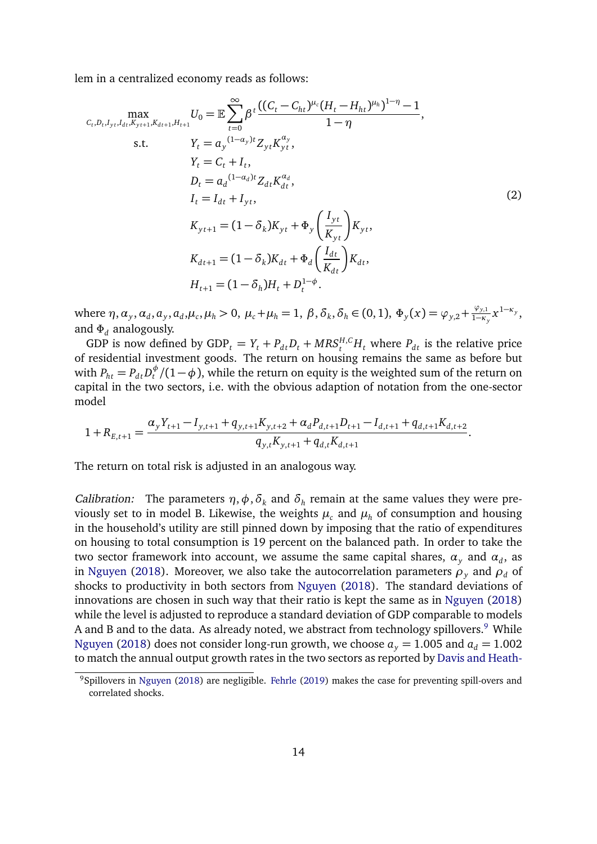lem in a centralized economy reads as follows:

<span id="page-13-1"></span>
$$
\max_{C_{t},D_{t},I_{yt},I_{dt},K_{yt+1},H_{t+1}} U_{0} = \mathbb{E} \sum_{t=0}^{\infty} \beta^{t} \frac{((C_{t} - C_{ht})^{\mu_{c}} (H_{t} - H_{ht})^{\mu_{h}})^{1-\eta} - 1}{1-\eta},
$$
\ns.t.  $Y_{t} = a_{y}^{(1-a_{y})t} Z_{yt} K_{yt}^{\alpha_{y}},$   
\n $Y_{t} = C_{t} + I_{t},$   
\n $D_{t} = a_{d}^{(1-a_{d})t} Z_{dt} K_{dt}^{\alpha_{d}},$   
\n $I_{t} = I_{dt} + I_{yt},$   
\n $K_{yt+1} = (1 - \delta_{k}) K_{yt} + \Phi_{y} \left( \frac{I_{yt}}{K_{yt}} \right) K_{yt},$   
\n $K_{dt+1} = (1 - \delta_{k}) K_{dt} + \Phi_{d} \left( \frac{I_{dt}}{K_{dt}} \right) K_{dt},$   
\n $H_{t+1} = (1 - \delta_{h}) H_{t} + D_{t}^{1-\phi}.$  (2)

where  $\eta$ ,  $\alpha_y$ ,  $\alpha_d$ ,  $a_y$ ,  $a_d$ ,  $\mu_c$ ,  $\mu_h > 0$ ,  $\mu_c + \mu_h = 1$ ,  $\beta$ ,  $\delta_k$ ,  $\delta_h \in (0, 1)$ ,  $\Phi_y(x) = \varphi_{y,2} + \frac{\varphi_{y,1}}{1-\kappa}$  $\frac{\varphi_{y,1}}{1-\kappa_y}x^{1-\kappa_y},$ and *Φ<sup>d</sup>* analogously.

GDP is now defined by  $GDP_t = Y_t + P_{dt}D_t + MRS_t^{H,C}H_t$  where  $P_{dt}$  is the relative price of residential investment goods. The return on housing remains the same as before but with  $P_{ht} = P_{dt} D_t^{\phi} / (1 - \phi)$ , while the return on equity is the weighted sum of the return on capital in the two sectors, i.e. with the obvious adaption of notation from the one-sector model

$$
1 + R_{E,t+1} = \frac{\alpha_y Y_{t+1} - I_{y,t+1} + q_{y,t+1} K_{y,t+2} + \alpha_d P_{d,t+1} D_{t+1} - I_{d,t+1} + q_{d,t+1} K_{d,t+2}}{q_{y,t} K_{y,t+1} + q_{d,t} K_{d,t+1}}.
$$

The return on total risk is adjusted in an analogous way.

*Calibration:* The parameters  $\eta$ ,  $\phi$ ,  $\delta_k$  and  $\delta_h$  remain at the same values they were previously set to in model B. Likewise, the weights  $\mu_c$  and  $\mu_h$  of consumption and housing in the household's utility are still pinned down by imposing that the ratio of expenditures on housing to total consumption is 19 percent on the balanced path. In order to take the two sector framework into account, we assume the same capital shares,  $\alpha_{y}$  and  $\alpha_{d}$ , as in [Nguyen](#page-36-4) [\(2018\)](#page-36-4). Moreover, we also take the autocorrelation parameters  $\rho$ <sub>*y*</sub> and  $\rho$ <sup>*d*</sup> of shocks to productivity in both sectors from [Nguyen](#page-36-4) [\(2018\)](#page-36-4). The standard deviations of innovations are chosen in such way that their ratio is kept the same as in [Nguyen](#page-36-4) [\(2018\)](#page-36-4) while the level is adjusted to reproduce a standard deviation of GDP comparable to models A and B and to the data. As already noted, we abstract from technology spillovers.<sup>[9](#page-13-0)</sup> While [Nguyen](#page-36-4) [\(2018\)](#page-36-4) does not consider long-run growth, we choose  $a_y = 1.005$  and  $a_d = 1.002$ to match the annual output growth rates in the two sectors as reported by [Davis and Heath-](#page-34-3)

<span id="page-13-0"></span><sup>&</sup>lt;sup>9</sup>Spillovers in [Nguyen](#page-36-4) [\(2018\)](#page-36-4) are negligible. [Fehrle](#page-34-4) [\(2019\) makes the case for preventing spill-overs and](#page-34-3) [correlated shocks.](#page-34-3)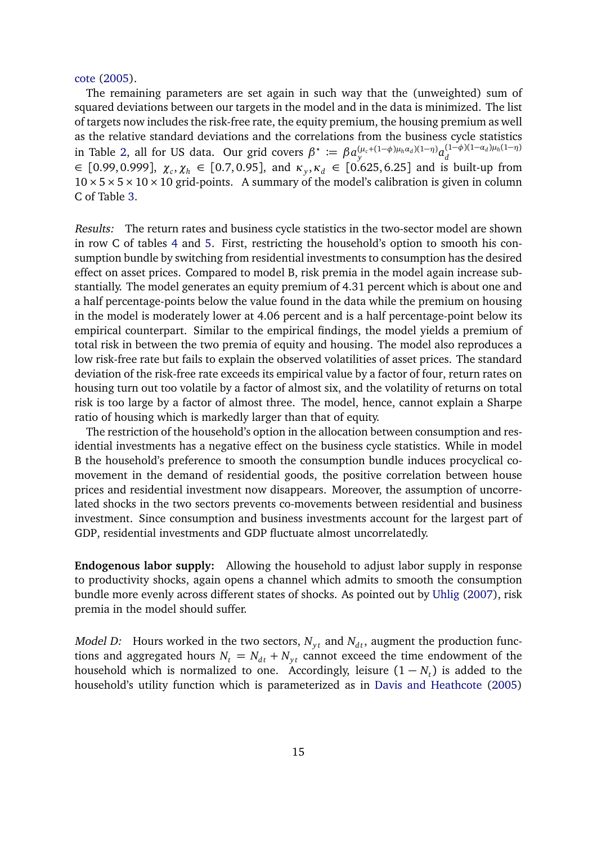[cote](#page-34-3) [\(2005\)](#page-34-3).

The remaining parameters are set again in such way that the (unweighted) sum of squared deviations between our targets in the model and in the data is minimized. The list of targets now includes the risk-free rate, the equity premium, the housing premium as well as the relative standard deviations and the correlations from the business cycle statistics in Table [2,](#page-6-2) all for US data. Our grid covers  $\beta^* := \beta a_y^{(\mu_c + (1-\phi)\mu_h\alpha_d)(1-\eta)} a_d^{(1-\phi)(1-\alpha_d)\mu_h(1-\eta)}$ ∈ [0.99, 0.999], *χ<sup>c</sup>* ,*χ<sup>h</sup>* ∈ [0.7, 0.95], and *κ<sup>y</sup>* ,*κ<sup>d</sup>* ∈ [0.625, 6.25] and is built-up from  $10 \times 5 \times 5 \times 10 \times 10$  grid-points. A summary of the model's calibration is given in column C of Table [3.](#page-10-0)

Results: The return rates and business cycle statistics in the two-sector model are shown in row C of tables [4](#page-11-0) and [5.](#page-12-0) First, restricting the household's option to smooth his consumption bundle by switching from residential investments to consumption has the desired effect on asset prices. Compared to model B, risk premia in the model again increase substantially. The model generates an equity premium of 4.31 percent which is about one and a half percentage-points below the value found in the data while the premium on housing in the model is moderately lower at 4.06 percent and is a half percentage-point below its empirical counterpart. Similar to the empirical findings, the model yields a premium of total risk in between the two premia of equity and housing. The model also reproduces a low risk-free rate but fails to explain the observed volatilities of asset prices. The standard deviation of the risk-free rate exceeds its empirical value by a factor of four, return rates on housing turn out too volatile by a factor of almost six, and the volatility of returns on total risk is too large by a factor of almost three. The model, hence, cannot explain a Sharpe ratio of housing which is markedly larger than that of equity.

The restriction of the household's option in the allocation between consumption and residential investments has a negative effect on the business cycle statistics. While in model B the household's preference to smooth the consumption bundle induces procyclical comovement in the demand of residential goods, the positive correlation between house prices and residential investment now disappears. Moreover, the assumption of uncorrelated shocks in the two sectors prevents co-movements between residential and business investment. Since consumption and business investments account for the largest part of GDP, residential investments and GDP fluctuate almost uncorrelatedly.

**Endogenous labor supply:** Allowing the household to adjust labor supply in response to productivity shocks, again opens a channel which admits to smooth the consumption bundle more evenly across different states of shocks. As pointed out by [Uhlig](#page-36-9) [\(2007\)](#page-36-9), risk premia in the model should suffer.

*Model D:* Hours worked in the two sectors,  $N_{vt}$  and  $N_{dt}$ , augment the production functions and aggregated hours  $N_t = N_{dt} + N_{yt}$  cannot exceed the time endowment of the household which is normalized to one. Accordingly, leisure  $(1 - N_t)$  is added to the household's utility function which is parameterized as in [Davis and Heathcote](#page-34-3) [\(2005\)](#page-34-3)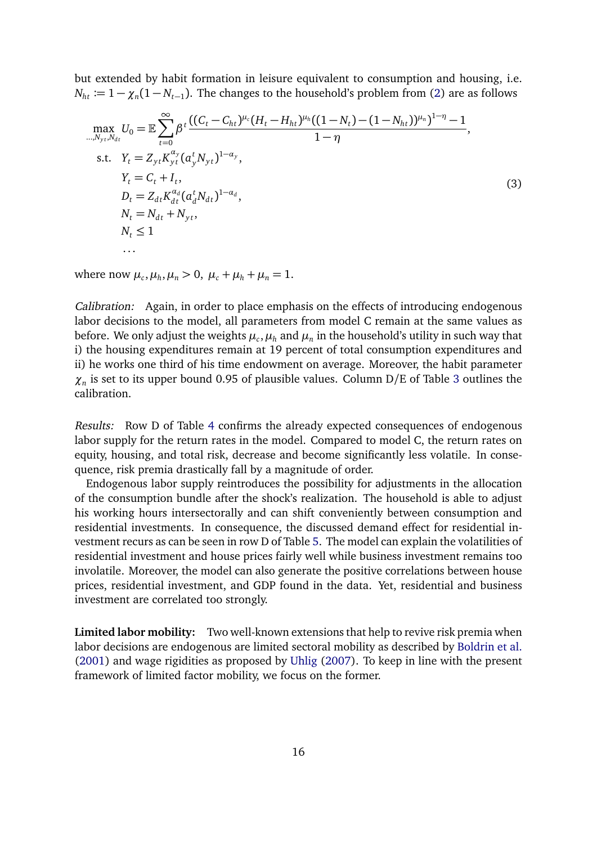but extended by habit formation in leisure equivalent to consumption and housing, i.e.  $N_{ht} \coloneqq 1 - \chi_n(1 - N_{t-1})$ . The changes to the household's problem from [\(2\)](#page-13-1) are as follows

<span id="page-15-0"></span>
$$
\max_{\substack{m,N_{yt},N_{dt} \\ m \neq 0}} U_0 = \mathbb{E} \sum_{t=0}^{\infty} \beta^t \frac{((C_t - C_{ht})^{\mu_c} (H_t - H_{ht})^{\mu_h} ((1 - N_t) - (1 - N_{ht}))^{\mu_n})^{1 - \eta} - 1}{1 - \eta},
$$
\ns.t.  $Y_t = Z_{yt} K_{yt}^{\alpha_y} (a_y^t N_{yt})^{1 - \alpha_y},$   
\n $Y_t = C_t + I_t,$   
\n $D_t = Z_{dt} K_{dt}^{\alpha_d} (a_d^t N_{dt})^{1 - \alpha_d},$   
\n $N_t = N_{dt} + N_{yt},$   
\n $N_t \le 1$ 

where now  $\mu_c$ ,  $\mu_h$ ,  $\mu_n > 0$ ,  $\mu_c + \mu_h + \mu_n = 1$ .

Calibration: Again, in order to place emphasis on the effects of introducing endogenous labor decisions to the model, all parameters from model C remain at the same values as before. We only adjust the weights  $\mu_c,\mu_h$  and  $\mu_n$  in the household's utility in such way that i) the housing expenditures remain at 19 percent of total consumption expenditures and ii) he works one third of his time endowment on average. Moreover, the habit parameter *χn* is set to its upper bound 0.95 of plausible values. Column D/E of Table [3](#page-10-0) outlines the calibration.

Results: Row D of Table [4](#page-11-0) confirms the already expected consequences of endogenous labor supply for the return rates in the model. Compared to model C, the return rates on equity, housing, and total risk, decrease and become significantly less volatile. In consequence, risk premia drastically fall by a magnitude of order.

Endogenous labor supply reintroduces the possibility for adjustments in the allocation of the consumption bundle after the shock's realization. The household is able to adjust his working hours intersectorally and can shift conveniently between consumption and residential investments. In consequence, the discussed demand effect for residential investment recurs as can be seen in row D of Table [5.](#page-12-0) The model can explain the volatilities of residential investment and house prices fairly well while business investment remains too involatile. Moreover, the model can also generate the positive correlations between house prices, residential investment, and GDP found in the data. Yet, residential and business investment are correlated too strongly.

**Limited labor mobility:** Two well-known extensions that help to revive risk premia when labor decisions are endogenous are limited sectoral mobility as described by [Boldrin et al.](#page-34-0) [\(2001\)](#page-34-0) and wage rigidities as proposed by [Uhlig](#page-36-9) [\(2007\)](#page-36-9). To keep in line with the present framework of limited factor mobility, we focus on the former.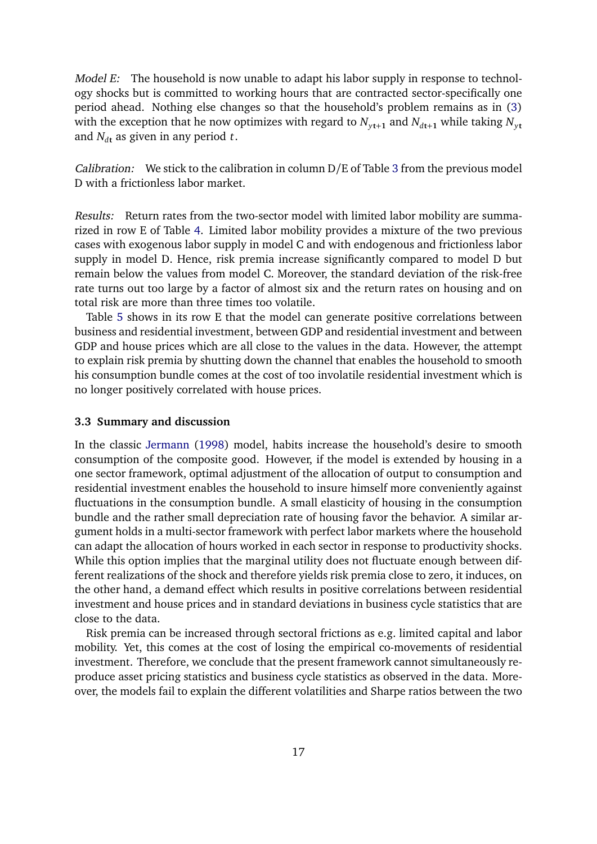Model E: The household is now unable to adapt his labor supply in response to technology shocks but is committed to working hours that are contracted sector-specifically one period ahead. Nothing else changes so that the household's problem remains as in [\(3\)](#page-15-0) with the exception that he now optimizes with regard to  $N_{v_{t+1}}$  and  $N_{d_{t+1}}$  while taking  $N_{v_{t}}$ and  $N_{d\textbf{t}}$  as given in any period *t*.

Calibration: We stick to the calibration in column D/E of Table [3](#page-10-0) from the previous model D with a frictionless labor market.

Results: Return rates from the two-sector model with limited labor mobility are summarized in row E of Table [4.](#page-11-0) Limited labor mobility provides a mixture of the two previous cases with exogenous labor supply in model C and with endogenous and frictionless labor supply in model D. Hence, risk premia increase significantly compared to model D but remain below the values from model C. Moreover, the standard deviation of the risk-free rate turns out too large by a factor of almost six and the return rates on housing and on total risk are more than three times too volatile.

Table [5](#page-12-0) shows in its row E that the model can generate positive correlations between business and residential investment, between GDP and residential investment and between GDP and house prices which are all close to the values in the data. However, the attempt to explain risk premia by shutting down the channel that enables the household to smooth his consumption bundle comes at the cost of too involatile residential investment which is no longer positively correlated with house prices.

#### **3.3 Summary and discussion**

In the classic [Jermann](#page-35-0) [\(1998\)](#page-35-0) model, habits increase the household's desire to smooth consumption of the composite good. However, if the model is extended by housing in a one sector framework, optimal adjustment of the allocation of output to consumption and residential investment enables the household to insure himself more conveniently against fluctuations in the consumption bundle. A small elasticity of housing in the consumption bundle and the rather small depreciation rate of housing favor the behavior. A similar argument holds in a multi-sector framework with perfect labor markets where the household can adapt the allocation of hours worked in each sector in response to productivity shocks. While this option implies that the marginal utility does not fluctuate enough between different realizations of the shock and therefore yields risk premia close to zero, it induces, on the other hand, a demand effect which results in positive correlations between residential investment and house prices and in standard deviations in business cycle statistics that are close to the data.

Risk premia can be increased through sectoral frictions as e.g. limited capital and labor mobility. Yet, this comes at the cost of losing the empirical co-movements of residential investment. Therefore, we conclude that the present framework cannot simultaneously reproduce asset pricing statistics and business cycle statistics as observed in the data. Moreover, the models fail to explain the different volatilities and Sharpe ratios between the two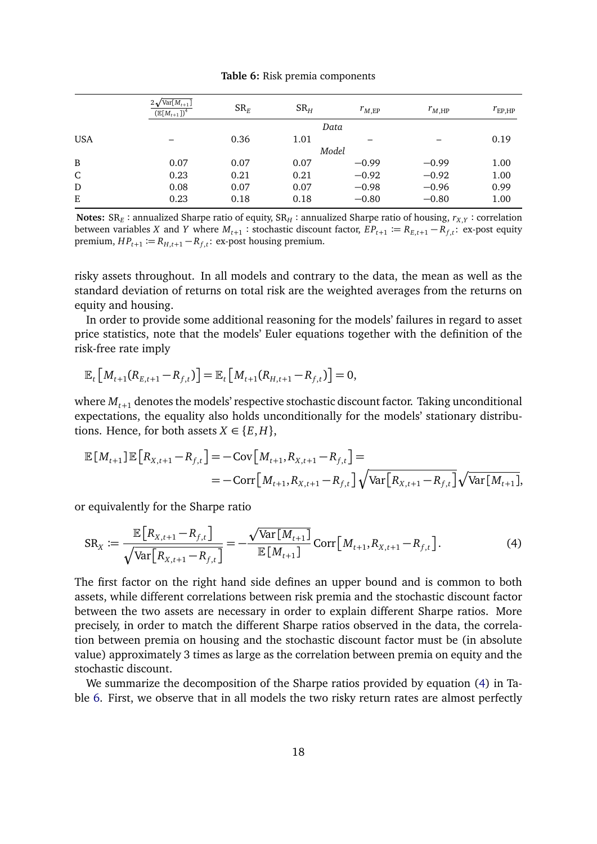#### **Table 6:** Risk premia components

<span id="page-17-1"></span>

|            | $2\sqrt{\text{Var}[M_{t+1}]}$<br>$(\mathbb{E}[M_{t+1}])^4$ | $SR_F$ | SR <sub>H</sub> | $r_{M,\text{EP}}$ | $r_{M,\text{HP}}$ | $r_{\rm EP,HP}$ |
|------------|------------------------------------------------------------|--------|-----------------|-------------------|-------------------|-----------------|
|            |                                                            |        |                 | Data              |                   |                 |
| <b>USA</b> |                                                            | 0.36   | 1.01            |                   |                   | 0.19            |
|            |                                                            |        | Model           |                   |                   |                 |
| B          | 0.07                                                       | 0.07   | 0.07            | $-0.99$           | $-0.99$           | 1.00            |
| C          | 0.23                                                       | 0.21   | 0.21            | $-0.92$           | $-0.92$           | 1.00            |
| D          | 0.08                                                       | 0.07   | 0.07            | $-0.98$           | $-0.96$           | 0.99            |
| E          | 0.23                                                       | 0.18   | 0.18            | $-0.80$           | $-0.80$           | 1.00            |

 $\bf{Notes:}$   $\rm{SR}_E$  : annualized Sharpe ratio of equity,  $\rm{SR}_H$  : annualized Sharpe ratio of housing,  $r_{X,Y}$  : correlation between variables *X* and *Y* where  $M_{t+1}$ : stochastic discount factor,  $EP_{t+1} := R_{E,t+1} - R_{f,t}$ : ex-post equity  $premium, HP_{t+1} := R_{H,t+1} - R_{f,t}$ : ex-post housing premium.

risky assets throughout. In all models and contrary to the data, the mean as well as the standard deviation of returns on total risk are the weighted averages from the returns on equity and housing.

In order to provide some additional reasoning for the models' failures in regard to asset price statistics, note that the models' Euler equations together with the definition of the risk-free rate imply

$$
\mathbb{E}_t\big[M_{t+1}(R_{E,t+1}-R_{f,t})\big]=\mathbb{E}_t\big[M_{t+1}(R_{H,t+1}-R_{f,t})\big]=0,
$$

where  $M_{t+1}$  denotes the models' respective stochastic discount factor. Taking unconditional expectations, the equality also holds unconditionally for the models' stationary distributions. Hence, for both assets  $X \in \{E, H\}$ ,

$$
\mathbb{E}[M_{t+1}] \mathbb{E}[R_{X,t+1} - R_{f,t}] = -\text{Cov}[M_{t+1}, R_{X,t+1} - R_{f,t}] =
$$
  
= -\text{Corr}[M\_{t+1}, R\_{X,t+1} - R\_{f,t}] \sqrt{\text{Var}[R\_{X,t+1} - R\_{f,t}]}\sqrt{\text{Var}[M\_{t+1}]},

or equivalently for the Sharpe ratio

<span id="page-17-0"></span>
$$
SR_X := \frac{\mathbb{E}\left[R_{X,t+1} - R_{f,t}\right]}{\sqrt{\text{Var}\left[R_{X,t+1} - R_{f,t}\right]}} = -\frac{\sqrt{\text{Var}\left[M_{t+1}\right]}}{\mathbb{E}\left[M_{t+1}\right]} \text{Corr}\left[M_{t+1}, R_{X,t+1} - R_{f,t}\right].\tag{4}
$$

The first factor on the right hand side defines an upper bound and is common to both assets, while different correlations between risk premia and the stochastic discount factor between the two assets are necessary in order to explain different Sharpe ratios. More precisely, in order to match the different Sharpe ratios observed in the data, the correlation between premia on housing and the stochastic discount factor must be (in absolute value) approximately 3 times as large as the correlation between premia on equity and the stochastic discount.

We summarize the decomposition of the Sharpe ratios provided by equation [\(4\)](#page-17-0) in Table [6.](#page-17-1) First, we observe that in all models the two risky return rates are almost perfectly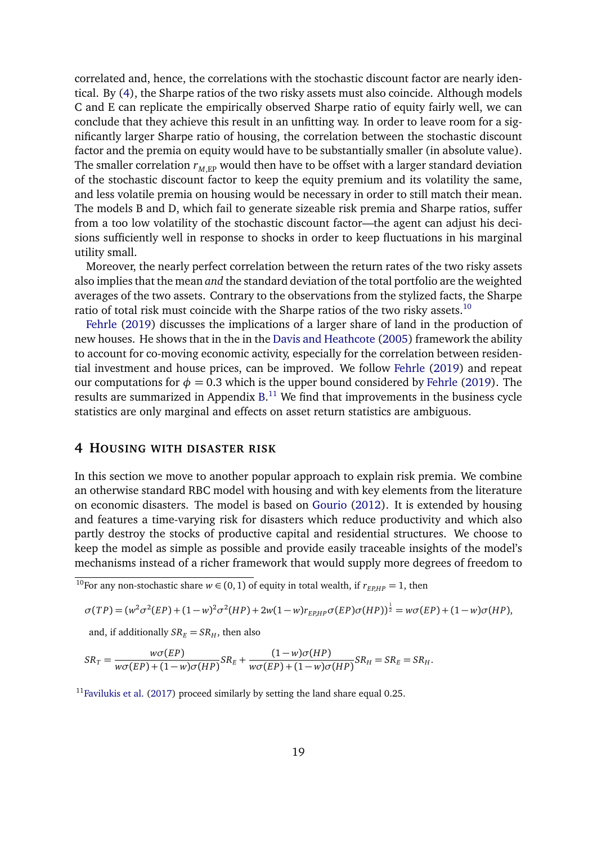correlated and, hence, the correlations with the stochastic discount factor are nearly identical. By [\(4\)](#page-17-0), the Sharpe ratios of the two risky assets must also coincide. Although models C and E can replicate the empirically observed Sharpe ratio of equity fairly well, we can conclude that they achieve this result in an unfitting way. In order to leave room for a significantly larger Sharpe ratio of housing, the correlation between the stochastic discount factor and the premia on equity would have to be substantially smaller (in absolute value). The smaller correlation  $r_{M,EP}$  would then have to be offset with a larger standard deviation of the stochastic discount factor to keep the equity premium and its volatility the same, and less volatile premia on housing would be necessary in order to still match their mean. The models B and D, which fail to generate sizeable risk premia and Sharpe ratios, suffer from a too low volatility of the stochastic discount factor—the agent can adjust his decisions sufficiently well in response to shocks in order to keep fluctuations in his marginal utility small.

Moreover, the nearly perfect correlation between the return rates of the two risky assets also implies that the mean *and* the standard deviation of the total portfolio are the weighted averages of the two assets. Contrary to the observations from the stylized facts, the Sharpe ratio of total risk must coincide with the Sharpe ratios of the two risky assets.<sup>[10](#page-18-1)</sup>

[Fehrle](#page-34-4) [\(2019\)](#page-34-4) discusses the implications of a larger share of land in the production of new houses. He shows that in the in the [Davis and Heathcote](#page-34-3) [\(2005\)](#page-34-3) framework the ability to account for co-moving economic activity, especially for the correlation between residential investment and house prices, can be improved. We follow [Fehrle](#page-34-4) [\(2019\)](#page-34-4) and repeat our computations for  $\phi = 0.3$  which is the upper bound considered by [Fehrle](#page-34-4) [\(2019\)](#page-34-4). The results are summarized in Appendix  $B$ .<sup>[11](#page-18-2)</sup> We find that improvements in the business cycle statistics are only marginal and effects on asset return statistics are ambiguous.

## <span id="page-18-0"></span>**4 HOUSING WITH DISASTER RISK**

In this section we move to another popular approach to explain risk premia. We combine an otherwise standard RBC model with housing and with key elements from the literature on economic disasters. The model is based on [Gourio](#page-35-1) [\(2012\)](#page-35-1). It is extended by housing and features a time-varying risk for disasters which reduce productivity and which also partly destroy the stocks of productive capital and residential structures. We choose to keep the model as simple as possible and provide easily traceable insights of the model's mechanisms instead of a richer framework that would supply more degrees of freedom to

$$
\sigma(TP) = (w^2 \sigma^2 (EP) + (1 - w)^2 \sigma^2 (HP) + 2w(1 - w)r_{EPHP} \sigma (EP) \sigma (HP))^{\frac{1}{2}} = w \sigma (EP) + (1 - w) \sigma (HP),
$$

and, if additionally  $SR_E = SR_H$ , then also

$$
SR_T = \frac{w\sigma(EP)}{w\sigma(EP) + (1 - w)\sigma(HP)}SR_E + \frac{(1 - w)\sigma(HP)}{w\sigma(EP) + (1 - w)\sigma(HP)}SR_H = SR_E = SR_H.
$$

<span id="page-18-2"></span> $11$  [Favilukis et al.](#page-34-8) [\(2017\)](#page-34-8) proceed similarly by setting the land share equal 0.25.

<span id="page-18-1"></span> $\frac{10}{10}$  For any non-stochastic share  $w \in (0, 1)$  of equity in total wealth, if  $r_{EPHP} = 1$ , then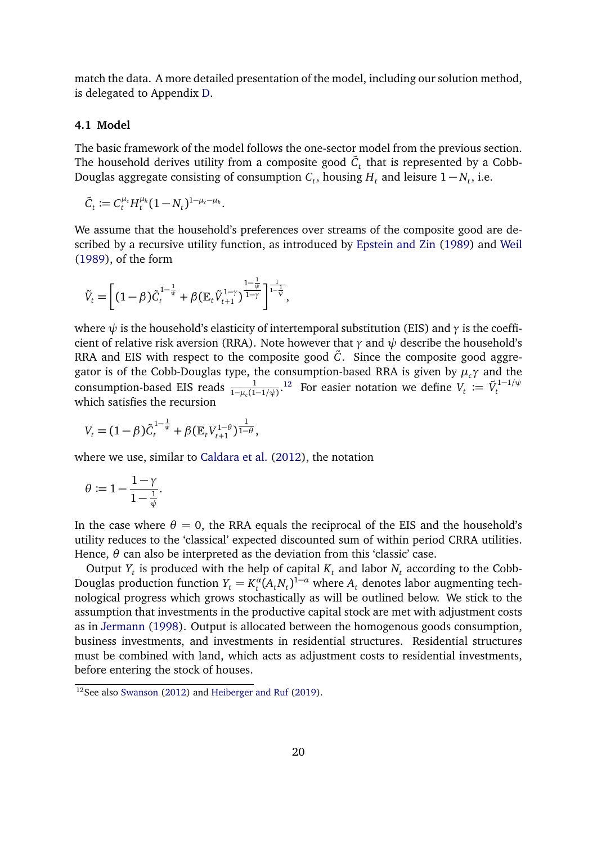match the data. A more detailed presentation of the model, including our solution method, is delegated to Appendix [D.](#page-49-0)

#### **4.1 Model**

The basic framework of the model follows the one-sector model from the previous section. The household derives utility from a composite good  $\tilde{C}_t$  that is represented by a Cobb-Douglas aggregate consisting of consumption  $C_t$ , housing  $H_t$  and leisure  $1 - N_t$ , i.e.

$$
\tilde{C}_t := C_t^{\mu_c} H_t^{\mu_h} (1 - N_t)^{1 - \mu_c - \mu_h}.
$$

We assume that the household's preferences over streams of the composite good are described by a recursive utility function, as introduced by [Epstein and Zin](#page-34-5) [\(1989\)](#page-34-5) and [Weil](#page-36-1) [\(1989\)](#page-36-1), of the form

$$
\tilde{V}_t = \left[ (1-\beta) \tilde{C}_t^{1-\frac{1}{\psi}} + \beta (\mathbb{E}_t \tilde{V}_{t+1}^{1-\gamma})^{\frac{1-\frac{1}{\psi}}{1-\gamma}} \right]^{\frac{1}{1-\frac{1}{\psi}}},
$$

where *ψ* is the household's elasticity of intertemporal substitution (EIS) and *γ* is the coefficient of relative risk aversion (RRA). Note however that *γ* and *ψ* describe the household's RRA and EIS with respect to the composite good  $\tilde{C}$ . Since the composite good aggregator is of the Cobb-Douglas type, the consumption-based RRA is given by *µcγ* and the consumption-based EIS reads  $\frac{1}{1-\mu_c(1-1/\psi)}$ .<sup>[12](#page-19-0)</sup> For easier notation we define  $V_t := \tilde{V}_t^{1-1/\psi}$ which satisfies the recursion

$$
V_t = (1 - \beta) \tilde{C}_t^{1 - \frac{1}{\psi}} + \beta (\mathbb{E}_t V_{t+1}^{1 - \theta})^{\frac{1}{1 - \theta}},
$$

where we use, similar to [Caldara et al.](#page-34-10) [\(2012\)](#page-34-10), the notation

$$
\theta \coloneqq 1 - \frac{1-\gamma}{1-\frac{1}{\psi}}.
$$

In the case where  $\theta = 0$ , the RRA equals the reciprocal of the EIS and the household's utility reduces to the 'classical' expected discounted sum of within period CRRA utilities. Hence,  $\theta$  can also be interpreted as the deviation from this 'classic' case.

Output  $Y_t$  is produced with the help of capital  $K_t$  and labor  $N_t$  according to the Cobb-Douglas production function  $Y_t = K_t^a$  $\int_t^a (A_t N_t)^{1-a}$  where  $A_t$  denotes labor augmenting technological progress which grows stochastically as will be outlined below. We stick to the assumption that investments in the productive capital stock are met with adjustment costs as in [Jermann](#page-35-0) [\(1998\)](#page-35-0). Output is allocated between the homogenous goods consumption, business investments, and investments in residential structures. Residential structures must be combined with land, which acts as adjustment costs to residential investments, before entering the stock of houses.

<span id="page-19-0"></span> $12$ See also [Swanson](#page-36-10) [\(2012\)](#page-36-10) and [Heiberger and Ruf](#page-35-8) [\(2019\)](#page-35-8).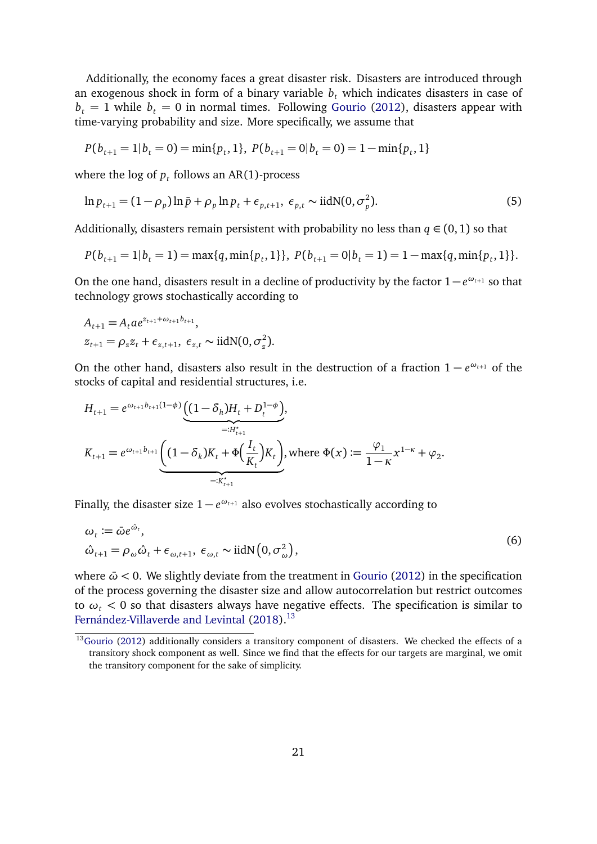Additionally, the economy faces a great disaster risk. Disasters are introduced through an exogenous shock in form of a binary variable  $b<sub>t</sub>$  which indicates disasters in case of  $b<sub>t</sub> = 1$  while  $b<sub>t</sub> = 0$  in normal times. Following [Gourio](#page-35-1) [\(2012\)](#page-35-1), disasters appear with time-varying probability and size. More specifically, we assume that

<span id="page-20-1"></span>
$$
P(b_{t+1} = 1 | b_t = 0) = \min\{p_t, 1\}, \ P(b_{t+1} = 0 | b_t = 0) = 1 - \min\{p_t, 1\}
$$

where the log of  $p_t$  follows an AR(1)-process

$$
\ln p_{t+1} = (1 - \rho_p) \ln \bar{p} + \rho_p \ln p_t + \epsilon_{p,t+1}, \ \epsilon_{p,t} \sim \text{iidN}(0, \sigma_p^2). \tag{5}
$$

Additionally, disasters remain persistent with probability no less than  $q \in (0,1)$  so that

$$
P(b_{t+1}=1|b_t=1)=\max\{q,\min\{p_t,1\}\},\ P(b_{t+1}=0|b_t=1)=1-\max\{q,\min\{p_t,1\}\}.
$$

On the one hand, disasters result in a decline of productivity by the factor 1− *e <sup>ω</sup>t*+<sup>1</sup> so that technology grows stochastically according to

$$
A_{t+1} = A_t a e^{z_{t+1} + \omega_{t+1} b_{t+1}},
$$
  
\n
$$
z_{t+1} = \rho_z z_t + \epsilon_{z,t+1}, \ \epsilon_{z,t} \sim \text{iidN}(0, \sigma_z^2).
$$

On the other hand, disasters also result in the destruction of a fraction  $1 - e^{\omega_{t+1}}$  of the stocks of capital and residential structures, i.e.

$$
H_{t+1} = e^{\omega_{t+1}b_{t+1}(1-\phi)} \underbrace{\left((1-\delta_h)H_t + D_t^{1-\phi}\right)}_{=:H_{t+1}^*},
$$
\n
$$
K_{t+1} = e^{\omega_{t+1}b_{t+1}} \underbrace{\left((1-\delta_k)K_t + \Phi\left(\frac{I_t}{K_t}\right)K_t\right)}_{=:K_{t+1}^*},
$$
\nwhere  $\Phi(x) := \frac{\varphi_1}{1-\kappa} x^{1-\kappa} + \varphi_2$ .

Finally, the disaster size 1 − *e <sup>ω</sup>t*+<sup>1</sup> also evolves stochastically according to

<span id="page-20-2"></span>
$$
\omega_t := \bar{\omega} e^{\hat{\omega}_t},
$$
  
\n
$$
\hat{\omega}_{t+1} = \rho_\omega \hat{\omega}_t + \epsilon_{\omega, t+1}, \ \epsilon_{\omega, t} \sim \text{iidN}\left(0, \sigma_\omega^2\right),
$$
\n(6)

where  $\bar{\omega}$  < 0. We slightly deviate from the treatment in [Gourio](#page-35-1) [\(2012\)](#page-35-1) in the specification of the process governing the disaster size and allow autocorrelation but restrict outcomes to  $\omega_t$  < 0 so that disasters always have negative effects. The specification is similar to [Fernández-Villaverde and Levintal](#page-35-9) [\(2018\)](#page-35-9).<sup>[13](#page-20-0)</sup>

<span id="page-20-0"></span><sup>&</sup>lt;sup>13</sup>[Gourio](#page-35-1) [\(2012\)](#page-35-1) additionally considers a transitory component of disasters. We checked the effects of a transitory shock component as well. Since we find that the effects for our targets are marginal, we omit the transitory component for the sake of simplicity.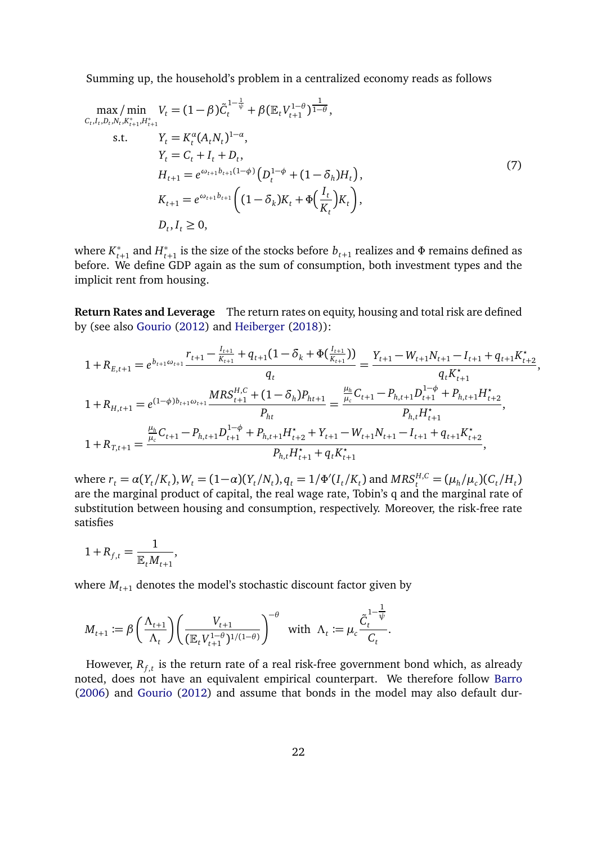Summing up, the household's problem in a centralized economy reads as follows

$$
\max_{C_{t}, I_{t}, D_{t}, N_{t}, K_{t+1}^{*}, H_{t+1}^{*}} V_{t} = (1 - \beta) \tilde{C}_{t}^{1 - \frac{1}{\psi}} + \beta (\mathbb{E}_{t} V_{t+1}^{1 - \theta})^{\frac{1}{1 - \theta}},
$$
  
\ns.t. 
$$
Y_{t} = K_{t}^{\alpha} (A_{t} N_{t})^{1 - \alpha},
$$

$$
Y_{t} = C_{t} + I_{t} + D_{t},
$$

$$
H_{t+1} = e^{\omega_{t+1} b_{t+1} (1 - \phi)} (D_{t}^{1 - \phi} + (1 - \delta_{h}) H_{t}),
$$

$$
K_{t+1} = e^{\omega_{t+1} b_{t+1}} ((1 - \delta_{k}) K_{t} + \Phi(\frac{I_{t}}{K_{t}}) K_{t}),
$$

$$
D_{t}, I_{t} \ge 0,
$$

$$
(7)
$$

where  $K_{t+1}^*$  and  $H_{t+1}^*$  is the size of the stocks before  $b_{t+1}$  realizes and  $\Phi$  remains defined as before. We define GDP again as the sum of consumption, both investment types and the implicit rent from housing.

**Return Rates and Leverage** The return rates on equity, housing and total risk are defined by (see also [Gourio](#page-35-1) [\(2012\)](#page-35-1) and [Heiberger](#page-35-10) [\(2018\)](#page-35-10)):

$$
1 + R_{E,t+1} = e^{b_{t+1}\omega_{t+1}} \frac{r_{t+1} - \frac{I_{t+1}}{K_{t+1}} + q_{t+1}(1 - \delta_k + \Phi(\frac{I_{t+1}}{K_{t+1}}))}{q_t} = \frac{Y_{t+1} - W_{t+1}N_{t+1} - I_{t+1} + q_{t+1}K_{t+2}^*}{q_t K_{t+1}^*},
$$
  
\n
$$
1 + R_{H,t+1} = e^{(1-\phi)b_{t+1}\omega_{t+1}} \frac{MRS_{t+1}^{H,C} + (1 - \delta_h)P_{ht+1}}{P_{ht}} = \frac{\frac{\mu_h}{\mu_c}C_{t+1} - P_{h,t+1}D_{t+1}^{1-\phi} + P_{h,t+1}H_{t+2}^*}{P_{h,t}H_{t+1}^*},
$$
  
\n
$$
1 + R_{T,t+1} = \frac{\frac{\mu_h}{\mu_c}C_{t+1} - P_{h,t+1}D_{t+1}^{1-\phi} + P_{h,t+1}H_{t+2}^* + Y_{t+1} - W_{t+1}N_{t+1} - I_{t+1} + q_{t+1}K_{t+2}^*}{P_{h,t}H_{t+1}^* + q_t K_{t+1}^*},
$$

where  $r_t = \alpha(Y_t/K_t)$ ,  $W_t = (1-\alpha)(Y_t/N_t)$ ,  $q_t = 1/\Phi'(I_t/K_t)$  and  $MRS_t^{H,C} = (\mu_h/\mu_c)(C_t/H_t)$ are the marginal product of capital, the real wage rate, Tobin's q and the marginal rate of substitution between housing and consumption, respectively. Moreover, the risk-free rate satisfies

$$
1 + R_{f,t} = \frac{1}{\mathbb{E}_t M_{t+1}},
$$

where  $M_{t+1}$  denotes the model's stochastic discount factor given by

$$
M_{t+1} := \beta \left(\frac{\Lambda_{t+1}}{\Lambda_t}\right) \left(\frac{V_{t+1}}{(\mathbb{E}_t V_{t+1}^{1-\theta})^{1/(1-\theta)}}\right)^{-\theta} \quad \text{with} \quad \Lambda_t := \mu_c \frac{\tilde{C}_t^{1-\frac{1}{\psi}}}{C_t}.
$$

However,  $R_{f,t}$  is the return rate of a real risk-free government bond which, as already noted, does not have an equivalent empirical counterpart. We therefore follow [Barro](#page-33-1) [\(2006\)](#page-33-1) and [Gourio](#page-35-1) [\(2012\)](#page-35-1) and assume that bonds in the model may also default dur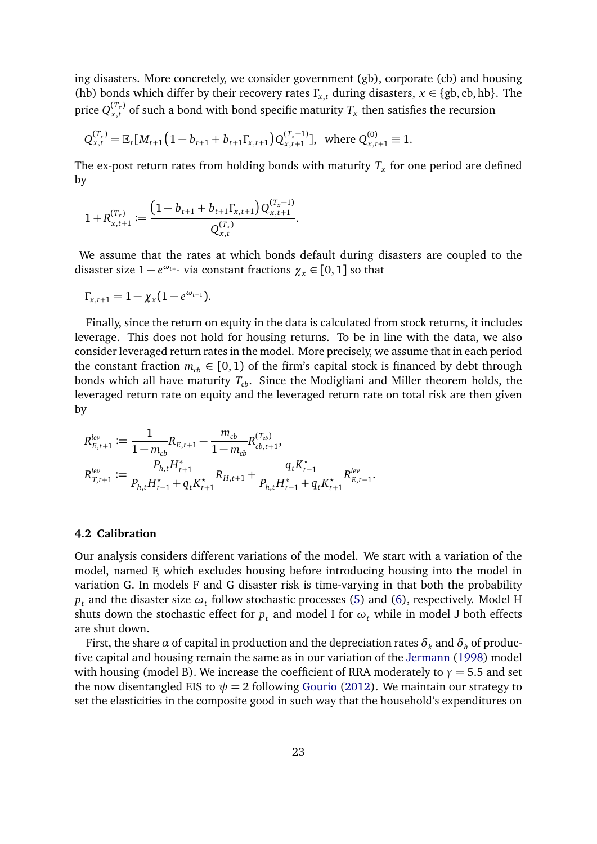ing disasters. More concretely, we consider government (gb), corporate (cb) and housing (hb) bonds which differ by their recovery rates  $\Gamma_{x,t}$  during disasters,  $x \in \{gb, cb, hb\}$ . The price  $Q_{x,t}^{(T_x)}$  of such a bond with bond specific maturity  $T_x$  then satisfies the recursion

$$
Q_{x,t}^{(T_x)} = \mathbb{E}_t[M_{t+1}\left(1 - b_{t+1} + b_{t+1}\Gamma_{x,t+1}\right)Q_{x,t+1}^{(T_x-1)}], \text{ where } Q_{x,t+1}^{(0)} \equiv 1.
$$

The ex-post return rates from holding bonds with maturity  $T_\mathrm{\textbf{x}}$  for one period are defined by

$$
1 + R_{x,t+1}^{(T_x)} := \frac{\left(1 - b_{t+1} + b_{t+1} \Gamma_{x,t+1}\right) Q_{x,t+1}^{(T_x - 1)}}{Q_{x,t}^{(T_x)}}.
$$

We assume that the rates at which bonds default during disasters are coupled to the disaster size  $1 - e^{\omega_{t+1}}$  via constant fractions  $\chi_x \in [0,1]$  so that

$$
\Gamma_{x,t+1} = 1 - \chi_x(1 - e^{\omega_{t+1}}).
$$

Finally, since the return on equity in the data is calculated from stock returns, it includes leverage. This does not hold for housing returns. To be in line with the data, we also consider leveraged return rates in the model. More precisely, we assume that in each period the constant fraction  $m_{cb} \in [0, 1)$  of the firm's capital stock is financed by debt through bonds which all have maturity *Tcb*. Since the Modigliani and Miller theorem holds, the leveraged return rate on equity and the leveraged return rate on total risk are then given by

$$
\begin{aligned} R_{E,t+1}^{lev} &:= \frac{1}{1-m_{cb}}R_{E,t+1} - \frac{m_{cb}}{1-m_{cb}}R_{cb,t+1}^{(T_{cb})}, \\ R_{T,t+1}^{lev} &:= \frac{P_{h,t}H_{t+1}^*}{P_{h,t}H_{t+1}^*+q_tK_{t+1}^*}R_{H,t+1} + \frac{q_tK_{t+1}^*}{P_{h,t}H_{t+1}^*+q_tK_{t+1}^*}R_{E,t+1}^{lev}.\end{aligned}
$$

#### **4.2 Calibration**

Our analysis considers different variations of the model. We start with a variation of the model, named F, which excludes housing before introducing housing into the model in variation G. In models F and G disaster risk is time-varying in that both the probability  $p_t$  and the disaster size  $\omega_t$  follow stochastic processes [\(5\)](#page-20-1) and [\(6\)](#page-20-2), respectively. Model H shuts down the stochastic effect for  $p_t$  and model I for  $\omega_t$  while in model J both effects are shut down.

First, the share  $\alpha$  of capital in production and the depreciation rates  $\delta_k$  and  $\delta_h$  of productive capital and housing remain the same as in our variation of the [Jermann](#page-35-0) [\(1998\)](#page-35-0) model with housing (model B). We increase the coefficient of RRA moderately to  $\gamma = 5.5$  and set the now disentangled EIS to  $\psi = 2$  following [Gourio](#page-35-1) [\(2012\)](#page-35-1). We maintain our strategy to set the elasticities in the composite good in such way that the household's expenditures on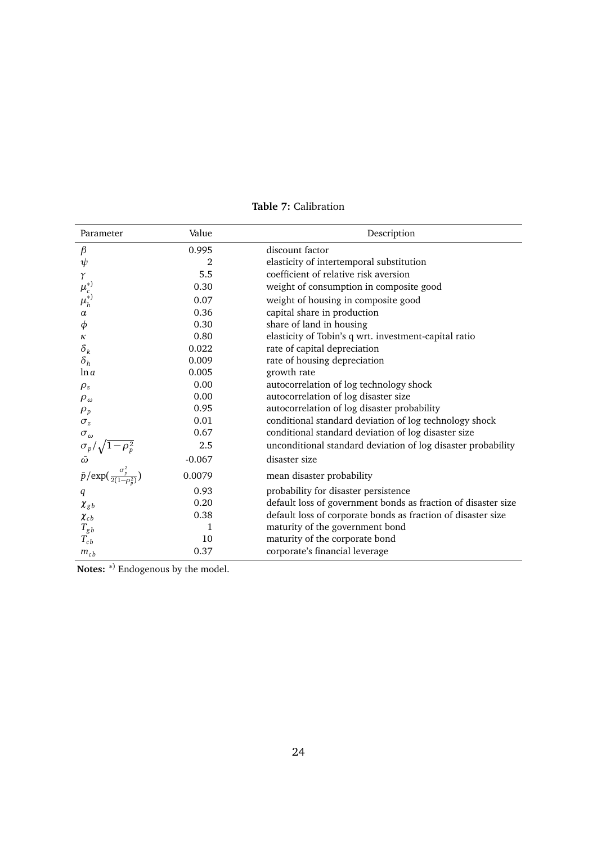| Parameter                                                                                          | Value          | Description                                                   |
|----------------------------------------------------------------------------------------------------|----------------|---------------------------------------------------------------|
| $\beta$                                                                                            | 0.995          | discount factor                                               |
| $\psi$                                                                                             | $\overline{2}$ | elasticity of intertemporal substitution                      |
| γ                                                                                                  | 5.5            | coefficient of relative risk aversion                         |
| $\mu_{c}^{*}) \mu_{h}^{*}$                                                                         | 0.30           | weight of consumption in composite good                       |
|                                                                                                    | 0.07           | weight of housing in composite good                           |
| $\alpha$                                                                                           | 0.36           | capital share in production                                   |
| $\phi$                                                                                             | 0.30           | share of land in housing                                      |
| К                                                                                                  | 0.80           | elasticity of Tobin's q wrt. investment-capital ratio         |
| $\delta_k$                                                                                         | 0.022          | rate of capital depreciation                                  |
| $\delta_h$                                                                                         | 0.009          | rate of housing depreciation                                  |
| ln a                                                                                               | 0.005          | growth rate                                                   |
| $\rho_z$                                                                                           | 0.00           | autocorrelation of log technology shock                       |
| $\rho_{\omega}$                                                                                    | 0.00           | autocorrelation of log disaster size                          |
| $\rho_p$                                                                                           | 0.95           | autocorrelation of log disaster probability                   |
| $\sigma_z$                                                                                         | 0.01           | conditional standard deviation of log technology shock        |
| $\sigma_\omega$                                                                                    | 0.67           | conditional standard deviation of log disaster size           |
|                                                                                                    | 2.5            | unconditional standard deviation of log disaster probability  |
|                                                                                                    | $-0.067$       | disaster size                                                 |
| $\sigma_p/\sqrt{1-\rho_p^2}$<br>$\bar{\omega}$<br>$\bar{p}/\exp(\frac{\sigma_p^2}{2(1-\rho_p^2)})$ | 0.0079         | mean disaster probability                                     |
| q                                                                                                  | 0.93           | probability for disaster persistence                          |
| $\chi_{gb}$                                                                                        | 0.20           | default loss of government bonds as fraction of disaster size |
| $\chi_{cb}$                                                                                        | 0.38           | default loss of corporate bonds as fraction of disaster size  |
| $T_{gb}$                                                                                           | 1              | maturity of the government bond                               |
| $T_{cb}$                                                                                           | 10             | maturity of the corporate bond                                |
| $m_{cb}$                                                                                           | 0.37           | corporate's financial leverage                                |

## **Table 7:** Calibration

**Notes:** <sup>\*)</sup> Endogenous by the model.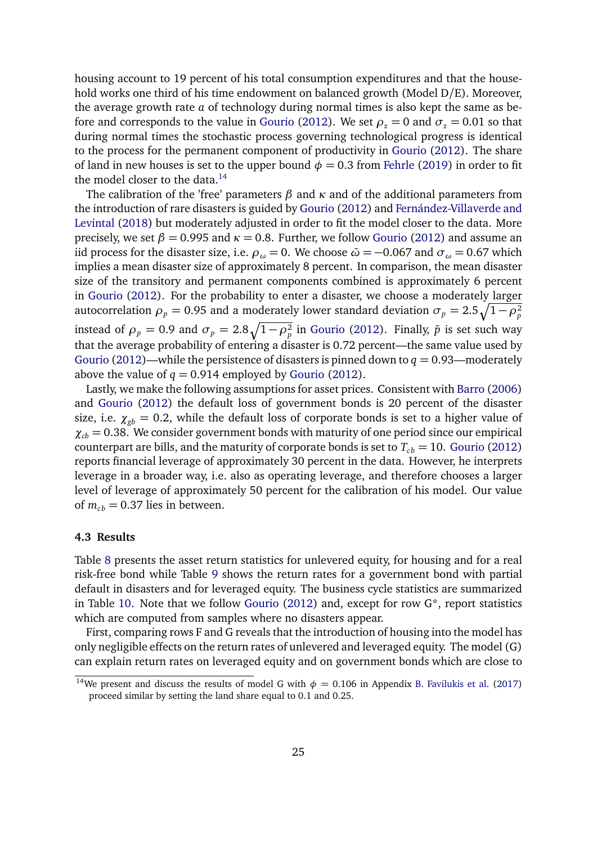housing account to 19 percent of his total consumption expenditures and that the household works one third of his time endowment on balanced growth (Model D/E). Moreover, the average growth rate *a* of technology during normal times is also kept the same as be-fore and corresponds to the value in [Gourio](#page-35-1) [\(2012\)](#page-35-1). We set  $\rho$ <sub>z</sub> = 0 and  $\sigma$ <sub>z</sub> = 0.01 so that during normal times the stochastic process governing technological progress is identical to the process for the permanent component of productivity in [Gourio](#page-35-1) [\(2012\)](#page-35-1). The share of land in new houses is set to the upper bound  $\phi = 0.3$  from [Fehrle](#page-34-4) [\(2019\)](#page-34-4) in order to fit the model closer to the data. $14$ 

The calibration of the 'free' parameters *β* and *κ* and of the additional parameters from the introduction of rare disasters is guided by [Gourio](#page-35-1) [\(2012\)](#page-35-1) and [Fernández-Villaverde and](#page-35-9) [Levintal](#page-35-9) [\(2018\)](#page-35-9) but moderately adjusted in order to fit the model closer to the data. More precisely, we set  $\beta = 0.995$  and  $\kappa = 0.8$ . Further, we follow [Gourio](#page-35-1) [\(2012\)](#page-35-1) and assume an iid process for the disaster size, i.e.  $\rho_{\omega} = 0$ . We choose  $\bar{\omega} = -0.067$  and  $\sigma_{\omega} = 0.67$  which implies a mean disaster size of approximately 8 percent. In comparison, the mean disaster size of the transitory and permanent components combined is approximately 6 percent in [Gourio](#page-35-1) [\(2012\)](#page-35-1). For the probability to enter a disaster, we choose a moderately larger autocorrelation  $\rho_p = 0.95$  and a moderately lower standard deviation  $\sigma_p = 2.5\sqrt{1-\rho_p^2}$ instead of  $\rho_p = 0.9$  and  $\sigma_p = 2.8\sqrt{1-\rho_p^2}$  in [Gourio](#page-35-1) [\(2012\)](#page-35-1). Finally,  $\bar{p}$  is set such way that the average probability of entering a disaster is 0.72 percent—the same value used by [Gourio](#page-35-1) [\(2012\)](#page-35-1)—while the persistence of disasters is pinned down to  $q = 0.93$ —moderately above the value of  $q = 0.914$  employed by [Gourio](#page-35-1) [\(2012\)](#page-35-1).

Lastly, we make the following assumptions for asset prices. Consistent with [Barro](#page-33-1) [\(2006\)](#page-33-1) and [Gourio](#page-35-1) [\(2012\)](#page-35-1) the default loss of government bonds is 20 percent of the disaster size, i.e.  $\chi_{gb} = 0.2$ , while the default loss of corporate bonds is set to a higher value of  $\chi_{cb} = 0.38$ . We consider government bonds with maturity of one period since our empirical counterpart are bills, and the maturity of corporate bonds is set to  $T_{cb} = 10$ . [Gourio](#page-35-1) [\(2012\)](#page-35-1) reports financial leverage of approximately 30 percent in the data. However, he interprets leverage in a broader way, i.e. also as operating leverage, and therefore chooses a larger level of leverage of approximately 50 percent for the calibration of his model. Our value of  $m_{cb} = 0.37$  lies in between.

#### **4.3 Results**

Table [8](#page-25-0) presents the asset return statistics for unlevered equity, for housing and for a real risk-free bond while Table [9](#page-26-0) shows the return rates for a government bond with partial default in disasters and for leveraged equity. The business cycle statistics are summarized in Table [10.](#page-27-0) Note that we follow [Gourio](#page-35-1) [\(2012\)](#page-35-1) and, except for row G\*, report statistics which are computed from samples where no disasters appear.

First, comparing rows F and G reveals that the introduction of housing into the model has only negligible effects on the return rates of unlevered and leveraged equity. The model (G) can explain return rates on leveraged equity and on government bonds which are close to

<span id="page-24-0"></span><sup>&</sup>lt;sup>14</sup>We present and discuss the results of model G with  $\phi = 0.106$  in Appendix [B.](#page-40-0) [Favilukis et al.](#page-34-8) [\(2017\)](#page-34-8) proceed similar by setting the land share equal to 0.1 and 0.25.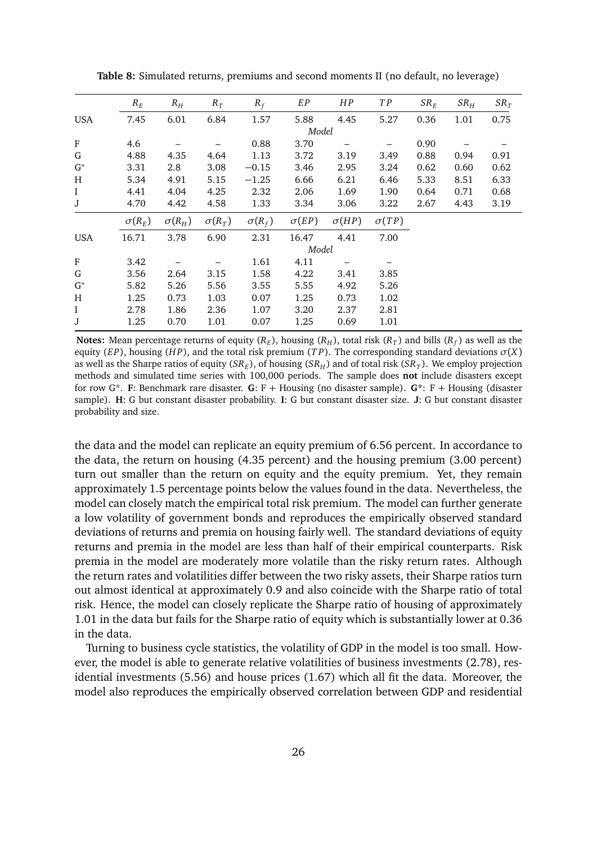|                | $R_E$         | $R_H$         | $R_T$         | $R_f$         | $\cal{EP}$   | HP           | TP           | $SR_F$ | $SR_H$ | $SR_T$ |
|----------------|---------------|---------------|---------------|---------------|--------------|--------------|--------------|--------|--------|--------|
| <b>USA</b>     | 7.45          | 6.01          | 6.84          | 1.57          | 5.88         | 4.45         | 5.27         | 0.36   | 1.01   | 0.75   |
|                |               |               |               |               | Model        |              |              |        |        |        |
| ${\bf F}$      | 4.6           |               |               | 0.88          | 3.70         |              |              | 0.90   |        |        |
| G              | 4.88          | 4.35          | 4.64          | 1.13          | 3.72         | 3.19         | 3.49         | 0.88   | 0.94   | 0.91   |
| $G^*$          | 3.31          | 2.8           | 3.08          | $-0.15$       | 3.46         | 2.95         | 3.24         | 0.62   | 0.60   | 0.62   |
| H              | 5.34          | 4.91          | 5.15          | $-1.25$       | 6.66         | 6.21         | 6.46         | 5.33   | 8.51   | 6.33   |
| $\rm I$        | 4.41          | 4.04          | 4.25          | 2.32          | 2.06         | 1.69         | 1.90         | 0.64   | 0.71   | 0.68   |
| J              | 4.70          | 4.42          | 4.58          | 1.33          | 3.34         | 3.06         | 3.22         | 2.67   | 4.43   | 3.19   |
|                | $\sigma(R_E)$ | $\sigma(R_H)$ | $\sigma(R_T)$ | $\sigma(R_f)$ | $\sigma(EP)$ | $\sigma(HP)$ | $\sigma(TP)$ |        |        |        |
| <b>USA</b>     | 16.71         | 3.78          | 6.90          | 2.31          | 16.47        | 4.41         | 7.00         |        |        |        |
|                |               |               |               |               | Model        |              |              |        |        |        |
| F              | 3.42          |               |               | 1.61          | 4.11         |              |              |        |        |        |
| G              | 3.56          | 2.64          | 3.15          | 1.58          | 4.22         | 3.41         | 3.85         |        |        |        |
| $\mathrm{G}^*$ | 5.82          | 5.26          | 5.56          | 3.55          | 5.55         | 4.92         | 5.26         |        |        |        |
| H              | 1.25          | 0.73          | 1.03          | 0.07          | 1.25         | 0.73         | 1.02         |        |        |        |
| $\rm I$        | 2.78          | 1.86          | 2.36          | 1.07          | 3.20         | 2.37         | 2.81         |        |        |        |
| J              | 1.25          | 0.70          | 1.01          | 0.07          | 1.25         | 0.69         | 1.01         |        |        |        |
|                |               |               |               |               |              |              |              |        |        |        |

<span id="page-25-0"></span>**Table 8:** Simulated returns, premiums and second moments II (no default, no leverage)

**Notes:** Mean percentage returns of equity ( $R_E$ ), housing ( $R_H$ ), total risk ( $R_T$ ) and bills ( $R_f$ ) as well as the equity (*EP*), housing (*H P*), and the total risk premium (*T P*). The corresponding standard deviations *σ*(*X*) as well as the Sharpe ratios of equity ( $SR_E$ ), of housing ( $SR_H$ ) and of total risk ( $SR_T$ ). We employ projection methods and simulated time series with 100,000 periods. The sample does **not** include disasters except for row G\*. **F**: Benchmark rare disaster. **G**: F + Housing (no disaster sample). **G\***: F + Housing (disaster sample). **H**: G but constant disaster probability. **I**: G but constant disaster size. **J**: G but constant disaster probability and size.

the data and the model can replicate an equity premium of 6.56 percent. In accordance to the data, the return on housing (4.35 percent) and the housing premium (3.00 percent) turn out smaller than the return on equity and the equity premium. Yet, they remain approximately 1.5 percentage points below the values found in the data. Nevertheless, the model can closely match the empirical total risk premium. The model can further generate a low volatility of government bonds and reproduces the empirically observed standard deviations of returns and premia on housing fairly well. The standard deviations of equity returns and premia in the model are less than half of their empirical counterparts. Risk premia in the model are moderately more volatile than the risky return rates. Although the return rates and volatilities differ between the two risky assets, their Sharpe ratios turn out almost identical at approximately 0.9 and also coincide with the Sharpe ratio of total risk. Hence, the model can closely replicate the Sharpe ratio of housing of approximately 1.01 in the data but fails for the Sharpe ratio of equity which is substantially lower at 0.36 in the data.

Turning to business cycle statistics, the volatility of GDP in the model is too small. However, the model is able to generate relative volatilities of business investments (2.78), residential investments (5.56) and house prices (1.67) which all fit the data. Moreover, the model also reproduces the empirically observed correlation between GDP and residential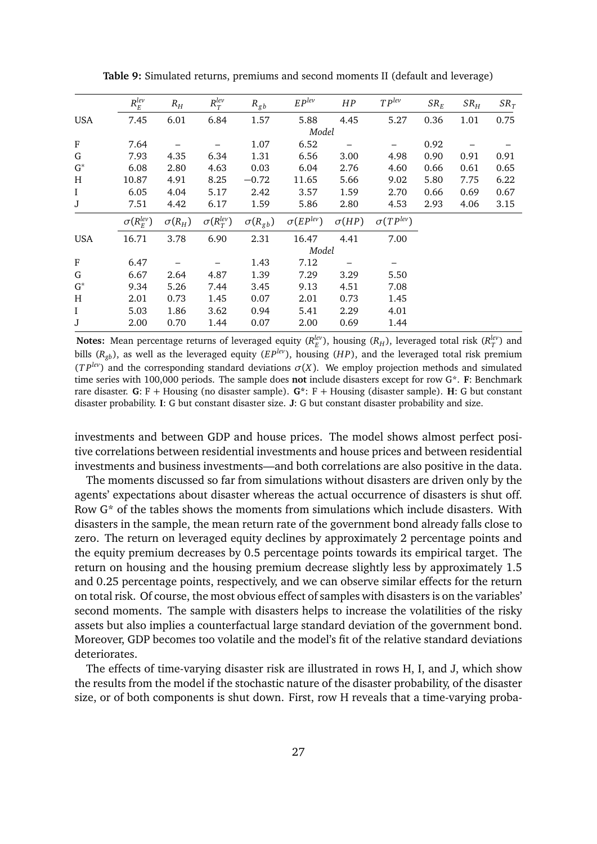<span id="page-26-0"></span>

|                | $R_E^{lev}$         | $R_H$         | $R_T^{lev}$            | $R_{gb}$         | $EP^{lev}$         | HP           | $TP^{lev}$         | $SR_E$ | $SR_H$ | $SR_T$ |
|----------------|---------------------|---------------|------------------------|------------------|--------------------|--------------|--------------------|--------|--------|--------|
| <b>USA</b>     | 7.45                | 6.01          | 6.84                   | 1.57             | 5.88               | 4.45         | 5.27               | 0.36   | 1.01   | 0.75   |
|                |                     |               |                        |                  | Model              |              |                    |        |        |        |
| F              | 7.64                |               |                        | 1.07             | 6.52               |              |                    | 0.92   |        |        |
| G              | 7.93                | 4.35          | 6.34                   | 1.31             | 6.56               | 3.00         | 4.98               | 0.90   | 0.91   | 0.91   |
| $G^*$          | 6.08                | 2.80          | 4.63                   | 0.03             | 6.04               | 2.76         | 4.60               | 0.66   | 0.61   | 0.65   |
| H              | 10.87               | 4.91          | 8.25                   | $-0.72$          | 11.65              | 5.66         | 9.02               | 5.80   | 7.75   | 6.22   |
| $\rm I$        | 6.05                | 4.04          | 5.17                   | 2.42             | 3.57               | 1.59         | 2.70               | 0.66   | 0.69   | 0.67   |
| J              | 7.51                | 4.42          | 6.17                   | 1.59             | 5.86               | 2.80         | 4.53               | 2.93   | 4.06   | 3.15   |
|                | $\sigma(R_F^{lev})$ | $\sigma(R_H)$ | $\sigma(R_\tau^{lev})$ | $\sigma(R_{gb})$ | $\sigma(EP^{lev})$ | $\sigma(HP)$ | $\sigma(TP^{lev})$ |        |        |        |
| <b>USA</b>     | 16.71               | 3.78          | 6.90                   | 2.31             | 16.47              | 4.41         | 7.00               |        |        |        |
|                |                     |               |                        |                  | Model              |              |                    |        |        |        |
| F              | 6.47                |               |                        | 1.43             | 7.12               |              |                    |        |        |        |
| G              | 6.67                | 2.64          | 4.87                   | 1.39             | 7.29               | 3.29         | 5.50               |        |        |        |
| $\mathrm{G}^*$ | 9.34                | 5.26          | 7.44                   | 3.45             | 9.13               | 4.51         | 7.08               |        |        |        |
| H              | 2.01                | 0.73          | 1.45                   | 0.07             | 2.01               | 0.73         | 1.45               |        |        |        |
| $\mathbf I$    | 5.03                | 1.86          | 3.62                   | 0.94             | 5.41               | 2.29         | 4.01               |        |        |        |
| J              | 2.00                | 0.70          | 1.44                   | 0.07             | 2.00               | 0.69         | 1.44               |        |        |        |

**Table 9:** Simulated returns, premiums and second moments II (default and leverage)

**Notes:** Mean percentage returns of leveraged equity ( $R_E^{lev}$ ), housing ( $R_H$ ), leveraged total risk ( $R_T^{lev}$ ) and bills  $(R_{gh})$ , as well as the leveraged equity  $(EP^{lev})$ , housing  $(HP)$ , and the leveraged total risk premium  $(TP^{lev})$  and the corresponding standard deviations  $\sigma(X)$ . We employ projection methods and simulated time series with 100,000 periods. The sample does **not** include disasters except for row G\*. **F**: Benchmark rare disaster. **G**: F + Housing (no disaster sample). **G\***: F + Housing (disaster sample). **H**: G but constant disaster probability. **I**: G but constant disaster size. **J**: G but constant disaster probability and size.

investments and between GDP and house prices. The model shows almost perfect positive correlations between residential investments and house prices and between residential investments and business investments—and both correlations are also positive in the data.

The moments discussed so far from simulations without disasters are driven only by the agents' expectations about disaster whereas the actual occurrence of disasters is shut off. Row G\* of the tables shows the moments from simulations which include disasters. With disasters in the sample, the mean return rate of the government bond already falls close to zero. The return on leveraged equity declines by approximately 2 percentage points and the equity premium decreases by 0.5 percentage points towards its empirical target. The return on housing and the housing premium decrease slightly less by approximately 1.5 and 0.25 percentage points, respectively, and we can observe similar effects for the return on total risk. Of course, the most obvious effect of samples with disasters is on the variables' second moments. The sample with disasters helps to increase the volatilities of the risky assets but also implies a counterfactual large standard deviation of the government bond. Moreover, GDP becomes too volatile and the model's fit of the relative standard deviations deteriorates.

The effects of time-varying disaster risk are illustrated in rows H, I, and J, which show the results from the model if the stochastic nature of the disaster probability, of the disaster size, or of both components is shut down. First, row H reveals that a time-varying proba-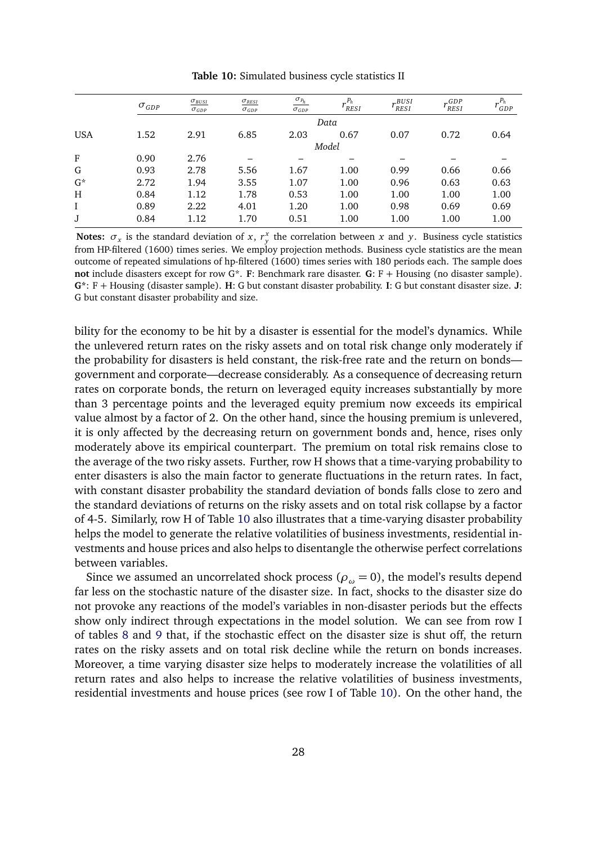<span id="page-27-0"></span>

|            | $\sigma_{GDP}$ | $\sigma_{BUSI}$<br>$\sigma_{GDP}$ | $\sigma_{RESI}$<br>$\sigma_{GDP}$ | $\sigma_{P_h}$<br>$\sigma_{GDP}$ | $P_h$<br>RESI | BUSI<br><b>RESI</b> | $r_{RESI}^{GDP}$ | $P_h$<br>GDP |
|------------|----------------|-----------------------------------|-----------------------------------|----------------------------------|---------------|---------------------|------------------|--------------|
|            |                |                                   |                                   |                                  | Data          |                     |                  |              |
| <b>USA</b> | 1.52           | 2.91                              | 6.85                              | 2.03                             | 0.67          | 0.07                | 0.72             | 0.64         |
|            |                |                                   |                                   |                                  | Model         |                     |                  |              |
| F          | 0.90           | 2.76                              |                                   |                                  |               |                     |                  |              |
| G          | 0.93           | 2.78                              | 5.56                              | 1.67                             | 1.00          | 0.99                | 0.66             | 0.66         |
| $G^*$      | 2.72           | 1.94                              | 3.55                              | 1.07                             | 1.00          | 0.96                | 0.63             | 0.63         |
| H          | 0.84           | 1.12                              | 1.78                              | 0.53                             | 1.00          | 1.00                | 1.00             | 1.00         |
|            | 0.89           | 2.22                              | 4.01                              | 1.20                             | 1.00          | 0.98                | 0.69             | 0.69         |
| J          | 0.84           | 1.12                              | 1.70                              | 0.51                             | 1.00          | 1.00                | 1.00             | 1.00         |
|            |                |                                   |                                   |                                  |               |                     |                  |              |

**Table 10:** Simulated business cycle statistics II

**Notes:**  $\sigma_x$  is the standard deviation of *x*,  $r_y^x$  the correlation between *x* and *y*. Business cycle statistics from HP-filtered (1600) times series. We employ projection methods. Business cycle statistics are the mean outcome of repeated simulations of hp-filtered (1600) times series with 180 periods each. The sample does **not** include disasters except for row G\*. **F**: Benchmark rare disaster. **G**: F + Housing (no disaster sample). **G\***: F + Housing (disaster sample). **H**: G but constant disaster probability. **I**: G but constant disaster size. **J**: G but constant disaster probability and size.

bility for the economy to be hit by a disaster is essential for the model's dynamics. While the unlevered return rates on the risky assets and on total risk change only moderately if the probability for disasters is held constant, the risk-free rate and the return on bonds government and corporate—decrease considerably. As a consequence of decreasing return rates on corporate bonds, the return on leveraged equity increases substantially by more than 3 percentage points and the leveraged equity premium now exceeds its empirical value almost by a factor of 2. On the other hand, since the housing premium is unlevered, it is only affected by the decreasing return on government bonds and, hence, rises only moderately above its empirical counterpart. The premium on total risk remains close to the average of the two risky assets. Further, row H shows that a time-varying probability to enter disasters is also the main factor to generate fluctuations in the return rates. In fact, with constant disaster probability the standard deviation of bonds falls close to zero and the standard deviations of returns on the risky assets and on total risk collapse by a factor of 4-5. Similarly, row H of Table [10](#page-27-0) also illustrates that a time-varying disaster probability helps the model to generate the relative volatilities of business investments, residential investments and house prices and also helps to disentangle the otherwise perfect correlations between variables.

Since we assumed an uncorrelated shock process ( $\rho_{\omega} = 0$ ), the model's results depend far less on the stochastic nature of the disaster size. In fact, shocks to the disaster size do not provoke any reactions of the model's variables in non-disaster periods but the effects show only indirect through expectations in the model solution. We can see from row I of tables [8](#page-25-0) and [9](#page-26-0) that, if the stochastic effect on the disaster size is shut off, the return rates on the risky assets and on total risk decline while the return on bonds increases. Moreover, a time varying disaster size helps to moderately increase the volatilities of all return rates and also helps to increase the relative volatilities of business investments, residential investments and house prices (see row I of Table [10\)](#page-27-0). On the other hand, the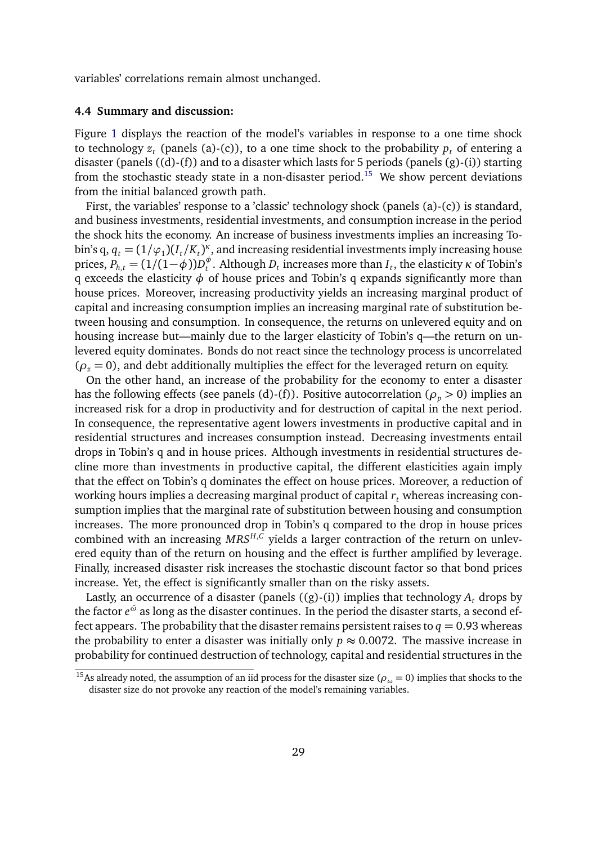variables' correlations remain almost unchanged.

#### **4.4 Summary and discussion:**

Figure [1](#page-29-0) displays the reaction of the model's variables in response to a one time shock to technology  $z_t$  (panels (a)-(c)), to a one time shock to the probability  $p_t$  of entering a disaster (panels ((d)-(f)) and to a disaster which lasts for 5 periods (panels (g)-(i)) starting from the stochastic steady state in a non-disaster period.<sup>[15](#page-28-0)</sup> We show percent deviations from the initial balanced growth path.

First, the variables' response to a 'classic' technology shock (panels (a)-(c)) is standard, and business investments, residential investments, and consumption increase in the period the shock hits the economy. An increase of business investments implies an increasing Tobin's q,  $q_t = (1/\varphi_1)(I_t/K_t)^{\kappa}$ , and increasing residential investments imply increasing house prices,  $P_{h,t} = (1/(1-\phi))D_t^{\phi}$  $_t^\varphi$ . Although  $D_t$  increases more than  $I_t$ , the elasticity  $\kappa$  of Tobin's q exceeds the elasticity *φ* of house prices and Tobin's q expands significantly more than house prices. Moreover, increasing productivity yields an increasing marginal product of capital and increasing consumption implies an increasing marginal rate of substitution between housing and consumption. In consequence, the returns on unlevered equity and on housing increase but—mainly due to the larger elasticity of Tobin's q—the return on unlevered equity dominates. Bonds do not react since the technology process is uncorrelated  $(\rho_z = 0)$ , and debt additionally multiplies the effect for the leveraged return on equity.

On the other hand, an increase of the probability for the economy to enter a disaster has the following effects (see panels (d)-(f)). Positive autocorrelation ( $\rho_p > 0$ ) implies an increased risk for a drop in productivity and for destruction of capital in the next period. In consequence, the representative agent lowers investments in productive capital and in residential structures and increases consumption instead. Decreasing investments entail drops in Tobin's q and in house prices. Although investments in residential structures decline more than investments in productive capital, the different elasticities again imply that the effect on Tobin's q dominates the effect on house prices. Moreover, a reduction of working hours implies a decreasing marginal product of capital *r<sup>t</sup>* whereas increasing consumption implies that the marginal rate of substitution between housing and consumption increases. The more pronounced drop in Tobin's q compared to the drop in house prices combined with an increasing  $MRS^{H,C}$  yields a larger contraction of the return on unlevered equity than of the return on housing and the effect is further amplified by leverage. Finally, increased disaster risk increases the stochastic discount factor so that bond prices increase. Yet, the effect is significantly smaller than on the risky assets.

Lastly, an occurrence of a disaster (panels  $((g)-(i))$  implies that technology  $A_t$  drops by the factor  $e^{\bar\omega}$  as long as the disaster continues. In the period the disaster starts, a second effect appears. The probability that the disaster remains persistent raises to  $q = 0.93$  whereas the probability to enter a disaster was initially only  $p \approx 0.0072$ . The massive increase in probability for continued destruction of technology, capital and residential structures in the

<span id="page-28-0"></span><sup>&</sup>lt;sup>15</sup>As already noted, the assumption of an iid process for the disaster size ( $\rho_\omega$  = 0) implies that shocks to the disaster size do not provoke any reaction of the model's remaining variables.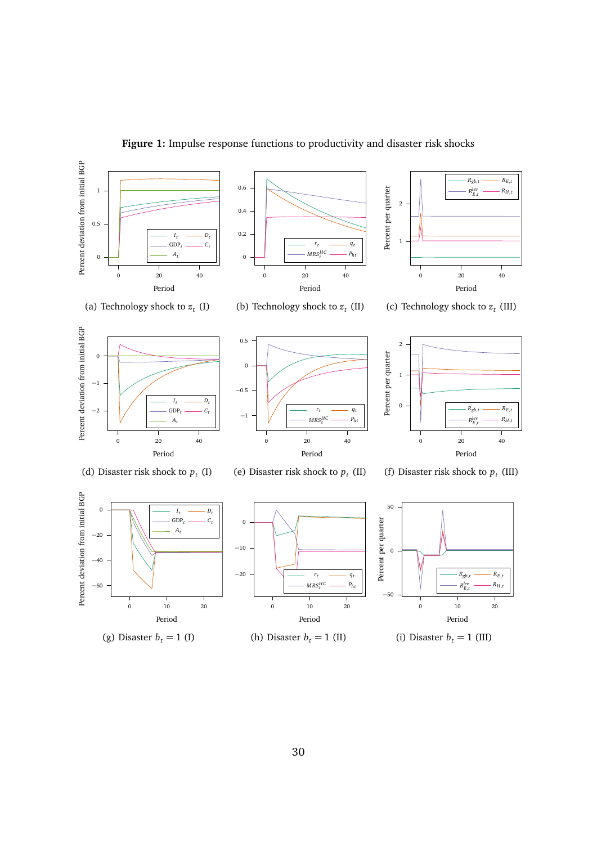<span id="page-29-0"></span>

**Figure 1:** Impulse response functions to productivity and disaster risk shocks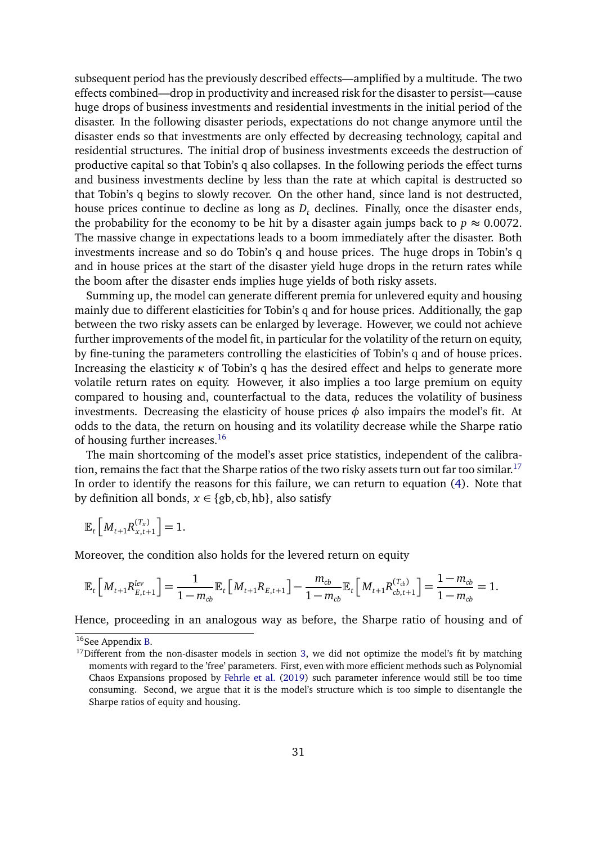subsequent period has the previously described effects—amplified by a multitude. The two effects combined—drop in productivity and increased risk for the disaster to persist—cause huge drops of business investments and residential investments in the initial period of the disaster. In the following disaster periods, expectations do not change anymore until the disaster ends so that investments are only effected by decreasing technology, capital and residential structures. The initial drop of business investments exceeds the destruction of productive capital so that Tobin's q also collapses. In the following periods the effect turns and business investments decline by less than the rate at which capital is destructed so that Tobin's q begins to slowly recover. On the other hand, since land is not destructed, house prices continue to decline as long as *D<sup>t</sup>* declines. Finally, once the disaster ends, the probability for the economy to be hit by a disaster again jumps back to  $p \approx 0.0072$ . The massive change in expectations leads to a boom immediately after the disaster. Both investments increase and so do Tobin's q and house prices. The huge drops in Tobin's q and in house prices at the start of the disaster yield huge drops in the return rates while the boom after the disaster ends implies huge yields of both risky assets.

Summing up, the model can generate different premia for unlevered equity and housing mainly due to different elasticities for Tobin's q and for house prices. Additionally, the gap between the two risky assets can be enlarged by leverage. However, we could not achieve further improvements of the model fit, in particular for the volatility of the return on equity, by fine-tuning the parameters controlling the elasticities of Tobin's q and of house prices. Increasing the elasticity *κ* of Tobin's q has the desired effect and helps to generate more volatile return rates on equity. However, it also implies a too large premium on equity compared to housing and, counterfactual to the data, reduces the volatility of business investments. Decreasing the elasticity of house prices  $\phi$  also impairs the model's fit. At odds to the data, the return on housing and its volatility decrease while the Sharpe ratio of housing further increases.<sup>[16](#page-30-0)</sup>

The main shortcoming of the model's asset price statistics, independent of the calibra-tion, remains the fact that the Sharpe ratios of the two risky assets turn out far too similar.<sup>[17](#page-30-1)</sup> In order to identify the reasons for this failure, we can return to equation [\(4\)](#page-17-0). Note that by definition all bonds,  $x \in \{gb, cb, hb\}$ , also satisfy

$$
\mathbb{E}_t\left[M_{t+1}R_{x,t+1}^{(T_x)}\right] = 1.
$$

Moreover, the condition also holds for the levered return on equity

$$
\mathbb{E}_t\Big[M_{t+1}R_{E,t+1}^{lev}\Big] = \frac{1}{1-m_{cb}}\mathbb{E}_t\Big[M_{t+1}R_{E,t+1}\Big] - \frac{m_{cb}}{1-m_{cb}}\mathbb{E}_t\Big[M_{t+1}R_{cb,t+1}^{(T_{cb})}\Big] = \frac{1-m_{cb}}{1-m_{cb}} = 1.
$$

Hence, proceeding in an analogous way as before, the Sharpe ratio of housing and of

<span id="page-30-0"></span><sup>&</sup>lt;sup>16</sup>See Appendix [B.](#page-40-0)

<span id="page-30-1"></span> $17$ Different from the non-disaster models in section [3,](#page-7-0) we did not optimize the model's fit by matching moments with regard to the 'free' parameters. First, even with more efficient methods such as Polynomial Chaos Expansions proposed by [Fehrle et al.](#page-35-11) [\(2019\)](#page-35-11) such parameter inference would still be too time consuming. Second, we argue that it is the model's structure which is too simple to disentangle the Sharpe ratios of equity and housing.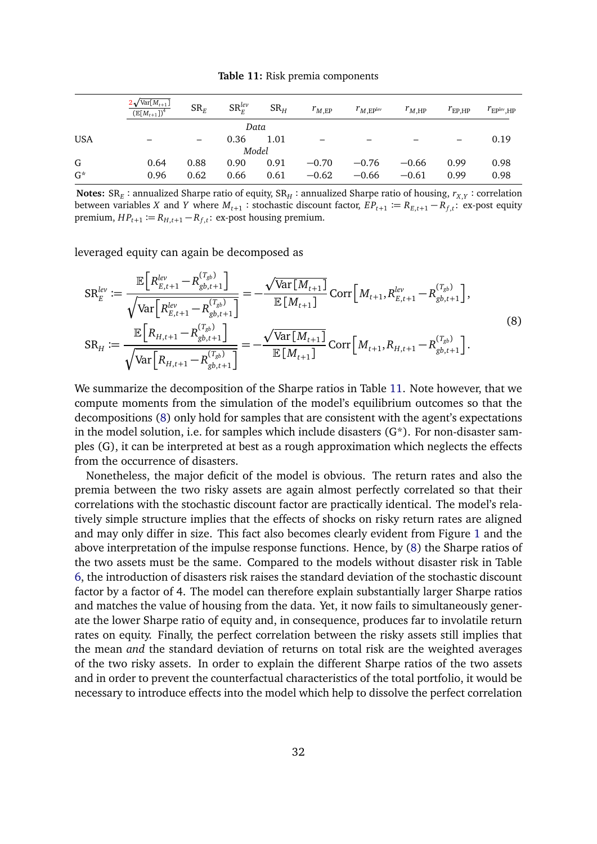<span id="page-31-1"></span>**Table 11:** Risk premia components

<span id="page-31-0"></span>

|            | $2\sqrt{\text{Var}[M_{t+1}]}$<br>$\left(\mathbb{E}[M_{t+1}]\right)^4$ | $SR_E$ | $SR_F^{lev}$ | SR <sub>H</sub> | $r_{M,EP}$ | $r_{M,\rm EP}$ lev | $r_{M,HP}$ | $r_{\rm EP,HP}$ | $r_{EP}$ lev <sub>.HP</sub> |
|------------|-----------------------------------------------------------------------|--------|--------------|-----------------|------------|--------------------|------------|-----------------|-----------------------------|
|            |                                                                       |        | Data         |                 |            |                    |            |                 |                             |
| <b>USA</b> |                                                                       |        | 0.36         | 1.01            |            |                    |            |                 | 0.19                        |
|            |                                                                       |        | Model        |                 |            |                    |            |                 |                             |
| G          | 0.64                                                                  | 0.88   | 0.90         | 0.91            | $-0.70$    | $-0.76$            | $-0.66$    | 0.99            | 0.98                        |
| $G^*$      | 0.96                                                                  | 0.62   | 0.66         | 0.61            | $-0.62$    | $-0.66$            | $-0.61$    | 0.99            | 0.98                        |

 $\bf{Notes:}$   $\rm{SR}_E$  : annualized Sharpe ratio of equity,  $\rm{SR}_H$  : annualized Sharpe ratio of housing,  $r_{X,Y}$  : correlation between variables *X* and *Y* where  $M_{t+1}$ : stochastic discount factor,  $EP_{t+1} := R_{E,t+1} - R_{f,t}$ : ex-post equity  $premium, HP_{t+1} := R_{H,t+1} - R_{f,t}$ : ex-post housing premium.

leveraged equity can again be decomposed as

$$
SR_E^{lev} := \frac{\mathbb{E}\Big[R_{E,t+1}^{lev} - R_{gb,t+1}^{(T_{gb})}\Big]}{\sqrt{\text{Var}\Big[R_{E,t+1}^{lev} - R_{gb,t+1}^{(T_{gb})}\Big]}} = -\frac{\sqrt{\text{Var}\big[M_{t+1}\big]} \text{Corr}\Big[M_{t+1}, R_{E,t+1}^{lev} - R_{gb,t+1}^{(T_{gb})}\Big]}{\mathbb{E}\big[R_{H,t+1} - R_{gb,t+1}^{(T_{gb})}\big]} = -\frac{\sqrt{\text{Var}\big[M_{t+1}\big]} \text{Corr}\Big[M_{t+1}, R_{H,t+1} - R_{gb,t+1}^{(T_{gb})}\Big]}{\mathbb{E}\big[M_{t+1}\big]} \text{Corr}\Big[M_{t+1}, R_{H,t+1} - R_{gb,t+1}^{(T_{gb})}\Big].
$$
\n(8)

We summarize the decomposition of the Sharpe ratios in Table [11.](#page-31-0) Note however, that we compute moments from the simulation of the model's equilibrium outcomes so that the decompositions [\(8\)](#page-31-1) only hold for samples that are consistent with the agent's expectations in the model solution, i.e. for samples which include disasters (G\*). For non-disaster samples (G), it can be interpreted at best as a rough approximation which neglects the effects from the occurrence of disasters.

Nonetheless, the major deficit of the model is obvious. The return rates and also the premia between the two risky assets are again almost perfectly correlated so that their correlations with the stochastic discount factor are practically identical. The model's relatively simple structure implies that the effects of shocks on risky return rates are aligned and may only differ in size. This fact also becomes clearly evident from Figure [1](#page-29-0) and the above interpretation of the impulse response functions. Hence, by [\(8\)](#page-31-1) the Sharpe ratios of the two assets must be the same. Compared to the models without disaster risk in Table [6,](#page-17-1) the introduction of disasters risk raises the standard deviation of the stochastic discount factor by a factor of 4. The model can therefore explain substantially larger Sharpe ratios and matches the value of housing from the data. Yet, it now fails to simultaneously generate the lower Sharpe ratio of equity and, in consequence, produces far to involatile return rates on equity. Finally, the perfect correlation between the risky assets still implies that the mean *and* the standard deviation of returns on total risk are the weighted averages of the two risky assets. In order to explain the different Sharpe ratios of the two assets and in order to prevent the counterfactual characteristics of the total portfolio, it would be necessary to introduce effects into the model which help to dissolve the perfect correlation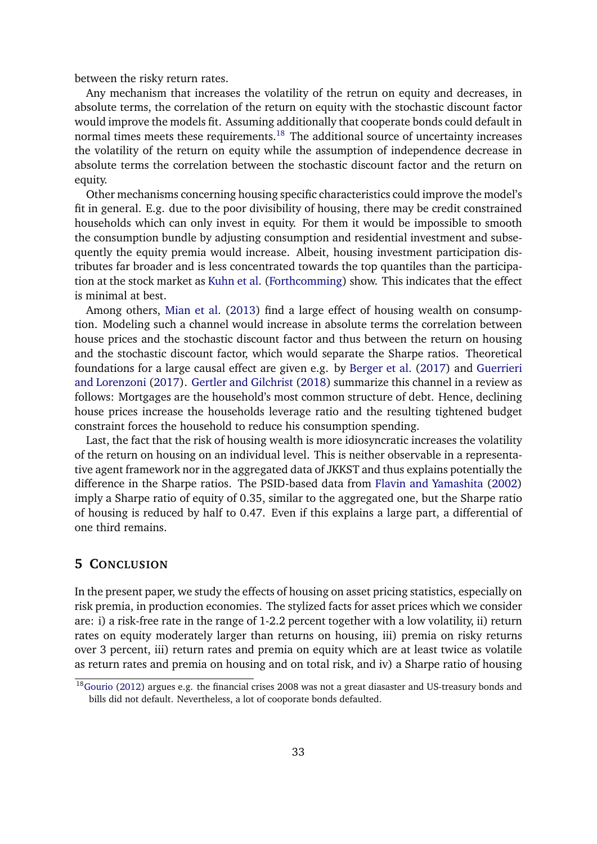between the risky return rates.

Any mechanism that increases the volatility of the retrun on equity and decreases, in absolute terms, the correlation of the return on equity with the stochastic discount factor would improve the models fit. Assuming additionally that cooperate bonds could default in normal times meets these requirements. $18$  The additional source of uncertainty increases the volatility of the return on equity while the assumption of independence decrease in absolute terms the correlation between the stochastic discount factor and the return on equity.

Other mechanisms concerning housing specific characteristics could improve the model's fit in general. E.g. due to the poor divisibility of housing, there may be credit constrained households which can only invest in equity. For them it would be impossible to smooth the consumption bundle by adjusting consumption and residential investment and subsequently the equity premia would increase. Albeit, housing investment participation distributes far broader and is less concentrated towards the top quantiles than the participation at the stock market as [Kuhn et al.](#page-36-11) [\(Forthcomming\)](#page-36-11) show. This indicates that the effect is minimal at best.

Among others, [Mian et al.](#page-36-12) [\(2013\)](#page-36-12) find a large effect of housing wealth on consumption. Modeling such a channel would increase in absolute terms the correlation between house prices and the stochastic discount factor and thus between the return on housing and the stochastic discount factor, which would separate the Sharpe ratios. Theoretical foundations for a large causal effect are given e.g. by [Berger et al.](#page-34-11) [\(2017\)](#page-34-11) and [Guerrieri](#page-35-12) [and Lorenzoni](#page-35-12) [\(2017\)](#page-35-12). [Gertler and Gilchrist](#page-35-13) [\(2018\)](#page-35-13) summarize this channel in a review as follows: Mortgages are the household's most common structure of debt. Hence, declining house prices increase the households leverage ratio and the resulting tightened budget constraint forces the household to reduce his consumption spending.

Last, the fact that the risk of housing wealth is more idiosyncratic increases the volatility of the return on housing on an individual level. This is neither observable in a representative agent framework nor in the aggregated data of JKKST and thus explains potentially the difference in the Sharpe ratios. The PSID-based data from [Flavin and Yamashita](#page-35-6) [\(2002\)](#page-35-6) imply a Sharpe ratio of equity of 0.35, similar to the aggregated one, but the Sharpe ratio of housing is reduced by half to 0.47. Even if this explains a large part, a differential of one third remains.

## <span id="page-32-0"></span>**5 CONCLUSION**

In the present paper, we study the effects of housing on asset pricing statistics, especially on risk premia, in production economies. The stylized facts for asset prices which we consider are: i) a risk-free rate in the range of 1-2.2 percent together with a low volatility, ii) return rates on equity moderately larger than returns on housing, iii) premia on risky returns over 3 percent, iii) return rates and premia on equity which are at least twice as volatile as return rates and premia on housing and on total risk, and iv) a Sharpe ratio of housing

<span id="page-32-1"></span> $18$ [Gourio](#page-35-1) [\(2012\)](#page-35-1) argues e.g. the financial crises 2008 was not a great diasaster and US-treasury bonds and bills did not default. Nevertheless, a lot of cooporate bonds defaulted.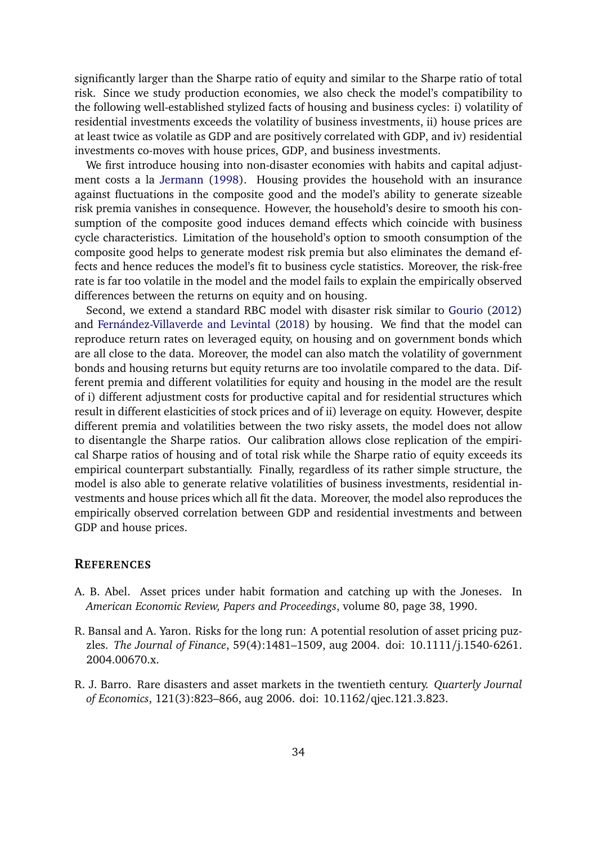significantly larger than the Sharpe ratio of equity and similar to the Sharpe ratio of total risk. Since we study production economies, we also check the model's compatibility to the following well-established stylized facts of housing and business cycles: i) volatility of residential investments exceeds the volatility of business investments, ii) house prices are at least twice as volatile as GDP and are positively correlated with GDP, and iv) residential investments co-moves with house prices, GDP, and business investments.

We first introduce housing into non-disaster economies with habits and capital adjustment costs a la [Jermann](#page-35-0) [\(1998\)](#page-35-0). Housing provides the household with an insurance against fluctuations in the composite good and the model's ability to generate sizeable risk premia vanishes in consequence. However, the household's desire to smooth his consumption of the composite good induces demand effects which coincide with business cycle characteristics. Limitation of the household's option to smooth consumption of the composite good helps to generate modest risk premia but also eliminates the demand effects and hence reduces the model's fit to business cycle statistics. Moreover, the risk-free rate is far too volatile in the model and the model fails to explain the empirically observed differences between the returns on equity and on housing.

Second, we extend a standard RBC model with disaster risk similar to [Gourio](#page-35-1) [\(2012\)](#page-35-1) and [Fernández-Villaverde and Levintal](#page-35-9) [\(2018\)](#page-35-9) by housing. We find that the model can reproduce return rates on leveraged equity, on housing and on government bonds which are all close to the data. Moreover, the model can also match the volatility of government bonds and housing returns but equity returns are too involatile compared to the data. Different premia and different volatilities for equity and housing in the model are the result of i) different adjustment costs for productive capital and for residential structures which result in different elasticities of stock prices and of ii) leverage on equity. However, despite different premia and volatilities between the two risky assets, the model does not allow to disentangle the Sharpe ratios. Our calibration allows close replication of the empirical Sharpe ratios of housing and of total risk while the Sharpe ratio of equity exceeds its empirical counterpart substantially. Finally, regardless of its rather simple structure, the model is also able to generate relative volatilities of business investments, residential investments and house prices which all fit the data. Moreover, the model also reproduces the empirically observed correlation between GDP and residential investments and between GDP and house prices.

#### **REFERENCES**

- <span id="page-33-0"></span>A. B. Abel. Asset prices under habit formation and catching up with the Joneses. In *American Economic Review, Papers and Proceedings*, volume 80, page 38, 1990.
- <span id="page-33-2"></span>R. Bansal and A. Yaron. Risks for the long run: A potential resolution of asset pricing puzzles. *The Journal of Finance*, 59(4):1481–1509, aug 2004. doi: 10.1111/j.1540-6261. 2004.00670.x.
- <span id="page-33-1"></span>R. J. Barro. Rare disasters and asset markets in the twentieth century. *Quarterly Journal of Economics*, 121(3):823–866, aug 2006. doi: 10.1162/qjec.121.3.823.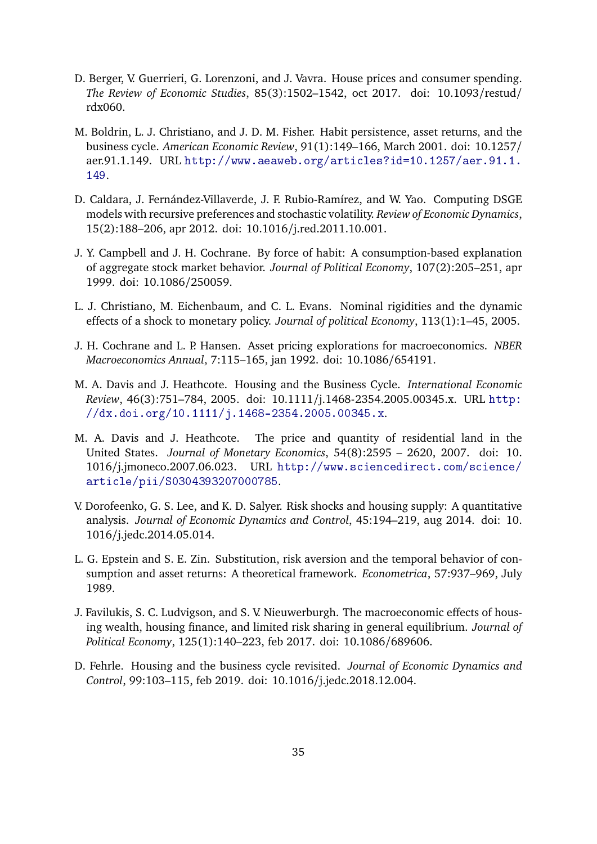- <span id="page-34-11"></span>D. Berger, V. Guerrieri, G. Lorenzoni, and J. Vavra. House prices and consumer spending. *The Review of Economic Studies*, 85(3):1502–1542, oct 2017. doi: 10.1093/restud/ rdx060.
- <span id="page-34-0"></span>M. Boldrin, L. J. Christiano, and J. D. M. Fisher. Habit persistence, asset returns, and the business cycle. *American Economic Review*, 91(1):149–166, March 2001. doi: 10.1257/ aer.91.1.149. URL [http://www.aeaweb.org/articles?id=10.1257/aer.91.1.](http://www.aeaweb.org/articles?id=10.1257/aer.91.1.149) [149](http://www.aeaweb.org/articles?id=10.1257/aer.91.1.149).
- <span id="page-34-10"></span>D. Caldara, J. Fernández-Villaverde, J. F. Rubio-Ramírez, and W. Yao. Computing DSGE models with recursive preferences and stochastic volatility. *Review of Economic Dynamics*, 15(2):188–206, apr 2012. doi: 10.1016/j.red.2011.10.001.
- <span id="page-34-1"></span>J. Y. Campbell and J. H. Cochrane. By force of habit: A consumption-based explanation of aggregate stock market behavior. *Journal of Political Economy*, 107(2):205–251, apr 1999. doi: 10.1086/250059.
- <span id="page-34-9"></span>L. J. Christiano, M. Eichenbaum, and C. L. Evans. Nominal rigidities and the dynamic effects of a shock to monetary policy. *Journal of political Economy*, 113(1):1–45, 2005.
- <span id="page-34-2"></span>J. H. Cochrane and L. P. Hansen. Asset pricing explorations for macroeconomics. *NBER Macroeconomics Annual*, 7:115–165, jan 1992. doi: 10.1086/654191.
- <span id="page-34-3"></span>M. A. Davis and J. Heathcote. Housing and the Business Cycle. *International Economic Review*, 46(3):751–784, 2005. doi: 10.1111/j.1468-2354.2005.00345.x. URL [http:](http://dx.doi.org/10.1111/j.1468-2354.2005.00345.x) [//dx.doi.org/10.1111/j.1468-2354.2005.00345.x](http://dx.doi.org/10.1111/j.1468-2354.2005.00345.x).
- <span id="page-34-7"></span>M. A. Davis and J. Heathcote. The price and quantity of residential land in the United States. *Journal of Monetary Economics*, 54(8):2595 – 2620, 2007. doi: 10. 1016/j.jmoneco.2007.06.023. URL [http://www.sciencedirect.com/science/](http://www.sciencedirect.com/science/article/pii/S0304393207000785) [article/pii/S0304393207000785](http://www.sciencedirect.com/science/article/pii/S0304393207000785).
- <span id="page-34-6"></span>V. Dorofeenko, G. S. Lee, and K. D. Salyer. Risk shocks and housing supply: A quantitative analysis. *Journal of Economic Dynamics and Control*, 45:194–219, aug 2014. doi: 10. 1016/j.jedc.2014.05.014.
- <span id="page-34-5"></span>L. G. Epstein and S. E. Zin. Substitution, risk aversion and the temporal behavior of consumption and asset returns: A theoretical framework. *Econometrica*, 57:937–969, July 1989.
- <span id="page-34-8"></span>J. Favilukis, S. C. Ludvigson, and S. V. Nieuwerburgh. The macroeconomic effects of housing wealth, housing finance, and limited risk sharing in general equilibrium. *Journal of Political Economy*, 125(1):140–223, feb 2017. doi: 10.1086/689606.
- <span id="page-34-4"></span>D. Fehrle. Housing and the business cycle revisited. *Journal of Economic Dynamics and Control*, 99:103–115, feb 2019. doi: 10.1016/j.jedc.2018.12.004.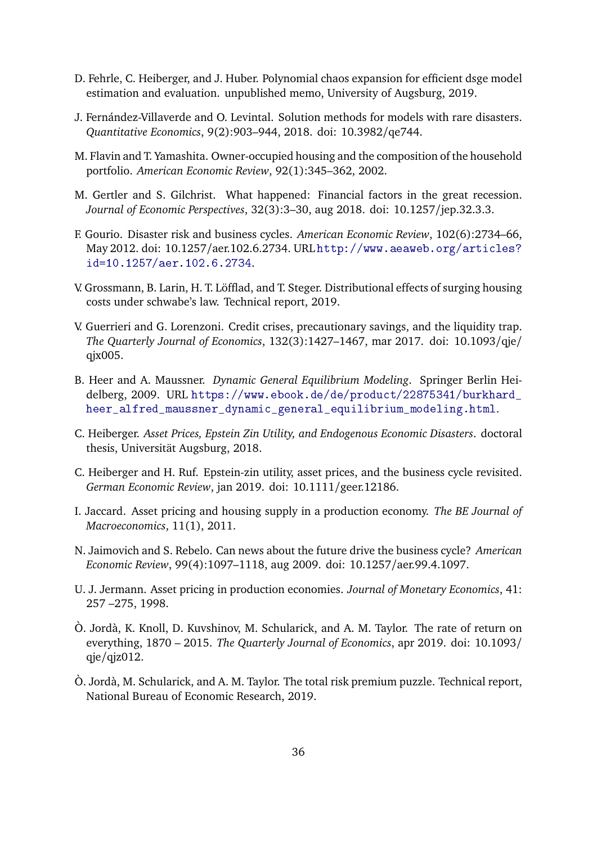- <span id="page-35-11"></span>D. Fehrle, C. Heiberger, and J. Huber. Polynomial chaos expansion for efficient dsge model estimation and evaluation. unpublished memo, University of Augsburg, 2019.
- <span id="page-35-9"></span>J. Fernández-Villaverde and O. Levintal. Solution methods for models with rare disasters. *Quantitative Economics*, 9(2):903–944, 2018. doi: 10.3982/qe744.
- <span id="page-35-6"></span>M. Flavin and T. Yamashita. Owner-occupied housing and the composition of the household portfolio. *American Economic Review*, 92(1):345–362, 2002.
- <span id="page-35-13"></span>M. Gertler and S. Gilchrist. What happened: Financial factors in the great recession. *Journal of Economic Perspectives*, 32(3):3–30, aug 2018. doi: 10.1257/jep.32.3.3.
- <span id="page-35-1"></span>F. Gourio. Disaster risk and business cycles. *American Economic Review*, 102(6):2734–66, May 2012. doi: 10.1257/aer.102.6.2734. URL [http://www.aeaweb.org/articles?](http://www.aeaweb.org/articles?id=10.1257/aer.102.6.2734) [id=10.1257/aer.102.6.2734](http://www.aeaweb.org/articles?id=10.1257/aer.102.6.2734).
- <span id="page-35-7"></span>V. Grossmann, B. Larin, H. T. Löfflad, and T. Steger. Distributional effects of surging housing costs under schwabe's law. Technical report, 2019.
- <span id="page-35-12"></span>V. Guerrieri and G. Lorenzoni. Credit crises, precautionary savings, and the liquidity trap. *The Quarterly Journal of Economics*, 132(3):1427–1467, mar 2017. doi: 10.1093/qje/ qjx005.
- <span id="page-35-14"></span>B. Heer and A. Maussner. *Dynamic General Equilibrium Modeling*. Springer Berlin Heidelberg, 2009. URL [https://www.ebook.de/de/product/22875341/burkhard\\_](https://www.ebook.de/de/product/22875341/burkhard_heer_alfred_maussner_dynamic_general_equilibrium_modeling.html) [heer\\_alfred\\_maussner\\_dynamic\\_general\\_equilibrium\\_modeling.html](https://www.ebook.de/de/product/22875341/burkhard_heer_alfred_maussner_dynamic_general_equilibrium_modeling.html).
- <span id="page-35-10"></span>C. Heiberger. *Asset Prices, Epstein Zin Utility, and Endogenous Economic Disasters*. doctoral thesis, Universität Augsburg, 2018.
- <span id="page-35-8"></span>C. Heiberger and H. Ruf. Epstein-zin utility, asset prices, and the business cycle revisited. *German Economic Review*, jan 2019. doi: 10.1111/geer.12186.
- <span id="page-35-5"></span>I. Jaccard. Asset pricing and housing supply in a production economy. *The BE Journal of Macroeconomics*, 11(1), 2011.
- <span id="page-35-4"></span>N. Jaimovich and S. Rebelo. Can news about the future drive the business cycle? *American Economic Review*, 99(4):1097–1118, aug 2009. doi: 10.1257/aer.99.4.1097.
- <span id="page-35-0"></span>U. J. Jermann. Asset pricing in production economies. *Journal of Monetary Economics*, 41: 257 –275, 1998.
- <span id="page-35-3"></span>Ò. Jordà, K. Knoll, D. Kuvshinov, M. Schularick, and A. M. Taylor. The rate of return on everything, 1870 – 2015. *The Quarterly Journal of Economics*, apr 2019. doi: 10.1093/ qje/qjz012.
- <span id="page-35-2"></span>Ò. Jordà, M. Schularick, and A. M. Taylor. The total risk premium puzzle. Technical report, National Bureau of Economic Research, 2019.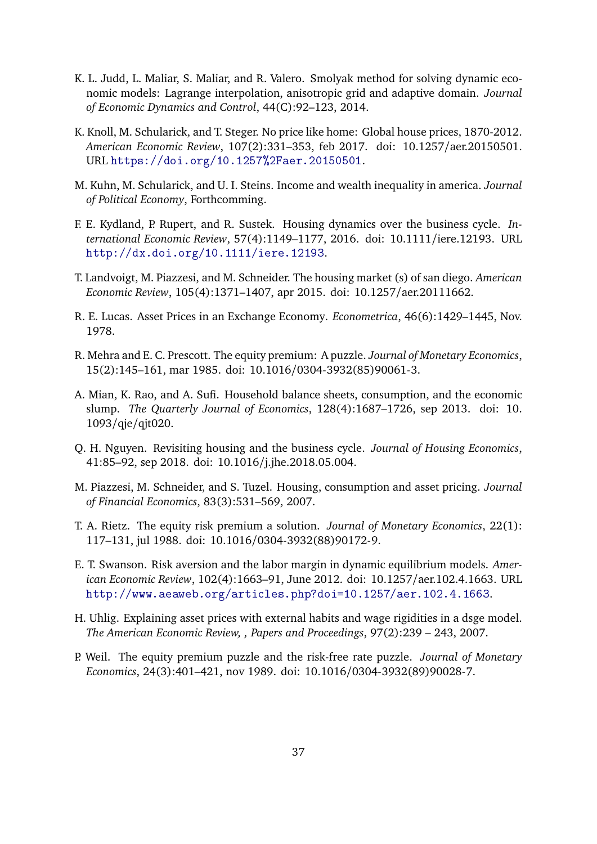- <span id="page-36-13"></span>K. L. Judd, L. Maliar, S. Maliar, and R. Valero. Smolyak method for solving dynamic economic models: Lagrange interpolation, anisotropic grid and adaptive domain. *Journal of Economic Dynamics and Control*, 44(C):92–123, 2014.
- <span id="page-36-7"></span>K. Knoll, M. Schularick, and T. Steger. No price like home: Global house prices, 1870-2012. *American Economic Review*, 107(2):331–353, feb 2017. doi: 10.1257/aer.20150501. URL <https://doi.org/10.1257%2Faer.20150501>.
- <span id="page-36-11"></span>M. Kuhn, M. Schularick, and U. I. Steins. Income and wealth inequality in america. *Journal of Political Economy*, Forthcomming.
- <span id="page-36-5"></span>F. E. Kydland, P. Rupert, and R. Sustek. Housing dynamics over the business cycle. *International Economic Review*, 57(4):1149–1177, 2016. doi: 10.1111/iere.12193. URL <http://dx.doi.org/10.1111/iere.12193>.
- <span id="page-36-8"></span>T. Landvoigt, M. Piazzesi, and M. Schneider. The housing market (s) of san diego. *American Economic Review*, 105(4):1371–1407, apr 2015. doi: 10.1257/aer.20111662.
- <span id="page-36-3"></span>R. E. Lucas. Asset Prices in an Exchange Economy. *Econometrica*, 46(6):1429–1445, Nov. 1978.
- <span id="page-36-0"></span>R. Mehra and E. C. Prescott. The equity premium: A puzzle. *Journal of Monetary Economics*, 15(2):145–161, mar 1985. doi: 10.1016/0304-3932(85)90061-3.
- <span id="page-36-12"></span>A. Mian, K. Rao, and A. Sufi. Household balance sheets, consumption, and the economic slump. *The Quarterly Journal of Economics*, 128(4):1687–1726, sep 2013. doi: 10. 1093/qje/qjt020.
- <span id="page-36-4"></span>Q. H. Nguyen. Revisiting housing and the business cycle. *Journal of Housing Economics*, 41:85–92, sep 2018. doi: 10.1016/j.jhe.2018.05.004.
- <span id="page-36-6"></span>M. Piazzesi, M. Schneider, and S. Tuzel. Housing, consumption and asset pricing. *Journal of Financial Economics*, 83(3):531–569, 2007.
- <span id="page-36-2"></span>T. A. Rietz. The equity risk premium a solution. *Journal of Monetary Economics*, 22(1): 117–131, jul 1988. doi: 10.1016/0304-3932(88)90172-9.
- <span id="page-36-10"></span>E. T. Swanson. Risk aversion and the labor margin in dynamic equilibrium models. *American Economic Review*, 102(4):1663–91, June 2012. doi: 10.1257/aer.102.4.1663. URL <http://www.aeaweb.org/articles.php?doi=10.1257/aer.102.4.1663>.
- <span id="page-36-9"></span>H. Uhlig. Explaining asset prices with external habits and wage rigidities in a dsge model. *The American Economic Review, , Papers and Proceedings*, 97(2):239 – 243, 2007.
- <span id="page-36-1"></span>P. Weil. The equity premium puzzle and the risk-free rate puzzle. *Journal of Monetary Economics*, 24(3):401–421, nov 1989. doi: 10.1016/0304-3932(89)90028-7.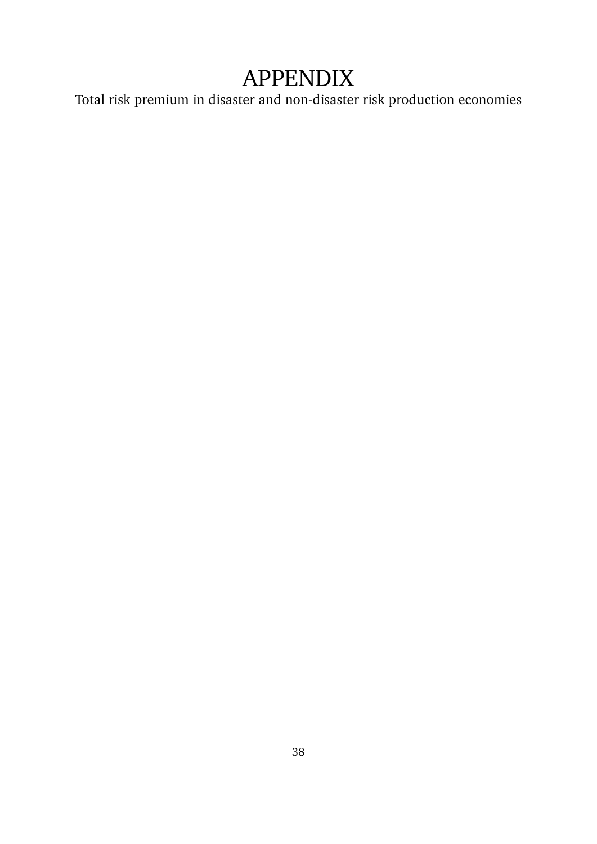# APPENDIX

Total risk premium in disaster and non-disaster risk production economies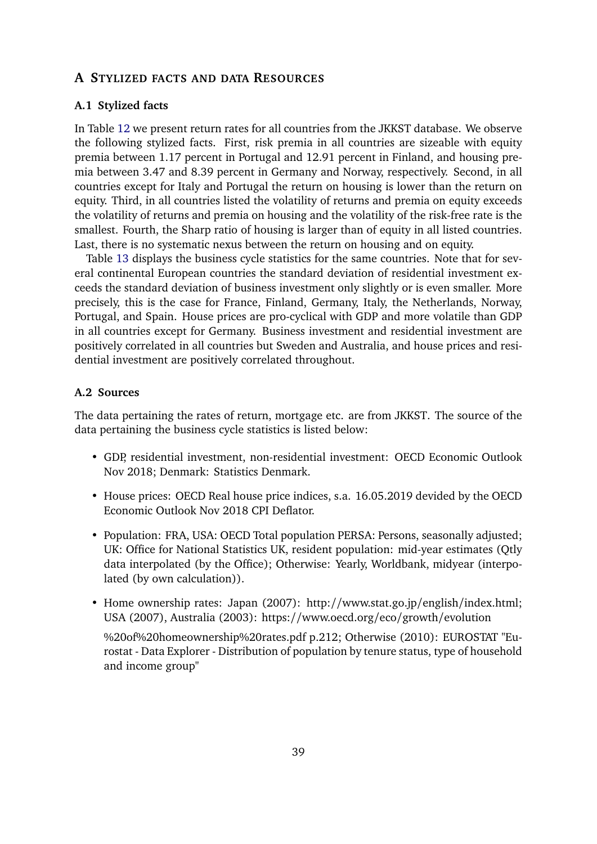## <span id="page-38-0"></span>**A STYLIZED FACTS AND DATA RESOURCES**

### **A.1 Stylized facts**

In Table [12](#page-39-0) we present return rates for all countries from the JKKST database. We observe the following stylized facts. First, risk premia in all countries are sizeable with equity premia between 1.17 percent in Portugal and 12.91 percent in Finland, and housing premia between 3.47 and 8.39 percent in Germany and Norway, respectively. Second, in all countries except for Italy and Portugal the return on housing is lower than the return on equity. Third, in all countries listed the volatility of returns and premia on equity exceeds the volatility of returns and premia on housing and the volatility of the risk-free rate is the smallest. Fourth, the Sharp ratio of housing is larger than of equity in all listed countries. Last, there is no systematic nexus between the return on housing and on equity.

Table [13](#page-40-1) displays the business cycle statistics for the same countries. Note that for several continental European countries the standard deviation of residential investment exceeds the standard deviation of business investment only slightly or is even smaller. More precisely, this is the case for France, Finland, Germany, Italy, the Netherlands, Norway, Portugal, and Spain. House prices are pro-cyclical with GDP and more volatile than GDP in all countries except for Germany. Business investment and residential investment are positively correlated in all countries but Sweden and Australia, and house prices and residential investment are positively correlated throughout.

#### **A.2 Sources**

The data pertaining the rates of return, mortgage etc. are from JKKST. The source of the data pertaining the business cycle statistics is listed below:

- GDP, residential investment, non-residential investment: OECD Economic Outlook Nov 2018; Denmark: Statistics Denmark.
- House prices: OECD Real house price indices, s.a. 16.05.2019 devided by the OECD Economic Outlook Nov 2018 CPI Deflator.
- Population: FRA, USA: OECD Total population PERSA: Persons, seasonally adjusted; UK: Office for National Statistics UK, resident population: mid-year estimates (Qtly data interpolated (by the Office); Otherwise: Yearly, Worldbank, midyear (interpolated (by own calculation)).
- Home ownership rates: Japan (2007): http://www.stat.go.jp/english/index.html; USA (2007), Australia (2003): https://www.oecd.org/eco/growth/evolution

%20of%20homeownership%20rates.pdf p.212; Otherwise (2010): EUROSTAT "Eurostat - Data Explorer - Distribution of population by tenure status, type of household and income group"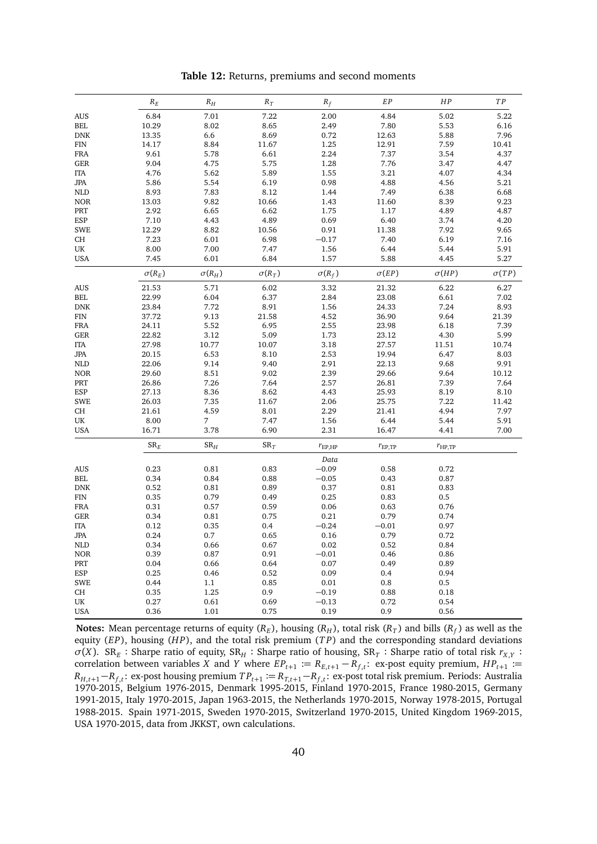<span id="page-39-0"></span>

|            | $R_E$         | ${\cal R}_H$             | $R_T$         | $R_f$           | EP                 | HP                 | TP           |
|------------|---------------|--------------------------|---------------|-----------------|--------------------|--------------------|--------------|
| <b>AUS</b> | 6.84          | 7.01                     | 7.22          | 2.00            | 4.84               | 5.02               | 5.22         |
| <b>BEL</b> | 10.29         | 8.02                     | 8.65          | 2.49            | 7.80               | 5.53               | 6.16         |
| <b>DNK</b> | 13.35         | 6.6                      | 8.69          | 0.72            | 12.63              | 5.88               | 7.96         |
| <b>FIN</b> | 14.17         | 8.84                     | 11.67         | 1.25            | 12.91              | 7.59               | 10.41        |
| <b>FRA</b> | 9.61          | 5.78                     | 6.61          | 2.24            | 7.37               | 3.54               | 4.37         |
| <b>GER</b> | 9.04          | 4.75                     | 5.75          | 1.28            | 7.76               | 3.47               | 4.47         |
| <b>ITA</b> | 4.76          | 5.62                     | 5.89          | 1.55            | 3.21               | 4.07               | 4.34         |
| <b>JPA</b> | 5.86          | 5.54                     | 6.19          | 0.98            | 4.88               | 4.56               | 5.21         |
| <b>NLD</b> | 8.93          | 7.83                     | 8.12          | 1.44            | 7.49               | 6.38               | 6.68         |
| <b>NOR</b> | 13.03         | 9.82                     | 10.66         | 1.43            | 11.60              | 8.39               | 9.23         |
| PRT        | 2.92          | 6.65                     | 6.62          | 1.75            | 1.17               | 4.89               | 4.87         |
| ESP        | 7.10          | 4.43                     | 4.89          | 0.69            | 6.40               | 3.74               | 4.20         |
| <b>SWE</b> | 12.29         | 8.82                     | 10.56         | 0.91            | 11.38              | 7.92               | 9.65         |
| CH         | 7.23          | 6.01                     | 6.98          | $-0.17$         | 7.40               | 6.19               | 7.16         |
| UK         | 8.00          | 7.00                     | 7.47          | 1.56            | 6.44               | 5.44               | 5.91         |
| <b>USA</b> | 7.45          | 6.01                     | 6.84          | 1.57            | 5.88               | 4.45               | 5.27         |
|            | $\sigma(R_E)$ | $\sigma(R_H)$            | $\sigma(R_T)$ | $\sigma(R_f)$   | $\sigma(EP)$       | $\sigma(HP)$       | $\sigma(TP)$ |
| <b>AUS</b> | 21.53         | 5.71                     | 6.02          | 3.32            | 21.32              | 6.22               | 6.27         |
| <b>BEL</b> | 22.99         | 6.04                     | 6.37          | 2.84            | 23.08              | 6.61               | 7.02         |
| <b>DNK</b> | 23.84         | 7.72                     | 8.91          | 1.56            | 24.33              | 7.24               | 8.93         |
| FIN        | 37.72         | 9.13                     | 21.58         | 4.52            | 36.90              | 9.64               | 21.39        |
| <b>FRA</b> | 24.11         | 5.52                     | 6.95          | 2.55            | 23.98              | 6.18               | 7.39         |
| <b>GER</b> | 22.82         | 3.12                     | 5.09          | 1.73            | 23.12              | 4.30               | 5.99         |
| <b>ITA</b> | 27.98         | 10.77                    | 10.07         | 3.18            | 27.57              | 11.51              | 10.74        |
| <b>JPA</b> | 20.15         | 6.53                     | 8.10          | 2.53            | 19.94              | 6.47               | 8.03         |
| <b>NLD</b> | 22.06         | 9.14                     | 9.40          | 2.91            | 22.13              | 9.68               | 9.91         |
| <b>NOR</b> | 29.60         | 8.51                     | 9.02          | 2.39            | 29.66              | 9.64               | 10.12        |
| PRT        | 26.86         | 7.26                     | 7.64          | 2.57            | 26.81              | 7.39               | 7.64         |
| ESP        | 27.13         | 8.36                     | 8.62          | 4.43            | 25.93              | 8.19               | 8.10         |
| <b>SWE</b> | 26.03         | 7.35                     | 11.67         | 2.06            | 25.75              | 7.22               | 11.42        |
| CH         | 21.61         | 4.59                     | 8.01          | 2.29            | 21.41              | 4.94               | 7.97         |
| UK         | 8.00          | $\overline{7}$           | 7.47          | 1.56            | 6.44               | 5.44               | 5.91         |
| <b>USA</b> | 16.71         | 3.78                     | 6.90          | 2.31            | 16.47              | 4.41               | 7.00         |
|            | ${\rm SR}_E$  | ${\rm SR}_{\mathcal{H}}$ | $SR_T$        | $r_{\rm EP,HP}$ | $r_{\text{EP,TP}}$ | $r_{\text{HP,TP}}$ |              |
|            |               |                          |               | Data            |                    |                    |              |
| <b>AUS</b> | 0.23          | 0.81                     | 0.83          | $-0.09$         | 0.58               | 0.72               |              |
| BEL.       | 0.34          | 0.84                     | 0.88          | $-0.05$         | 0.43               | 0.87               |              |
| <b>DNK</b> | 0.52          | 0.81                     | 0.89          | 0.37            | 0.81               | 0.83               |              |
| FIN        | 0.35          | 0.79                     | 0.49          | 0.25            | 0.83               | 0.5                |              |
| <b>FRA</b> | 0.31          | 0.57                     | 0.59          | 0.06            | 0.63               | 0.76               |              |
| <b>GER</b> | 0.34          | 0.81                     | 0.75          | 0.21            | 0.79               | 0.74               |              |
| <b>ITA</b> | 0.12          | 0.35                     | 0.4           | $-0.24$         | $-0.01$            | 0.97               |              |
|            |               | 0.7                      |               |                 |                    | 0.72               |              |
| <b>JPA</b> | 0.24<br>0.34  | 0.66                     | 0.65<br>0.67  | 0.16<br>0.02    | 0.79<br>0.52       | 0.84               |              |
| <b>NLD</b> |               |                          |               |                 |                    |                    |              |
| <b>NOR</b> | 0.39<br>0.04  | 0.87<br>0.66             | 0.91          | $-0.01$<br>0.07 | 0.46<br>0.49       | 0.86<br>0.89       |              |
| PRT        |               |                          | 0.64          |                 |                    |                    |              |
| ESP        | 0.25          | 0.46                     | 0.52          | 0.09            | 0.4                | 0.94               |              |
| <b>SWE</b> | 0.44          | 1.1                      | 0.85          | 0.01            | 0.8                | 0.5                |              |
| CH         | 0.35          | 1.25                     | 0.9           | $-0.19$         | 0.88               | 0.18               |              |
| UK         | 0.27          | 0.61                     | 0.69          | $-0.13$         | 0.72               | 0.54               |              |
| <b>USA</b> | 0.36          | 1.01                     | 0.75          | 0.19            | 0.9                | 0.56               |              |

**Table 12:** Returns, premiums and second moments

**Notes:** Mean percentage returns of equity ( $R_E$ ), housing ( $R_H$ ), total risk ( $R_T$ ) and bills ( $R_f$ ) as well as the equity (*EP*), housing (*HP*), and the total risk premium (*TP*) and the corresponding standard deviations  $\sigma(X)$ . SR<sub>E</sub>: Sharpe ratio of equity, SR<sub>H</sub>: Sharpe ratio of housing, SR<sub>T</sub>: Sharpe ratio of total risk  $r_{X,Y}$ : correlation between variables *X* and *Y* where  $EP_{t+1} := R_{E,t+1} - R_{f,t}$ : ex-post equity premium,  $HP_{t+1} :=$ *R*<sub>*H*</sub>,*t*+1 −*R*<sub>*f*</sub>,*t* ex-post housing premium  $TP$ <sub>*t*+1</sub> :=  $R$ <sub>*T*,*t*+1 −*R*<sub>*f*</sub>,*t* ex-post total risk premium. Periods: Australia</sub> 1970-2015, Belgium 1976-2015, Denmark 1995-2015, Finland 1970-2015, France 1980-2015, Germany 1991-2015, Italy 1970-2015, Japan 1963-2015, the Netherlands 1970-2015, Norway 1978-2015, Portugal 1988-2015. Spain 1971-2015, Sweden 1970-2015, Switzerland 1970-2015, United Kingdom 1969-2015, USA 1970-2015, data from JKKST, own calculations.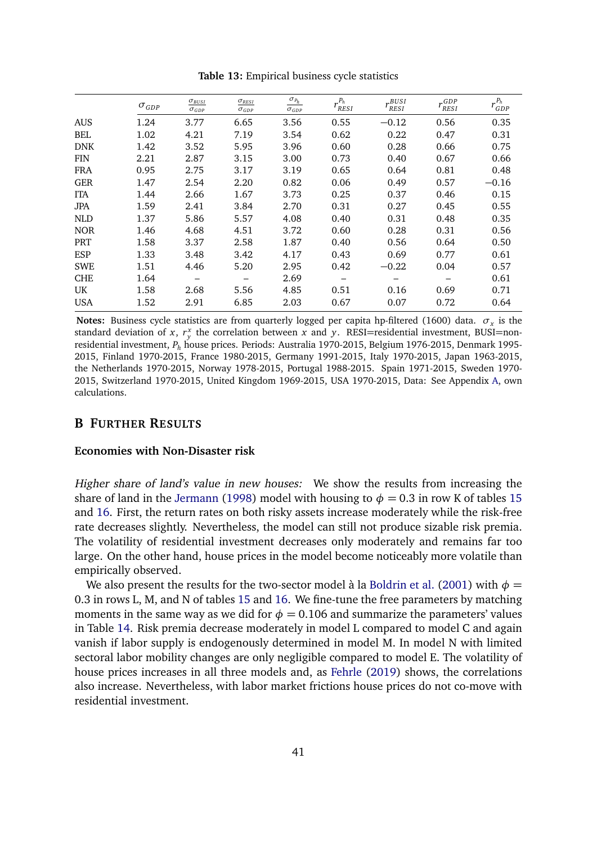<span id="page-40-1"></span>

|            | $\sigma_{GDP}$ | $\sigma_{BUSI}$<br>$\sigma$ <sub>GDP</sub> | $\sigma_{RESI}$<br>$\sigma$ <sub>GDP</sub> | $\ensuremath{\underline{\sigma_{P_{h}}}}$<br>$\sigma_{GDP}$ | $r_{RESI}^{P_h}$ | r BUSI<br>RESI | $r^{GDP}_{RESI}$ | $r_{GDP}^{P_h}$ |
|------------|----------------|--------------------------------------------|--------------------------------------------|-------------------------------------------------------------|------------------|----------------|------------------|-----------------|
| <b>AUS</b> | 1.24           | 3.77                                       | 6.65                                       | 3.56                                                        | 0.55             | $-0.12$        | 0.56             | 0.35            |
| BEL        | 1.02           | 4.21                                       | 7.19                                       | 3.54                                                        | 0.62             | 0.22           | 0.47             | 0.31            |
| <b>DNK</b> | 1.42           | 3.52                                       | 5.95                                       | 3.96                                                        | 0.60             | 0.28           | 0.66             | 0.75            |
| <b>FIN</b> | 2.21           | 2.87                                       | 3.15                                       | 3.00                                                        | 0.73             | 0.40           | 0.67             | 0.66            |
| <b>FRA</b> | 0.95           | 2.75                                       | 3.17                                       | 3.19                                                        | 0.65             | 0.64           | 0.81             | 0.48            |
| <b>GER</b> | 1.47           | 2.54                                       | 2.20                                       | 0.82                                                        | 0.06             | 0.49           | 0.57             | $-0.16$         |
| <b>ITA</b> | 1.44           | 2.66                                       | 1.67                                       | 3.73                                                        | 0.25             | 0.37           | 0.46             | 0.15            |
| <b>JPA</b> | 1.59           | 2.41                                       | 3.84                                       | 2.70                                                        | 0.31             | 0.27           | 0.45             | 0.55            |
| <b>NLD</b> | 1.37           | 5.86                                       | 5.57                                       | 4.08                                                        | 0.40             | 0.31           | 0.48             | 0.35            |
| <b>NOR</b> | 1.46           | 4.68                                       | 4.51                                       | 3.72                                                        | 0.60             | 0.28           | 0.31             | 0.56            |
| PRT        | 1.58           | 3.37                                       | 2.58                                       | 1.87                                                        | 0.40             | 0.56           | 0.64             | 0.50            |
| ESP        | 1.33           | 3.48                                       | 3.42                                       | 4.17                                                        | 0.43             | 0.69           | 0.77             | 0.61            |
| <b>SWE</b> | 1.51           | 4.46                                       | 5.20                                       | 2.95                                                        | 0.42             | $-0.22$        | 0.04             | 0.57            |
| <b>CHE</b> | 1.64           |                                            |                                            | 2.69                                                        |                  |                |                  | 0.61            |
| UK.        | 1.58           | 2.68                                       | 5.56                                       | 4.85                                                        | 0.51             | 0.16           | 0.69             | 0.71            |
| <b>USA</b> | 1.52           | 2.91                                       | 6.85                                       | 2.03                                                        | 0.67             | 0.07           | 0.72             | 0.64            |

**Table 13:** Empirical business cycle statistics

**Notes:** Business cycle statistics are from quarterly logged per capita hp-filtered (1600) data.  $\sigma_x$  is the standard deviation of *x*,  $r_y^x$  the correlation between *x* and *y*. RESI=residential investment, BUSI=nonresidential investment, *P<sup>h</sup>* house prices. Periods: Australia 1970-2015, Belgium 1976-2015, Denmark 1995- 2015, Finland 1970-2015, France 1980-2015, Germany 1991-2015, Italy 1970-2015, Japan 1963-2015, the Netherlands 1970-2015, Norway 1978-2015, Portugal 1988-2015. Spain 1971-2015, Sweden 1970- 2015, Switzerland 1970-2015, United Kingdom 1969-2015, USA 1970-2015, Data: See Appendix [A,](#page-38-0) own calculations.

## <span id="page-40-0"></span>**B FURTHER RESULTS**

#### **Economies with Non-Disaster risk**

Higher share of land's value in new houses: We show the results from increasing the share of land in the [Jermann](#page-35-0) [\(1998\)](#page-35-0) model with housing to  $\phi = 0.3$  in row K of tables [15](#page-42-0) and [16.](#page-43-0) First, the return rates on both risky assets increase moderately while the risk-free rate decreases slightly. Nevertheless, the model can still not produce sizable risk premia. The volatility of residential investment decreases only moderately and remains far too large. On the other hand, house prices in the model become noticeably more volatile than empirically observed.

We also present the results for the two-sector model à la [Boldrin et al.](#page-34-0) [\(2001\)](#page-34-0) with  $\phi =$ 0.3 in rows L, M, and N of tables [15](#page-42-0) and [16.](#page-43-0) We fine-tune the free parameters by matching moments in the same way as we did for  $\phi = 0.106$  and summarize the parameters' values in Table [14.](#page-41-0) Risk premia decrease moderately in model L compared to model C and again vanish if labor supply is endogenously determined in model M. In model N with limited sectoral labor mobility changes are only negligible compared to model E. The volatility of house prices increases in all three models and, as [Fehrle](#page-34-4) [\(2019\)](#page-34-4) shows, the correlations also increase. Nevertheless, with labor market frictions house prices do not co-move with residential investment.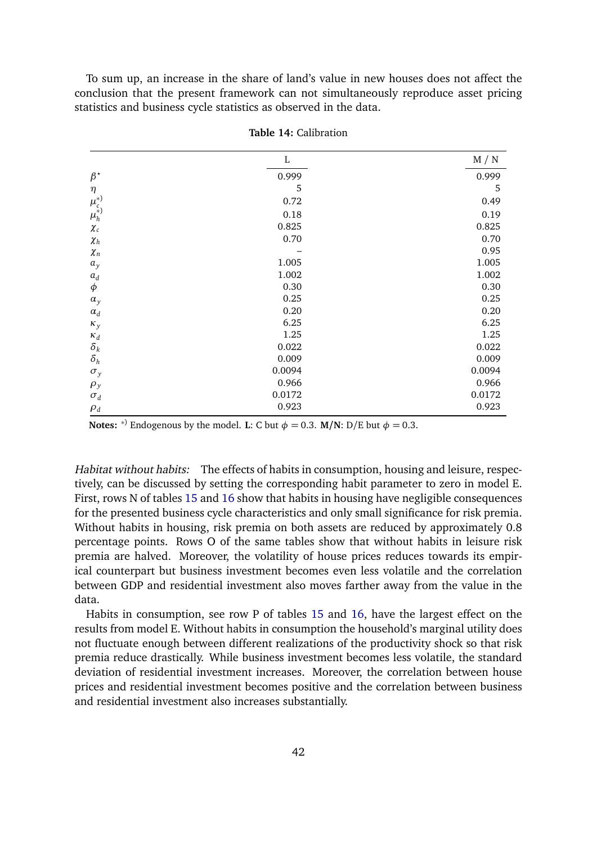To sum up, an increase in the share of land's value in new houses does not affect the conclusion that the present framework can not simultaneously reproduce asset pricing statistics and business cycle statistics as observed in the data.

<span id="page-41-0"></span>

|                    | L      | M / N  |
|--------------------|--------|--------|
| $\beta^{\star}$    | 0.999  | 0.999  |
| $\eta$             | 5      | 5      |
|                    | 0.72   | 0.49   |
| $\mu_c^{(*)}$      | 0.18   | 0.19   |
| $\chi_c$           | 0.825  | 0.825  |
| $\chi_{h}$         | 0.70   | 0.70   |
| $\chi_n$           |        | 0.95   |
| $a_y$              | 1.005  | 1.005  |
| $\boldsymbol{a}_d$ | 1.002  | 1.002  |
| $\phi$             | 0.30   | 0.30   |
| $\alpha_{y}$       | 0.25   | 0.25   |
| $\alpha_d$         | 0.20   | 0.20   |
| $\kappa_y$         | 6.25   | 6.25   |
| $\kappa_d$         | 1.25   | 1.25   |
| $\delta_k$         | 0.022  | 0.022  |
| $\delta_h$         | 0.009  | 0.009  |
| $\sigma_y$         | 0.0094 | 0.0094 |
| $\rho_y$           | 0.966  | 0.966  |
| $\sigma_d$         | 0.0172 | 0.0172 |
| $\rho_d$           | 0.923  | 0.923  |

**Table 14:** Calibration

**Notes:**  $*$ ) Endogenous by the model. **L**: C but  $\phi = 0.3$ . **M/N**: D/E but  $\phi = 0.3$ .

Habitat without habits: The effects of habits in consumption, housing and leisure, respectively, can be discussed by setting the corresponding habit parameter to zero in model E. First, rows N of tables [15](#page-42-0) and [16](#page-43-0) show that habits in housing have negligible consequences for the presented business cycle characteristics and only small significance for risk premia. Without habits in housing, risk premia on both assets are reduced by approximately 0.8 percentage points. Rows O of the same tables show that without habits in leisure risk premia are halved. Moreover, the volatility of house prices reduces towards its empirical counterpart but business investment becomes even less volatile and the correlation between GDP and residential investment also moves farther away from the value in the data.

Habits in consumption, see row P of tables [15](#page-42-0) and [16,](#page-43-0) have the largest effect on the results from model E. Without habits in consumption the household's marginal utility does not fluctuate enough between different realizations of the productivity shock so that risk premia reduce drastically. While business investment becomes less volatile, the standard deviation of residential investment increases. Moreover, the correlation between house prices and residential investment becomes positive and the correlation between business and residential investment also increases substantially.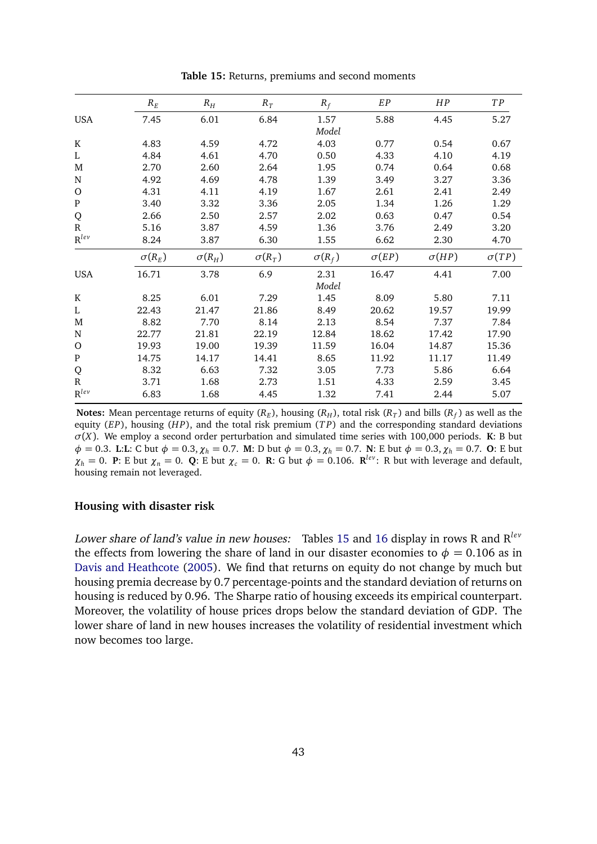<span id="page-42-0"></span>

|              | $R_E$         | $R_H$         | $R_T$         | $R_f$         | EP           | HP           | T P          |
|--------------|---------------|---------------|---------------|---------------|--------------|--------------|--------------|
| <b>USA</b>   | 7.45          | 6.01          | 6.84          | 1.57          | 5.88         | 4.45         | 5.27         |
|              |               |               |               | Model         |              |              |              |
| K            | 4.83          | 4.59          | 4.72          | 4.03          | 0.77         | 0.54         | 0.67         |
| L            | 4.84          | 4.61          | 4.70          | 0.50          | 4.33         | 4.10         | 4.19         |
| M            | 2.70          | 2.60          | 2.64          | 1.95          | 0.74         | 0.64         | 0.68         |
| N            | 4.92          | 4.69          | 4.78          | 1.39          | 3.49         | 3.27         | 3.36         |
| $\circ$      | 4.31          | 4.11          | 4.19          | 1.67          | 2.61         | 2.41         | 2.49         |
| ${\bf P}$    | 3.40          | 3.32          | 3.36          | 2.05          | 1.34         | 1.26         | 1.29         |
| Q            | 2.66          | 2.50          | 2.57          | 2.02          | 0.63         | 0.47         | 0.54         |
| ${\bf R}$    | 5.16          | 3.87          | 4.59          | 1.36          | 3.76         | 2.49         | 3.20         |
| $R^{lev}$    | 8.24          | 3.87          | 6.30          | 1.55          | 6.62         | 2.30         | 4.70         |
|              | $\sigma(R_E)$ | $\sigma(R_H)$ | $\sigma(R_T)$ | $\sigma(R_f)$ | $\sigma(EP)$ | $\sigma(HP)$ | $\sigma(TP)$ |
| <b>USA</b>   | 16.71         | 3.78          | 6.9           | 2.31          | 16.47        | 4.41         | 7.00         |
|              |               |               |               | Model         |              |              |              |
| K            | 8.25          | 6.01          | 7.29          | 1.45          | 8.09         | 5.80         | 7.11         |
| L            | 22.43         | 21.47         | 21.86         | 8.49          | 20.62        | 19.57        | 19.99        |
| M            | 8.82          | 7.70          | 8.14          | 2.13          | 8.54         | 7.37         | 7.84         |
| $\mathbf N$  | 22.77         | 21.81         | 22.19         | 12.84         | 18.62        | 17.42        | 17.90        |
| O            | 19.93         | 19.00         | 19.39         | 11.59         | 16.04        | 14.87        | 15.36        |
| ${\bf P}$    | 14.75         | 14.17         | 14.41         | 8.65          | 11.92        | 11.17        | 11.49        |
| Q            | 8.32          | 6.63          | 7.32          | 3.05          | 7.73         | 5.86         | 6.64         |
| $\mathbb{R}$ | 3.71          | 1.68          | 2.73          | 1.51          | 4.33         | 2.59         | 3.45         |
| $R^{lev}$    | 6.83          | 1.68          | 4.45          | 1.32          | 7.41         | 2.44         | 5.07         |

**Table 15:** Returns, premiums and second moments

**Notes:** Mean percentage returns of equity ( $R_E$ ), housing ( $R_H$ ), total risk ( $R_T$ ) and bills ( $R_f$ ) as well as the equity (*EP*), housing (*H P*), and the total risk premium (*T P*) and the corresponding standard deviations *σ*(*X*). We employ a second order perturbation and simulated time series with 100,000 periods. **K**: B but *φ* = 0.3. **L**:**L**: C but *φ* = 0.3,*χ<sup>h</sup>* = 0.7. **M**: D but *φ* = 0.3,*χ<sup>h</sup>* = 0.7. **N**: E but *φ* = 0.3,*χ<sup>h</sup>* = 0.7. **O**: E but  $\chi_h = 0$ . **P**: E but  $\chi_n = 0$ . **Q**: E but  $\chi_c = 0$ . **R**: G but  $\phi = 0.106$ . **R**<sup>lev</sup>: R but with leverage and default, housing remain not leveraged.

#### **Housing with disaster risk**

Lower share of land's value in new houses: Tables [15](#page-42-0) and [16](#page-43-0) display in rows R and R*lev* the effects from lowering the share of land in our disaster economies to  $\phi = 0.106$  as in [Davis and Heathcote](#page-34-3) [\(2005\)](#page-34-3). We find that returns on equity do not change by much but housing premia decrease by 0.7 percentage-points and the standard deviation of returns on housing is reduced by 0.96. The Sharpe ratio of housing exceeds its empirical counterpart. Moreover, the volatility of house prices drops below the standard deviation of GDP. The lower share of land in new houses increases the volatility of residential investment which now becomes too large.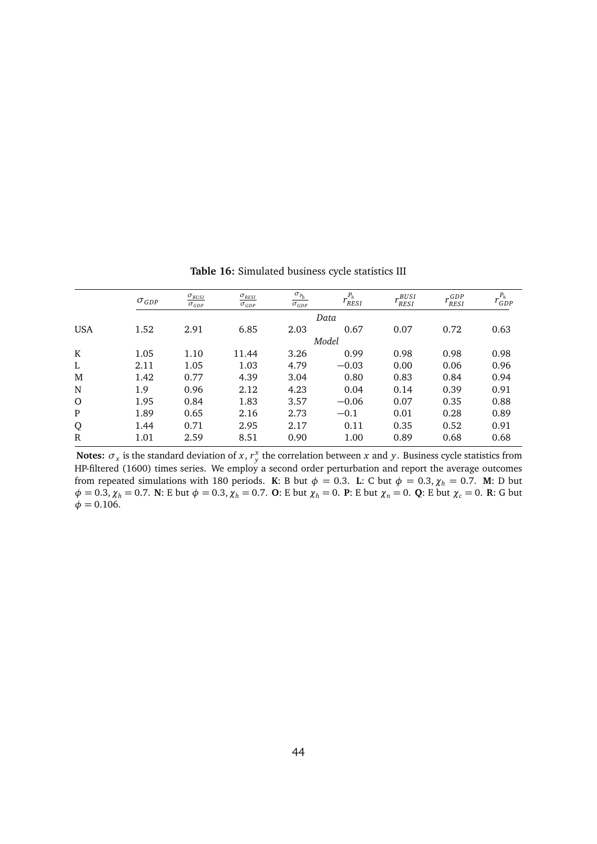<span id="page-43-0"></span>

|             | $\sigma_{GDP}$ | $\sigma_{BUSI}$<br>$\sigma_{GDP}$ | $\sigma_{RESI}$<br>$\sigma_{GDP}$ | $\sigma_{P_h}$<br>$\sigma_{GDP}$ | $P_h$<br><sup>I</sup> RESI | BUSI<br><b>RESI</b> | GDP<br>RESI | $r^{P_h}$<br>GDP |
|-------------|----------------|-----------------------------------|-----------------------------------|----------------------------------|----------------------------|---------------------|-------------|------------------|
|             |                |                                   |                                   |                                  | Data                       |                     |             |                  |
| <b>USA</b>  | 1.52           | 2.91                              | 6.85                              | 2.03                             | 0.67                       | 0.07                | 0.72        | 0.63             |
|             |                |                                   |                                   |                                  | Model                      |                     |             |                  |
| K           | 1.05           | 1.10                              | 11.44                             | 3.26                             | 0.99                       | 0.98                | 0.98        | 0.98             |
| L           | 2.11           | 1.05                              | 1.03                              | 4.79                             | $-0.03$                    | 0.00                | 0.06        | 0.96             |
| M           | 1.42           | 0.77                              | 4.39                              | 3.04                             | 0.80                       | 0.83                | 0.84        | 0.94             |
| N           | 1.9            | 0.96                              | 2.12                              | 4.23                             | 0.04                       | 0.14                | 0.39        | 0.91             |
| $\Omega$    | 1.95           | 0.84                              | 1.83                              | 3.57                             | $-0.06$                    | 0.07                | 0.35        | 0.88             |
| P           | 1.89           | 0.65                              | 2.16                              | 2.73                             | $-0.1$                     | 0.01                | 0.28        | 0.89             |
| Q           | 1.44           | 0.71                              | 2.95                              | 2.17                             | 0.11                       | 0.35                | 0.52        | 0.91             |
| $\mathbf R$ | 1.01           | 2.59                              | 8.51                              | 0.90                             | 1.00                       | 0.89                | 0.68        | 0.68             |

**Table 16:** Simulated business cycle statistics III

**Notes:**  $\sigma_x$  is the standard deviation of *x*,  $r_y^x$  the correlation between *x* and *y*. Business cycle statistics from HP-filtered (1600) times series. We employ a second order perturbation and report the average outcomes from repeated simulations with 180 periods. **K**: B but  $\phi = 0.3$ . **L**: C but  $\phi = 0.3$ ,  $\chi_h = 0.7$ . **M**: D but  $\phi = 0.3$ ,  $\chi_h = 0.7$ . **N**: E but  $\phi = 0.3$ ,  $\chi_h = 0.7$ . **O**: E but  $\chi_h = 0$ . **P**: E but  $\chi_n = 0$ . **Q**: E but  $\chi_c = 0$ . **R**: G but  $\phi = 0.106$ .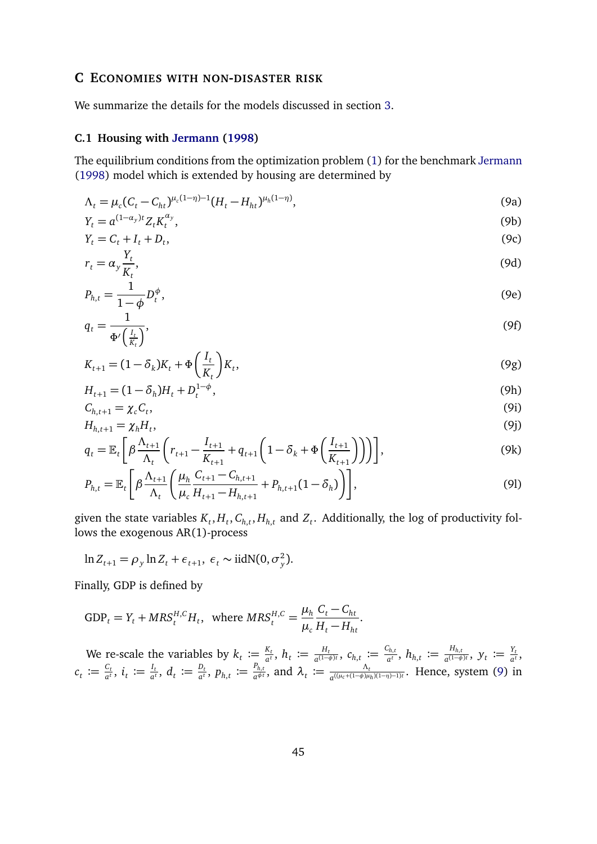## <span id="page-44-0"></span>**C ECONOMIES WITH NON-DISASTER RISK**

We summarize the details for the models discussed in section [3.](#page-7-0)

## **C.1 Housing with [Jermann](#page-35-0) [\(1998\)](#page-35-0)**

The equilibrium conditions from the optimization problem [\(1\)](#page-8-2) for the benchmark [Jermann](#page-35-0) [\(1998\)](#page-35-0) model which is extended by housing are determined by

<span id="page-44-1"></span>
$$
\Lambda_t = \mu_c (C_t - C_{ht})^{\mu_c (1 - \eta) - 1} (H_t - H_{ht})^{\mu_h (1 - \eta)},
$$
\n(9a)

$$
Y_t = a^{(1-\alpha_y)t} Z_t K_t^{\alpha_y},\tag{9b}
$$

$$
Y_t = C_t + I_t + D_t,\tag{9c}
$$

$$
r_t = \alpha_y \frac{Y_t}{K_t},\tag{9d}
$$

$$
P_{h,t} = \frac{1}{1-\phi} D_t^{\phi},\tag{9e}
$$

$$
q_t = \frac{1}{\Phi'\left(\frac{I_t}{K_t}\right)},\tag{9f}
$$

$$
K_{t+1} = (1 - \delta_k)K_t + \Phi\left(\frac{I_t}{K_t}\right)K_t,
$$
\n(9g)

$$
H_{t+1} = (1 - \delta_h)H_t + D_t^{1-\phi},\tag{9h}
$$

$$
C_{h,t+1} = \chi_c C_t,\tag{91}
$$

$$
H_{h,t+1} = \chi_h H_t,\tag{9j}
$$

$$
q_{t} = \mathbb{E}_{t} \left[ \beta \frac{\Lambda_{t+1}}{\Lambda_{t}} \left( r_{t+1} - \frac{I_{t+1}}{K_{t+1}} + q_{t+1} \left( 1 - \delta_{k} + \Phi \left( \frac{I_{t+1}}{K_{t+1}} \right) \right) \right) \right],
$$
\n(9k)

$$
P_{h,t} = \mathbb{E}_t \left[ \beta \frac{\Lambda_{t+1}}{\Lambda_t} \left( \frac{\mu_h}{\mu_c} \frac{C_{t+1} - C_{h,t+1}}{H_{t+1} - H_{h,t+1}} + P_{h,t+1} (1 - \delta_h) \right) \right],
$$
\n(91)

given the state variables  $K_t$ ,  $H_t$ ,  $C_{h,t}$ ,  $H_{h,t}$  and  $Z_t$ . Additionally, the log of productivity follows the exogenous AR(1)-process

$$
\ln Z_{t+1} = \rho_y \ln Z_t + \epsilon_{t+1}, \ \epsilon_t \sim \text{iidN}(0, \sigma_y^2).
$$

Finally, GDP is defined by

$$
GDP_t = Y_t + MRS_t^{H,C}H_t, \text{ where } MRS_t^{H,C} = \frac{\mu_h}{\mu_c} \frac{C_t - C_{ht}}{H_t - H_{ht}}.
$$

We re-scale the variables by  $k_t \coloneqq \frac{K_t}{a^t}$  $\frac{K_t}{a^t}$ ,  $h_t \coloneqq \frac{H_t}{a^{(1-t)}}$  $\frac{H_t}{a^{(1-\phi)t}}$ ,  $c_{h,t} := \frac{C_{h,t}}{a^t}$  $\frac{C_{h,t}}{a^t},\ h_{h,t}\coloneqq\frac{H_{h,t}}{a^{(1-\phi)}}$  $\frac{H_{h,t}}{a^{(1-\phi)t}}$ ,  $y_t \coloneqq \frac{Y_t}{a^t}$  $\frac{r_t}{a^t}$ ,  $c_t \coloneqq \frac{c_t}{a^t}$  $\frac{C_t}{a^t}$ ,  $i_t \coloneqq \frac{I_t}{a^t}$  $\frac{I_t}{a^t}$ ,  $d_t \coloneqq \frac{D_t}{a^t}$  $\frac{D_t}{a^t}$ ,  $p_{h,t} \coloneqq \frac{P_{h,t}}{a^{\phi \, t}}$  $\frac{P_{h,t}}{a^{\phi\,t}}$ , and  $\lambda_t \coloneqq \frac{\Lambda_t}{a^{((\mu_c + (1-\phi)\mu)^2)}}$  $\frac{\Lambda_t}{a^{((\mu_c+(1-\phi)\mu_h)(1-\eta)-1)t}}$ . Hence, system [\(9\)](#page-44-1) in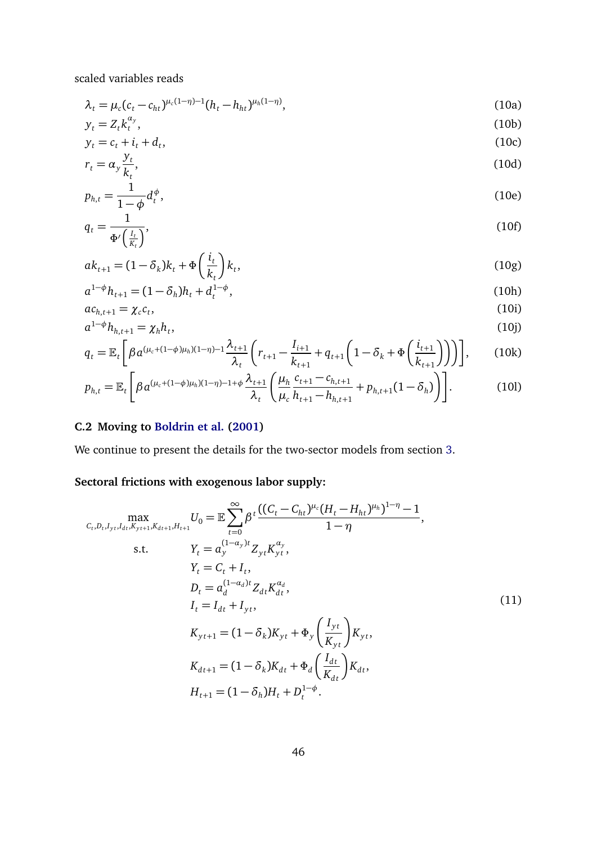scaled variables reads

$$
\lambda_t = \mu_c (c_t - c_{ht})^{\mu_c (1 - \eta) - 1} (h_t - h_{ht})^{\mu_h (1 - \eta)},
$$
\n(10a)

$$
y_t = Z_t k_t^{\alpha_y},\tag{10b}
$$

$$
y_t = c_t + i_t + d_t,\tag{10c}
$$

$$
r_t = \alpha_y \frac{J_t}{k_t},\tag{10d}
$$

$$
p_{h,t} = \frac{1}{1-\phi} d_t^{\phi},\tag{10e}
$$

$$
q_t = \frac{1}{\Phi'\left(\frac{I_t}{K_t}\right)},\tag{10f}
$$

$$
ak_{t+1} = (1 - \delta_k)k_t + \Phi\left(\frac{i_t}{k_t}\right)k_t,
$$
\n(10g)

$$
a^{1-\phi}h_{t+1} = (1 - \delta_h)h_t + d_t^{1-\phi},\tag{10h}
$$

$$
ac_{h,t+1} = \chi_c c_t,\tag{10i}
$$
\n
$$
a^{1-\phi}h_{h,t+1} = \chi_h h_t,\tag{10i}
$$

$$
a^{1-\phi}h_{h,t+1} = \chi_h h_t,
$$
\n(10j)  
\n
$$
q_t = \mathbb{E}_t \left[ \beta a^{(\mu_c + (1-\phi)\mu_h)(1-\eta)-1} \frac{\lambda_{t+1}}{2} \left( r_{t+1} - \frac{I_{i+1}}{2} + q_{t+1} \left( 1 - \delta_k + \Phi\left(\frac{i_{t+1}}{2}\right) \right) \right) \right],
$$
\n(10k)

$$
q_{t} = \mathbb{E}_{t} \left[ \beta a^{(\mu_{c} + (1 - \phi)\mu_{h})(1 - \eta) - 1} \frac{\lambda_{t+1}}{\lambda_{t}} \left( r_{t+1} - \frac{1_{i+1}}{k_{t+1}} + q_{t+1} \left( 1 - \delta_{k} + \Phi \left( \frac{t_{t+1}}{k_{t+1}} \right) \right) \right) \right],
$$
(10k)

$$
p_{h,t} = \mathbb{E}_t \left[ \beta a^{(\mu_c + (1-\phi)\mu_h)(1-\eta) - 1 + \phi} \frac{\lambda_{t+1}}{\lambda_t} \left( \frac{\mu_h}{\mu_c} \frac{c_{t+1} - c_{h,t+1}}{h_{t+1} - h_{h,t+1}} + p_{h,t+1} (1 - \delta_h) \right) \right].
$$
 (101)

# **C.2 Moving to [Boldrin et al.](#page-34-0) [\(2001\)](#page-34-0)**

We continue to present the details for the two-sector models from section [3.](#page-7-0)

# <span id="page-45-0"></span>**Sectoral frictions with exogenous labor supply:**

$$
\max_{C_{t},D_{t},I_{yt},I_{dt},K_{y_{t+1}},K_{dt+1},H_{t+1}}U_{0} = \mathbb{E}\sum_{t=0}^{\infty}\beta^{t}\frac{((C_{t}-C_{ht})^{\mu_{c}}(H_{t}-H_{ht})^{\mu_{h}})^{1-\eta}-1}{1-\eta},
$$
\ns.t.  $Y_{t} = a_{y}^{(1-a_{y})t}Z_{yt}K_{yt}^{\alpha_{y}},$   
\n $Y_{t} = C_{t} + I_{t},$   
\n $D_{t} = a_{d}^{(1-a_{d})t}Z_{dt}K_{dt}^{\alpha_{d}},$   
\n $I_{t} = I_{dt} + I_{yt},$   
\n $K_{yt+1} = (1-\delta_{k})K_{yt} + \Phi_{y}\left(\frac{I_{yt}}{K_{yt}}\right)K_{yt},$   
\n $K_{dt+1} = (1-\delta_{k})K_{dt} + \Phi_{d}\left(\frac{I_{dt}}{K_{dt}}\right)K_{dt},$   
\n $H_{t+1} = (1-\delta_{h})H_{t} + D_{t}^{1-\phi}.$  (11)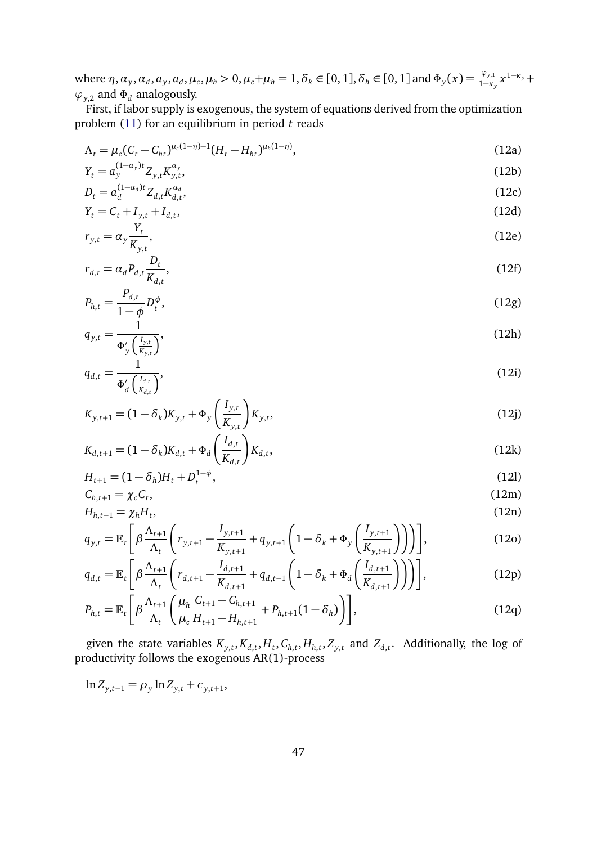where  $\eta$ ,  $\alpha_y$ ,  $\alpha_d$ ,  $a_y$ ,  $a_d$ ,  $\mu_c$ ,  $\mu_h > 0$ ,  $\mu_c + \mu_h = 1$ ,  $\delta_k \in [0, 1]$ ,  $\delta_h \in [0, 1]$  and  $\Phi_y(x) = \frac{\varphi_{y,1}}{1 - \kappa_y} x^{1 - \kappa_y} +$  $\varphi_{y,2}$  and  $\Phi_d$  analogously.

First, if labor supply is exogenous, the system of equations derived from the optimization problem [\(11\)](#page-45-0) for an equilibrium in period *t* reads

<span id="page-46-0"></span>
$$
\Lambda_t = \mu_c (C_t - C_{ht})^{\mu_c (1 - \eta) - 1} (H_t - H_{ht})^{\mu_h (1 - \eta)}, \tag{12a}
$$

$$
Y_t = a_y^{(1-\alpha_y)t} Z_{y,t} K_{y,t}^{\alpha_y},\tag{12b}
$$

$$
D_t = a_d^{(1-a_d)t} Z_{d,t} K_{d,t}^{a_d},
$$
\n(12c)

$$
Y_t = C_t + I_{y,t} + I_{d,t},\tag{12d}
$$
\n
$$
T_t = \alpha \frac{Y_t}{\alpha}
$$
\n
$$
(12e)
$$

$$
r_{y,t} = \alpha_y \frac{r_t}{K_{y,t}},\tag{12e}
$$

$$
r_{d,t} = \alpha_d P_{d,t} \frac{D_t}{K_{d,t}},\tag{12f}
$$

$$
P_{h,t} = \frac{P_{d,t}}{1 - \phi} D_t^{\phi},\tag{12g}
$$

$$
q_{y,t} = \frac{1}{\Phi_y'(\frac{I_{y,t}}{K_{y,t}})},
$$
(12h)

$$
q_{d,t} = \frac{1}{\Phi_d' \left(\frac{I_{d,t}}{K_{d,t}}\right)},\tag{12i}
$$

$$
K_{y,t+1} = (1 - \delta_k)K_{y,t} + \Phi_y \left(\frac{I_{y,t}}{K_{y,t}}\right)K_{y,t},
$$
\n(12j)

$$
K_{d,t+1} = (1 - \delta_k)K_{d,t} + \Phi_d \left(\frac{I_{d,t}}{K_{d,t}}\right)K_{d,t},
$$
\n(12k)

$$
H_{t+1} = (1 - \delta_h)H_t + D_t^{1-\phi},
$$
\n(12)

$$
C_{h,t+1} = \chi_c C_t, \tag{12m}
$$
\n
$$
H_{h,t+1} = \chi_h H_t, \tag{12n}
$$

$$
q_{y,t} = \mathbb{E}_t \left[ \beta \frac{\Lambda_{t+1}}{\Lambda_t} \left( r_{y,t+1} - \frac{I_{y,t+1}}{K_{y,t+1}} + q_{y,t+1} \left( 1 - \delta_k + \Phi_y \left( \frac{I_{y,t+1}}{K_{y,t+1}} \right) \right) \right) \right],
$$
(12o)

$$
q_{d,t} = \mathbb{E}_t \left[ \beta \frac{\Lambda_{t+1}}{\Lambda_t} \left( r_{d,t+1} - \frac{I_{d,t+1}}{K_{d,t+1}} + q_{d,t+1} \left( 1 - \delta_k + \Phi_d \left( \frac{I_{d,t+1}}{K_{d,t+1}} \right) \right) \right) \right],
$$
(12p)

$$
P_{h,t} = \mathbb{E}_t \left[ \beta \frac{\Lambda_{t+1}}{\Lambda_t} \left( \frac{\mu_h}{\mu_c} \frac{C_{t+1} - C_{h,t+1}}{H_{t+1} - H_{h,t+1}} + P_{h,t+1} (1 - \delta_h) \right) \right],
$$
(12q)

given the state variables  $K_{y,t}$ ,  $K_{d,t}$ ,  $H_t$ ,  $C_{h,t}$ ,  $H_{h,t}$ ,  $Z_{y,t}$  and  $Z_{d,t}$ . Additionally, the log of productivity follows the exogenous AR(1)-process

$$
\ln Z_{y,t+1} = \rho_y \ln Z_{y,t} + \epsilon_{y,t+1},
$$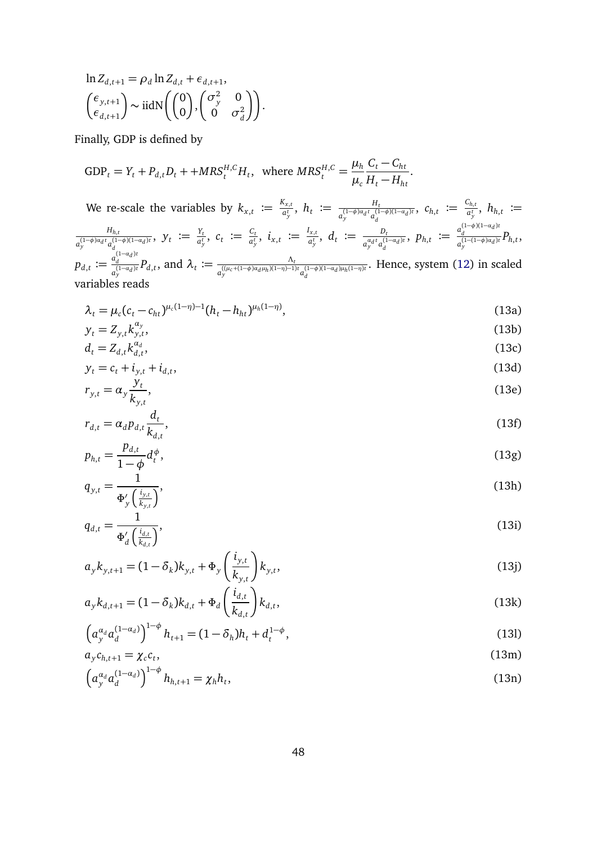$$
\ln Z_{d,t+1} = \rho_d \ln Z_{d,t} + \epsilon_{d,t+1},
$$
  

$$
\begin{pmatrix} \epsilon_{y,t+1} \\ \epsilon_{d,t+1} \end{pmatrix} \sim \text{iidN} \left( \begin{pmatrix} 0 \\ 0 \end{pmatrix}, \begin{pmatrix} \sigma_y^2 & 0 \\ 0 & \sigma_d^2 \end{pmatrix} \right).
$$

Finally, GDP is defined by

$$
GDP_t = Y_t + P_{d,t}D_t + + MRS_t^{H,C}H_t, \text{ where } MRS_t^{H,C} = \frac{\mu_h}{\mu_c} \frac{C_t - C_{ht}}{H_t - H_{ht}}.
$$

We re-scale the variables by  $k_{x,t} := \frac{K_{x,t}}{a_t^t}$  $a_{y}^{X_{x,t}}$ ,  $h_{t} \coloneqq \frac{H_{t}}{a_{y}^{(1-\phi)a_{d}t}a_{d}^{(1)}}$  $\frac{H_t}{a_y^{(1-\phi)a_d t} a_d^{(1-\phi)(1-a_d)t}}$ ,  $c_{h,t} := \frac{c_{h,t}}{a_y^{t}}$  $\frac{d_{h,t}}{a_{y}^{t}},\ h_{h,t}\ \coloneqq$ *Hh*,*<sup>t</sup>*  $\frac{H_{h,t}}{a_{y}^{(1-\phi)a_{d}t}a_{d}^{(1-\phi)(1-a_{d})t}}, \; y_{t} \coloneqq \frac{Y_{t}}{a_{y}^{t}}$  $\frac{Y_t}{a_y^t}$ ,  $c_t := \frac{C_t}{a_y^t}$  $\frac{C_t}{a_y^t}$ ,  $i_{x,t} := \frac{I_{x,t}}{a_y^t}$  $\frac{d_{x,t}}{a_y^t}$ ,  $d_t := \frac{D_t}{a_{y}^{a_d t} a_{x}^{(1)}}$  $\frac{D_t}{a_y^{a_d t} a_d^{(1-a_d)t}}$ ,  $p_{h,t} := \frac{a_d^{(1-\phi)(1-a_d)t}}{a_y^{(1-(1-\phi)a_d)t}}$  $a_y^{(1-(1-\phi)a_d)t}P_{h,t}$  $p_{d,t} := \frac{a_d^{(1-a_d)t}}{a_d^{(1-a_d)t}}$  $\frac{a_d^{(1-a_d)t}}{a_y^{(1-a_d)t}}P_{d,t}$ , and  $\lambda_t := \frac{\Lambda_t}{a_y^{((\mu_c+(1-\phi)a_d\mu_h)(1-\eta)-1)}}$  $a_y^{((\mu_c + (1-\phi)\alpha_d \mu_h)(1-\eta)-1)t} a_d^{(1-\phi)(1-\alpha_d) \mu_h(1-\eta)t}$ . Hence, system [\(12\)](#page-46-0) in scaled variables reads

<span id="page-47-0"></span>
$$
\lambda_t = \mu_c (c_t - c_{ht})^{\mu_c (1 - \eta) - 1} (h_t - h_{ht})^{\mu_h (1 - \eta)},
$$
\n(13a)

$$
y_t = Z_{y,t} k_{y,t}^{\alpha_y},\tag{13b}
$$

$$
d_t = Z_{d,t} k_{d,t}^{\alpha_d},\tag{13c}
$$

$$
y_t = c_t + i_{y,t} + i_{d,t},
$$
\n(13d)

$$
r_{y,t} = \alpha_y \frac{\partial t}{\partial x_{y,t}},\tag{13e}
$$

$$
r_{d,t} = \alpha_d p_{d,t} \frac{d_t}{k_{d,t}},
$$
\n
$$
p_{d,t} = p_{d,t} \frac{d_t}{k_{d,t}},
$$
\n(13f)

$$
p_{h,t} = \frac{P_{d,t}}{1 - \phi} d_t^{\phi},\tag{13g}
$$

$$
q_{y,t} = \frac{1}{\Phi_y'(\frac{i_{y,t}}{k_{y,t}})},
$$
(13h)

$$
q_{d,t} = \frac{1}{\Phi_d' \left(\frac{i_{d,t}}{k_{d,t}}\right)},\tag{131}
$$

$$
a_{y}k_{y,t+1} = (1 - \delta_{k})k_{y,t} + \Phi_{y}\left(\frac{i_{y,t}}{k_{y,t}}\right)k_{y,t},
$$
\n(13j)

$$
a_{y}k_{d,t+1} = (1 - \delta_{k})k_{d,t} + \Phi_{d}\left(\frac{\iota_{d,t}}{k_{d,t}}\right)k_{d,t},
$$
\n(13k)

$$
\left(a_{y}^{\alpha_d} a_{d}^{(1-\alpha_d)}\right)^{1-\phi} h_{t+1} = (1-\delta_h)h_t + d_t^{1-\phi},\tag{13}
$$

$$
a_y c_{h,t+1} = \chi_c c_t,\tag{13m}
$$

$$
\left(a_{\mathbf{y}}^{\alpha_d} a_d^{(1-\alpha_d)}\right)^{1-\phi} h_{h,t+1} = \chi_h h_t,\tag{13n}
$$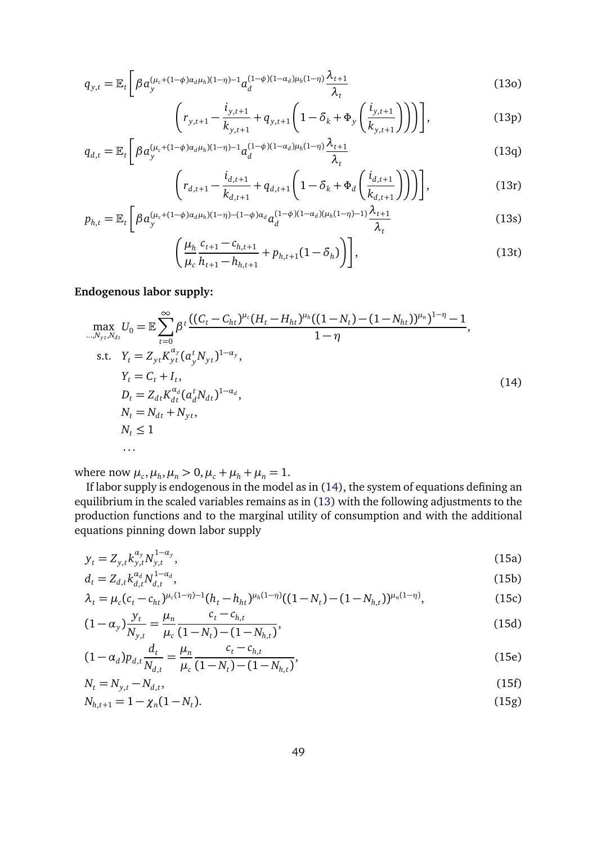$$
q_{y,t} = \mathbb{E}_t \left[ \beta a_y^{(\mu_c + (1-\phi)\alpha_d \mu_h)(1-\eta) - 1} a_d^{(1-\phi)(1-\alpha_d)\mu_h(1-\eta)} \frac{\lambda_{t+1}}{\lambda_t} \right]
$$
(130)

$$
\left(r_{y,t+1} - \frac{i_{y,t+1}}{k_{y,t+1}} + q_{y,t+1} \left(1 - \delta_k + \Phi_y \left(\frac{i_{y,t+1}}{k_{y,t+1}}\right)\right)\right)\right],
$$
\n(13p)

$$
q_{d,t} = \mathbb{E}_t \left[ \beta a_y^{(\mu_c + (1-\phi)\alpha_d \mu_h)(1-\eta) - 1} a_d^{(1-\phi)(1-\alpha_d)\mu_h(1-\eta)} \frac{\lambda_{t+1}}{\lambda_t} \right]
$$
(13q)

$$
\left(r_{d,t+1} - \frac{i_{d,t+1}}{k_{d,t+1}} + q_{d,t+1} \left(1 - \delta_k + \Phi_d \left(\frac{i_{d,t+1}}{k_{d,t+1}}\right)\right)\right)\right],
$$
\n(13r)

$$
p_{h,t} = \mathbb{E}_t \left[ \beta a_y^{(\mu_c + (1-\phi)\alpha_d \mu_h)(1-\eta) - (1-\phi)\alpha_d} a_d^{(1-\phi)(1-\alpha_d)(\mu_h(1-\eta) - 1)} \frac{\lambda_{t+1}}{\lambda_t} \right]
$$
(13s)

$$
\left(\frac{\mu_h}{\mu_c} \frac{c_{t+1} - c_{h,t+1}}{h_{t+1} - h_{h,t+1}} + p_{h,t+1} (1 - \delta_h)\right)\right],
$$
\n(13t)

## <span id="page-48-0"></span>**Endogenous labor supply:**

$$
\max_{\substack{m,N_{yt},N_{dt} \\ m \neq 0}} U_0 = \mathbb{E} \sum_{t=0}^{\infty} \beta^t \frac{((C_t - C_{ht})^{\mu_c} (H_t - H_{ht})^{\mu_h} ((1 - N_t) - (1 - N_{ht}))^{\mu_h})^{1 - \eta} - 1}{1 - \eta},
$$
\ns.t.  $Y_t = Z_{yt} K_{yt}^{\alpha_y} (a_y^t N_{yt})^{1 - \alpha_y},$   
\n $Y_t = C_t + I_t,$   
\n $D_t = Z_{dt} K_{dt}^{\alpha_d} (a_d^t N_{dt})^{1 - \alpha_d},$   
\n $N_t = N_{dt} + N_{yt},$   
\n $N_t \le 1$  ... (14)

where now  $\mu_c$ ,  $\mu_h$ ,  $\mu_n > 0$ ,  $\mu_c + \mu_h + \mu_n = 1$ .

If labor supply is endogenous in the model as in [\(14\)](#page-48-0), the system of equations defining an equilibrium in the scaled variables remains as in [\(13\)](#page-47-0) with the following adjustments to the production functions and to the marginal utility of consumption and with the additional equations pinning down labor supply

$$
y_t = Z_{y,t} k_{y,t}^{\alpha_y} N_{y,t}^{1-\alpha_y}, \tag{15a}
$$

<span id="page-48-1"></span>
$$
d_t = Z_{d,t} k_{d,t}^{\alpha_d} N_{d,t}^{1-\alpha_d},\tag{15b}
$$

$$
\lambda_t = \mu_c (c_t - c_{ht})^{\mu_c (1 - \eta) - 1} (h_t - h_{ht})^{\mu_h (1 - \eta)} ((1 - N_t) - (1 - N_{h,t}))^{\mu_h (1 - \eta)},
$$
\n(15c)

$$
(1 - \alpha_y) \frac{y_t}{N_{y,t}} = \frac{\mu_n}{\mu_c} \frac{c_t - c_{h,t}}{(1 - N_t) - (1 - N_{h,t})},
$$
\n(15d)

<span id="page-48-2"></span>
$$
(1 - \alpha_d) p_{d,t} \frac{d_t}{N_{d,t}} = \frac{\mu_n}{\mu_c} \frac{c_t - c_{h,t}}{(1 - N_t) - (1 - N_{h,t})},
$$
(15e)

$$
N_t = N_{y,t} - N_{d,t},\tag{15f}
$$

$$
N_{h,t+1} = 1 - \chi_n(1 - N_t). \tag{15g}
$$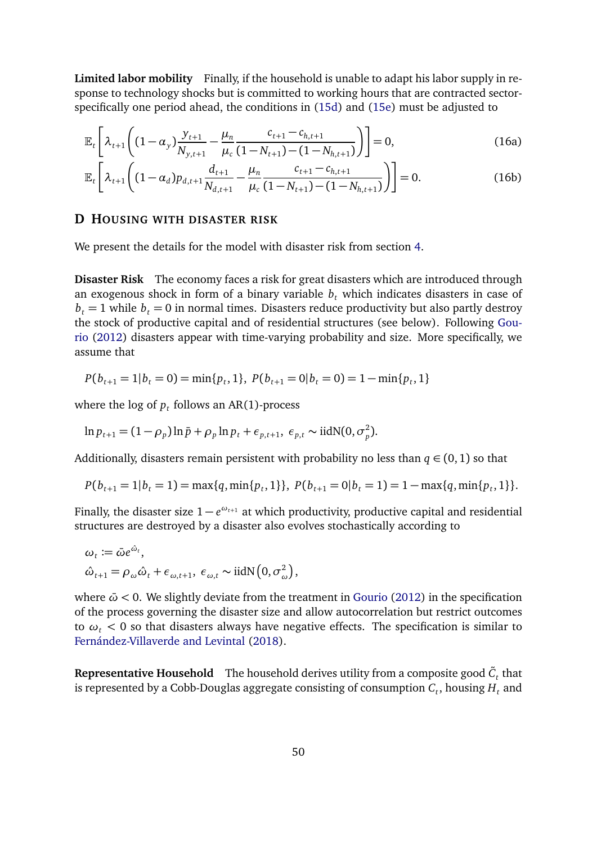**Limited labor mobility** Finally, if the household is unable to adapt his labor supply in response to technology shocks but is committed to working hours that are contracted sectorspecifically one period ahead, the conditions in [\(15d\)](#page-48-1) and [\(15e\)](#page-48-2) must be adjusted to

$$
\mathbb{E}_{t}\left[\lambda_{t+1}\left((1-\alpha_{y})\frac{y_{t+1}}{N_{y,t+1}}-\frac{\mu_{n}}{\mu_{c}}\frac{c_{t+1}-c_{h,t+1}}{(1-N_{t+1})-(1-N_{h,t+1})}\right)\right]=0,
$$
\n(16a)

$$
\mathbb{E}_{t}\left[\lambda_{t+1}\left((1-\alpha_{d})p_{d,t+1}\frac{d_{t+1}}{N_{d,t+1}}-\frac{\mu_{n}}{\mu_{c}}\frac{c_{t+1}-c_{h,t+1}}{(1-N_{t+1})-(1-N_{h,t+1})}\right)\right]=0.
$$
\n(16b)

#### <span id="page-49-0"></span>**D HOUSING WITH DISASTER RISK**

We present the details for the model with disaster risk from section [4.](#page-18-0)

**Disaster Risk** The economy faces a risk for great disasters which are introduced through an exogenous shock in form of a binary variable  $b<sub>t</sub>$  which indicates disasters in case of  $b_t = 1$  while  $b_t = 0$  in normal times. Disasters reduce productivity but also partly destroy the stock of productive capital and of residential structures (see below). Following [Gou](#page-35-1)[rio](#page-35-1) [\(2012\)](#page-35-1) disasters appear with time-varying probability and size. More specifically, we assume that

$$
P(b_{t+1} = 1 | b_t = 0) = \min\{p_t, 1\}, \ P(b_{t+1} = 0 | b_t = 0) = 1 - \min\{p_t, 1\}
$$

where the log of  $p_t$  follows an AR(1)-process

$$
\ln p_{t+1} = (1 - \rho_p) \ln \bar{p} + \rho_p \ln p_t + \epsilon_{p,t+1}, \ \epsilon_{p,t} \sim \text{iidN}(0, \sigma_p^2).
$$

Additionally, disasters remain persistent with probability no less than  $q \in (0,1)$  so that

$$
P(b_{t+1} = 1 | b_t = 1) = \max\{q, \min\{p_t, 1\}\}, P(b_{t+1} = 0 | b_t = 1) = 1 - \max\{q, \min\{p_t, 1\}\}.
$$

Finally, the disaster size  $1 - e^{\omega_{t+1}}$  at which productivity, productive capital and residential structures are destroyed by a disaster also evolves stochastically according to

$$
\omega_t := \bar{\omega} e^{\hat{\omega}_t},
$$
  

$$
\hat{\omega}_{t+1} = \rho_\omega \hat{\omega}_t + \epsilon_{\omega, t+1}, \ \epsilon_{\omega, t} \sim \text{iidN}\left(0, \sigma_\omega^2\right),
$$

where  $\bar{\omega}$  < 0. We slightly deviate from the treatment in [Gourio](#page-35-1) [\(2012\)](#page-35-1) in the specification of the process governing the disaster size and allow autocorrelation but restrict outcomes to  $\omega_t$  < 0 so that disasters always have negative effects. The specification is similar to [Fernández-Villaverde and Levintal](#page-35-9) [\(2018\)](#page-35-9).

 ${\bf Represent}$   ${\bf E}$   ${\bf represent}$   ${\bf C}_t$  that  ${\bf C}_t$  that  ${\bf C}_t$  are  ${\bf C}_t$  that  ${\bf C}_t$  that is represented by a Cobb-Douglas aggregate consisting of consumption  $C_t$  , housing  $H_t$  and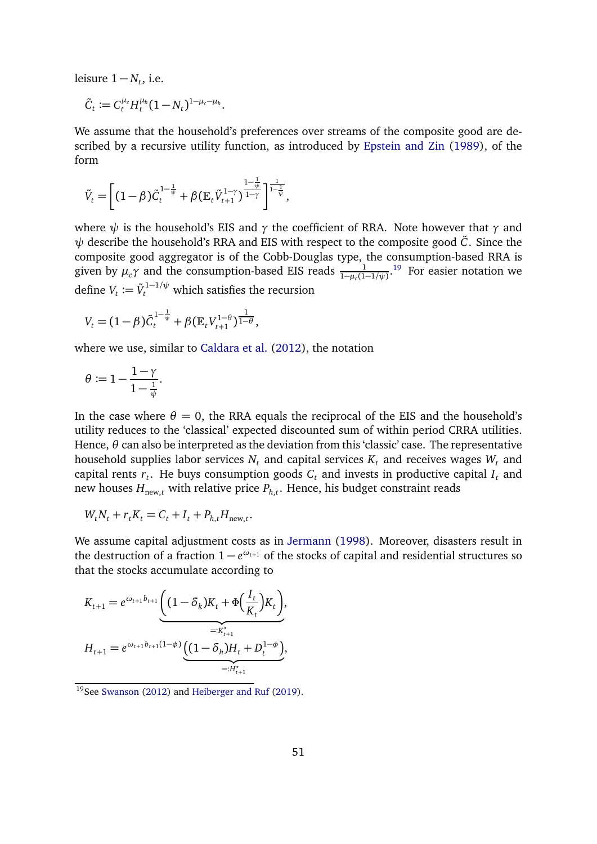leisure  $1 - N_t$ , i.e.

$$
\tilde{C}_t := C_t^{\mu_c} H_t^{\mu_h} (1 - N_t)^{1 - \mu_c - \mu_h}.
$$

We assume that the household's preferences over streams of the composite good are described by a recursive utility function, as introduced by [Epstein and Zin](#page-34-5) [\(1989\)](#page-34-5), of the form

$$
\tilde{V}_t = \left[ (1-\beta) \tilde{C}_t^{1-\frac{1}{\psi}} + \beta (\mathbb{E}_t \tilde{V}_{t+1}^{1-\gamma})^{\frac{1-\frac{1}{\psi}}{1-\gamma}} \right]^{\frac{1}{1-\frac{1}{\psi}}},
$$

where *ψ* is the household's EIS and *γ* the coefficient of RRA. Note however that *γ* and *ψ* describe the household's RRA and EIS with respect to the composite good  $\tilde{C}$ . Since the composite good aggregator is of the Cobb-Douglas type, the consumption-based RRA is given by  $\mu_c \gamma$  and the consumption-based EIS reads  $\frac{1}{1-\mu_c(1-1/\psi)}$ .<sup>[19](#page-50-0)</sup> For easier notation we define  $V_t \coloneqq \tilde{V}_t^{1-1/\psi}$  which satisfies the recursion

$$
V_t = (1 - \beta)\tilde{C}_t^{1 - \frac{1}{\psi}} + \beta (\mathbb{E}_t V_{t+1}^{1 - \theta})^{\frac{1}{1 - \theta}},
$$

where we use, similar to [Caldara et al.](#page-34-10) [\(2012\)](#page-34-10), the notation

$$
\theta \coloneqq 1 - \frac{1-\gamma}{1-\frac{1}{\psi}}.
$$

In the case where  $\theta = 0$ , the RRA equals the reciprocal of the EIS and the household's utility reduces to the 'classical' expected discounted sum of within period CRRA utilities. Hence, *θ* can also be interpreted as the deviation from this 'classic' case. The representative household supplies labor services  $N_t$  and capital services  $K_t$  and receives wages  $W_t$  and capital rents  $r_t$ . He buys consumption goods  $C_t$  and invests in productive capital  $I_t$  and new houses  $H_{\text{new},t}$  with relative price  $P_{h,t}.$  Hence, his budget constraint reads

$$
W_t N_t + r_t K_t = C_t + I_t + P_{h,t} H_{\text{new},t}.
$$

We assume capital adjustment costs as in [Jermann](#page-35-0) [\(1998\)](#page-35-0). Moreover, disasters result in the destruction of a fraction  $1 - e^{\omega_{t+1}}$  of the stocks of capital and residential structures so that the stocks accumulate according to

$$
K_{t+1} = e^{\omega_{t+1}b_{t+1}} \underbrace{\left((1-\delta_k)K_t + \Phi\left(\frac{I_t}{K_t}\right)K_t\right)}_{=:K_{t+1}^*},
$$
  

$$
H_{t+1} = e^{\omega_{t+1}b_{t+1}(1-\phi)} \underbrace{\left((1-\delta_h)H_t + D_t^{1-\phi}\right)}_{=:H_{t+1}^*},
$$

<span id="page-50-0"></span><sup>&</sup>lt;sup>19</sup>See [Swanson](#page-36-10) [\(2012\)](#page-36-10) and [Heiberger and Ruf](#page-35-8) [\(2019\)](#page-35-8).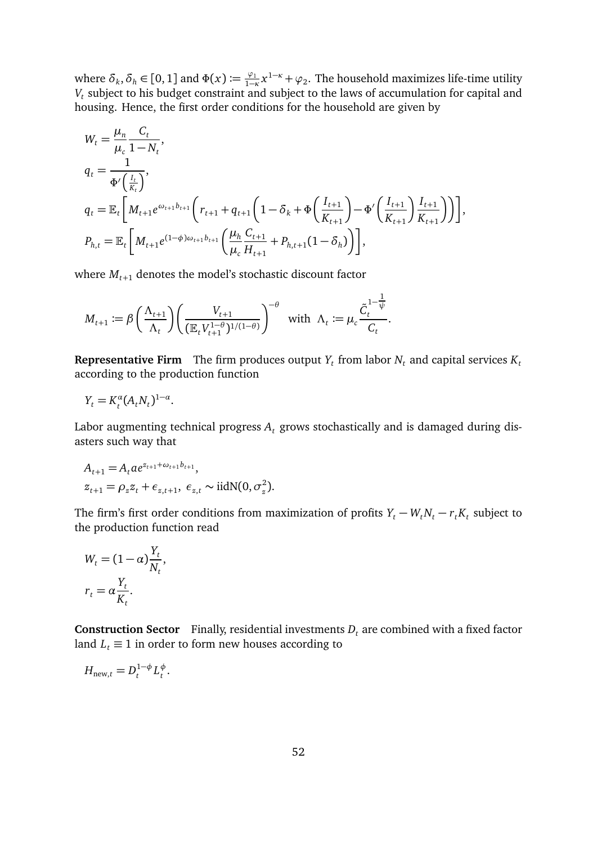where  $\delta_k$ ,  $\delta_h \in [0, 1]$  and  $\Phi(x) := \frac{\varphi_1}{1 - \alpha}$  $\frac{\varphi_1}{1-\kappa}$ *x*<sup>1−*κ*</sup> +  $\varphi_2$ . The household maximizes life-time utility *Vt* subject to his budget constraint and subject to the laws of accumulation for capital and housing. Hence, the first order conditions for the household are given by

$$
W_{t} = \frac{\mu_{n}}{\mu_{c}} \frac{C_{t}}{1 - N_{t}},
$$
  
\n
$$
q_{t} = \frac{1}{\Phi'(\frac{l_{t}}{K_{t}})},
$$
  
\n
$$
q_{t} = \mathbb{E}_{t} \left[ M_{t+1} e^{\omega_{t+1} b_{t+1}} \left( r_{t+1} + q_{t+1} \left( 1 - \delta_{k} + \Phi \left( \frac{l_{t+1}}{K_{t+1}} \right) - \Phi' \left( \frac{l_{t+1}}{K_{t+1}} \right) \frac{l_{t+1}}{K_{t+1}} \right) \right] \right],
$$
  
\n
$$
P_{h,t} = \mathbb{E}_{t} \left[ M_{t+1} e^{(1-\phi)\omega_{t+1} b_{t+1}} \left( \frac{\mu_{h}}{\mu_{c}} \frac{C_{t+1}}{H_{t+1}} + P_{h,t+1} (1 - \delta_{h}) \right) \right],
$$

where  $M_{t+1}$  denotes the model's stochastic discount factor

$$
M_{t+1} := \beta \left(\frac{\Lambda_{t+1}}{\Lambda_t}\right) \left(\frac{V_{t+1}}{(\mathbb{E}_t V_{t+1}^{1-\theta})^{1/(1-\theta)}}\right)^{-\theta} \quad \text{with} \quad \Lambda_t := \mu_c \frac{\tilde{C}_t^{1-\frac{1}{\psi}}}{C_t}.
$$

**Representative Firm** The firm produces output  $Y_t$  from labor  $N_t$  and capital services  $K_t$ according to the production function

$$
Y_t = K_t^{\alpha} (A_t N_t)^{1-\alpha}.
$$

Labor augmenting technical progress  $A_t$  grows stochastically and is damaged during disasters such way that

$$
A_{t+1} = A_t a e^{z_{t+1} + \omega_{t+1} b_{t+1}},
$$
  
\n
$$
z_{t+1} = \rho_z z_t + \epsilon_{z,t+1}, \ \epsilon_{z,t} \sim \text{iidN}(0, \sigma_z^2).
$$

The firm's first order conditions from maximization of profits  $Y_t - W_t N_t - r_t K_t$  subject to the production function read

$$
W_t = (1 - \alpha) \frac{Y_t}{N_t},
$$
  

$$
r_t = \alpha \frac{Y_t}{K_t}.
$$

**Construction Sector** Finally, residential investments  $D_t$  are combined with a fixed factor land  $L_t \equiv 1$  in order to form new houses according to

 $H_{\text{new},t} = D_t^{1-\phi} L_t^{\phi}$ *t* .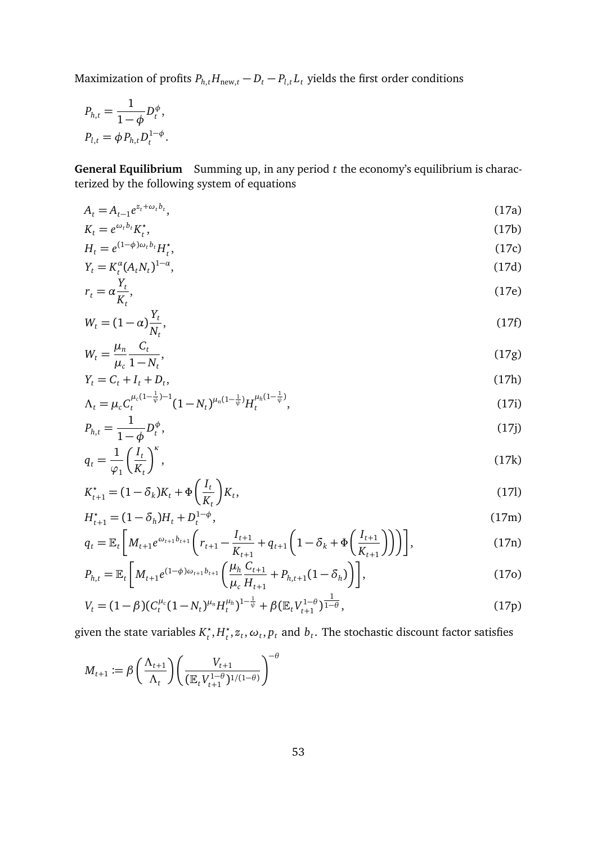Maximization of profits  $P_{h,t}H_{\text{new},t} - D_t - P_{l,t}L_t$  yields the first order conditions

$$
P_{h,t} = \frac{1}{1 - \phi} D_t^{\phi},
$$
  

$$
P_{l,t} = \phi P_{h,t} D_t^{1 - \phi}.
$$

**General Equilibrium** Summing up, in any period *t* the economy's equilibrium is characterized by the following system of equations

<span id="page-52-0"></span>
$$
A_t = A_{t-1} e^{z_t + \omega_t b_t},\tag{17a}
$$

$$
K_t = e^{\omega_t b_t} K_t^*,\tag{17b}
$$

$$
H_t = e^{(1-\phi)\omega_t b_t} H_t^*,\tag{17c}
$$

$$
Y_t = K_t^{\alpha} (A_t N_t)^{1-\alpha}, \tag{17d}
$$

$$
r_t = \alpha \frac{Y_t}{K_t},\tag{17e}
$$

$$
W_t = (1 - \alpha) \frac{Y_t}{N_t},\tag{17f}
$$

$$
W_t = \frac{\mu_n}{\mu_c} \frac{C_t}{1 - N_t},\tag{17g}
$$

$$
Y_t = C_t + I_t + D_t,\tag{17h}
$$

$$
\Lambda_t = \mu_c C_t^{\mu_c (1 - \frac{1}{\psi}) - 1} (1 - N_t)^{\mu_n (1 - \frac{1}{\psi})} H_t^{\mu_h (1 - \frac{1}{\psi})},\tag{17i}
$$

$$
P_{h,t} = \frac{1}{1 - \phi} D_t^{\phi},\tag{17}
$$

$$
q_t = \frac{1}{\varphi_1} \left(\frac{I_t}{K_t}\right)^{\kappa},\tag{17k}
$$

$$
K_{t+1}^* = (1 - \delta_k)K_t + \Phi\left(\frac{I_t}{K_t}\right)K_t,
$$
\n(17)

$$
H_{t+1}^* = (1 - \delta_h)H_t + D_t^{1-\phi},\tag{17m}
$$
\n
$$
\mathbb{E}\left[\mathbf{M} - \mathbf{W}_t\mathbf{W}_t\right] \left(\mathbf{M} - \mathbf{W}_t\mathbf{W}_t\right) \tag{17m}
$$

$$
q_{t} = \mathbb{E}_{t} \left[ M_{t+1} e^{\omega_{t+1} b_{t+1}} \left( r_{t+1} - \frac{I_{t+1}}{K_{t+1}} + q_{t+1} \left( 1 - \delta_{k} + \Phi \left( \frac{I_{t+1}}{K_{t+1}} \right) \right) \right) \right],
$$
\n(17n)

$$
P_{h,t} = \mathbb{E}_t \left[ M_{t+1} e^{(1-\phi)\omega_{t+1} b_{t+1}} \left( \frac{\mu_h}{\mu_c} \frac{C_{t+1}}{H_{t+1}} + P_{h,t+1} (1 - \delta_h) \right) \right],
$$
(170)

$$
V_t = (1 - \beta)(C_t^{\mu_c}(1 - N_t)^{\mu_n}H_t^{\mu_h})^{1 - \frac{1}{\psi}} + \beta(\mathbb{E}_t V_{t+1}^{1 - \theta})^{\frac{1}{1 - \theta}},
$$
\n(17p)

given the state variables *K ?*  $t^{\star}$ ,  $H_t^{\star}$  $t_{t}^{\star}, z_{t}, \omega_{t}, p_{t}$  and  $b_{t}$ . The stochastic discount factor satisfies

$$
M_{t+1} := \beta \left(\frac{\Lambda_{t+1}}{\Lambda_t}\right) \left(\frac{V_{t+1}}{(\mathbb{E}_t V_{t+1}^{1-\theta})^{1/(1-\theta)}}\right)^{-\theta}
$$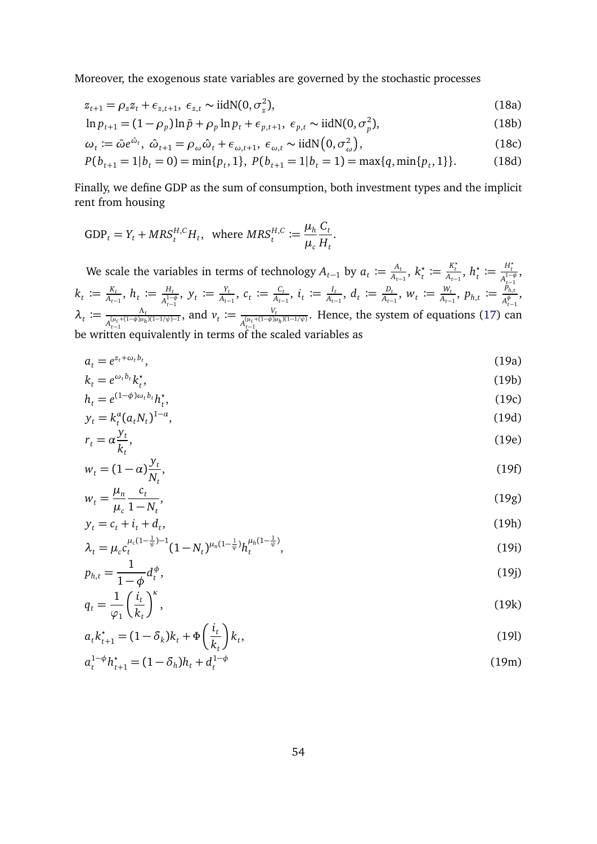Moreover, the exogenous state variables are governed by the stochastic processes

$$
z_{t+1} = \rho_z z_t + \epsilon_{z,t+1}, \ \epsilon_{z,t} \sim \text{iidN}(0, \sigma_z^2), \tag{18a}
$$

$$
\ln p_{t+1} = (1 - \rho_p) \ln \bar{p} + \rho_p \ln p_t + \epsilon_{p,t+1}, \ \epsilon_{p,t} \sim \text{iidN}(0, \sigma_p^2), \tag{18b}
$$

$$
\omega_t := \bar{\omega} e^{\hat{\omega}_t}, \ \hat{\omega}_{t+1} = \rho_\omega \hat{\omega}_t + \epsilon_{\omega, t+1}, \ \epsilon_{\omega, t} \sim \text{iidN}\big(0, \sigma_\omega^2\big),\tag{18c}
$$

$$
P(b_{t+1} = 1 | b_t = 0) = \min\{p_t, 1\}, \ P(b_{t+1} = 1 | b_t = 1) = \max\{q, \min\{p_t, 1\}\}.
$$
 (18d)

Finally, we define GDP as the sum of consumption, both investment types and the implicit rent from housing

$$
\text{GDP}_t = Y_t + MRS_t^{H,C}H_t, \text{ where } MRS_t^{H,C} := \frac{\mu_h}{\mu_c} \frac{C_t}{H_t}.
$$

We scale the variables in terms of technology  $A_{t-1}$  by  $a_t := \frac{A_t}{A_{t-1}}$  $\frac{A_t}{A_{t-1}}, k_t^*$  $\boldsymbol{h}_t^{\star} := \frac{K_t^{\star}}{A_{t-1}}, h_t^{\star}$  $t^*$  :=  $\frac{H_t^*}{A^{1-}}$  $A_{t-1}^{1-\phi}$ ,  $k_t \coloneqq \frac{K_t}{A_{t-1}}$  $\frac{K_t}{A_{t-1}}$ ,  $h_t \coloneqq \frac{H_t}{A_{t-1}^{1-1}}$  $A_{t-1}^{1-\phi}$ ,  $y_t \coloneqq \frac{Y_t}{A_{t-1}}$  $\frac{Y_t}{A_{t-1}}$ ,  $c_t \coloneqq \frac{C_t}{A_{t-1}}$  $\frac{C_t}{A_{t-1}}$ ,  $i_t$   $\coloneqq \frac{I_t}{A_{t-1}}$  $\frac{I_t}{A_{t-1}}$ ,  $d_t \coloneqq \frac{D_t}{A_{t-1}}$  $\frac{D_t}{A_{t-1}}$ ,  $W_t \coloneqq \frac{W_t}{A_{t-1}}$  $\frac{W_t}{A_{t-1}}$ ,  $p_{h,t} \coloneqq \frac{\tilde{P}_{h,t}}{A_{t-1}^{\phi}}$  $A_{t-1}^{\phi}$ ,  $\lambda_t \coloneqq \frac{\Lambda_t}{\sqrt{( \mu_c + (1-\phi)\mu_h )^2}}$  $A_{t-1}^{(\mu_c+(1-\phi)\mu_h)(1-1/\psi)-1}$ , and  $v_t := \frac{V_t}{\sqrt{(u_c + (1 - \phi)t)}}$  $A_{t-1}^{(\mu_c+(1-\phi)\mu_h)(1-1/\psi)}$ . Hence, the system of equations [\(17\)](#page-52-0) can be written equivalently in terms of the scaled variables as

<span id="page-53-0"></span>
$$
a_t = e^{z_t + \omega_t b_t},\tag{19a}
$$

$$
k_t = e^{\omega_t b_t} k_t^*,\tag{19b}
$$

$$
h_t = e^{(1-\phi)\omega_t b_t} h_t^*,\tag{19c}
$$

$$
y_t = k_t^{\alpha} (a_t N_t)^{1-\alpha}, \tag{19d}
$$
\n
$$
x_t = \alpha^{y_t} \tag{19e}
$$

$$
r_t = \alpha \frac{\partial t}{\partial t},
$$
  
\n
$$
w_t = (1 - \alpha) \frac{y_t}{N_t},
$$
\n(19f)

$$
w_t = \frac{\mu_n}{\mu_c} \frac{c_t}{1 - N_t},\tag{19g}
$$

$$
y_t = c_t + i_t + d_t,\tag{19h}
$$

$$
\lambda_t = \mu_c c_t^{\mu_c (1 - \frac{1}{\psi}) - 1} (1 - N_t)^{\mu_n (1 - \frac{1}{\psi})} h_t^{\mu_h (1 - \frac{1}{\psi})},\tag{19i}
$$

$$
p_{h,t} = \frac{1}{1 - \phi} d_t^{\phi},\tag{19}
$$

$$
q_t = \frac{1}{\varphi_1} \left(\frac{i_t}{k_t}\right)^{\kappa},\tag{19k}
$$

$$
a_t k_{t+1}^* = (1 - \delta_k) k_t + \Phi\left(\frac{i_t}{k_t}\right) k_t,
$$
\n(19)

<span id="page-53-1"></span>
$$
a_t^{1-\phi}h_{t+1}^* = (1 - \delta_h)h_t + d_t^{1-\phi}
$$
\n(19m)